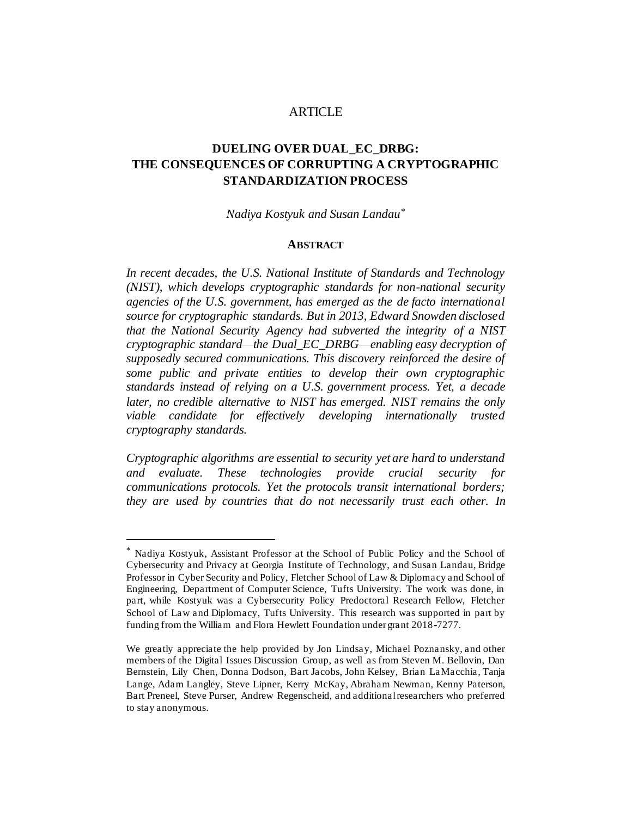### ARTICLE

# **DUELING OVER DUAL\_EC\_DRBG: THE CONSEQUENCES OF CORRUPTING A CRYPTOGRAPHIC STANDARDIZATION PROCESS**

*Nadiya Kostyuk and Susan Landau\**

#### **ABSTRACT**

*In recent decades, the U.S. National Institute of Standards and Technology (NIST), which develops cryptographic standards for non-national security agencies of the U.S. government, has emerged as the de facto international source for cryptographic standards. But in 2013, Edward Snowden disclosed that the National Security Agency had subverted the integrity of a NIST cryptographic standard—the Dual\_EC\_DRBG—enabling easy decryption of supposedly secured communications. This discovery reinforced the desire of some public and private entities to develop their own cryptographic standards instead of relying on a U.S. government process. Yet, a decade later, no credible alternative to NIST has emerged. NIST remains the only viable candidate for effectively developing internationally trusted cryptography standards.* 

*Cryptographic algorithms are essential to security yet are hard to understand and evaluate. These technologies provide crucial security for communications protocols. Yet the protocols transit international borders; they are used by countries that do not necessarily trust each other. In* 

Nadiya Kostyuk, Assistant Professor at the School of Public Policy and the School of Cybersecurity and Privacy at Georgia Institute of Technology, and Susan Landau, Bridge Professor in Cyber Security and Policy, Fletcher School of Law & Diplomacy and School of Engineering, Department of Computer Science, Tufts University. The work was done, in part, while Kostyuk was a Cybersecurity Policy Predoctoral Research Fellow, Fletcher School of Law and Diplomacy, Tufts University. This research was supported in part by funding from the William and Flora Hewlett Foundation under grant 2018-7277.

We greatly appreciate the help provided by Jon Lindsay, Michael Poznansky, and other members of the Digital Issues Discussion Group, as well as from Steven M. Bellovin, Dan Bernstein, Lily Chen, Donna Dodson, Bart Jacobs, John Kelsey, Brian LaMacchia, Tanja Lange, Adam Langley, Steve Lipner, Kerry McKay, Abraham Newman, Kenny Paterson, Bart Preneel, Steve Purser, Andrew Regenscheid, and additional researchers who preferred to stay anonymous.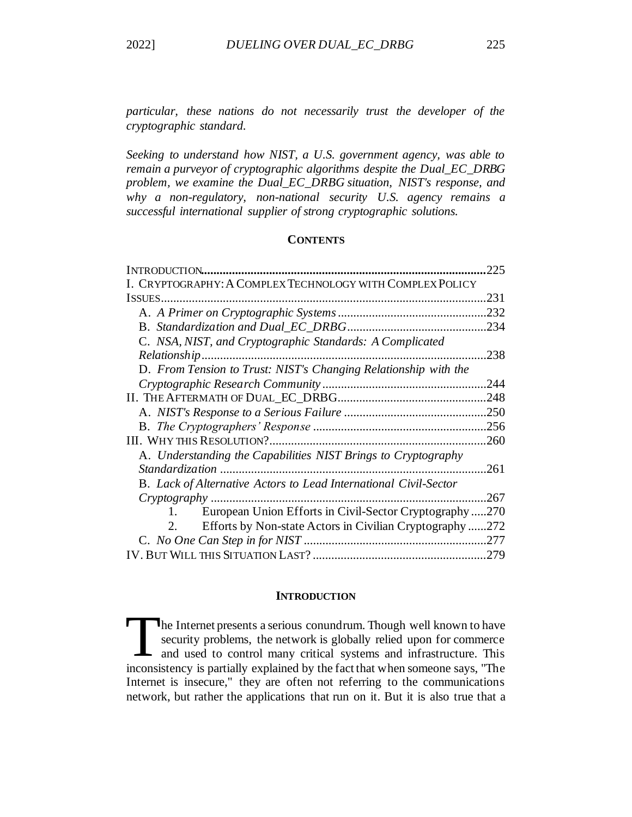*particular, these nations do not necessarily trust the developer of the cryptographic standard.* 

*Seeking to understand how NIST, a U.S. government agency, was able to remain a purveyor of cryptographic algorithms despite the Dual\_EC\_DRBG problem, we examine the Dual\_EC\_DRBG situation, NIST's response, and why a non-regulatory, non-national security U.S. agency remains a successful international supplier of strong cryptographic solutions.*

## **CONTENTS**

| INTRODUCTION.                                                           | 225  |
|-------------------------------------------------------------------------|------|
| I. CRYPTOGRAPHY: A COMPLEX TECHNOLOGY WITH COMPLEX POLICY               |      |
| ISSUES                                                                  | 231  |
|                                                                         | .232 |
|                                                                         | .234 |
| C. NSA, NIST, and Cryptographic Standards: A Complicated                |      |
| Relationship                                                            | 238  |
| D. From Tension to Trust: NIST's Changing Relationship with the         |      |
|                                                                         | .244 |
|                                                                         | .248 |
|                                                                         | .250 |
|                                                                         |      |
|                                                                         | .260 |
| A. Understanding the Capabilities NIST Brings to Cryptography           |      |
|                                                                         | .261 |
| <b>B.</b> Lack of Alternative Actors to Lead International Civil-Sector |      |
|                                                                         | .267 |
| European Union Efforts in Civil-Sector Cryptography                     | .270 |
| Efforts by Non-state Actors in Civilian Cryptography 272<br>2.          |      |
|                                                                         |      |
|                                                                         | .279 |

#### **INTRODUCTION**

<span id="page-1-0"></span>he Internet presents a serious conundrum. Though well known to have security problems, the network is globally relied upon for commerce and used to control many critical systems and infrastructure. This inconsistency is partially explained by the fact that when someone says, "The Internet is insecure," they are often not referring to the communications network, but rather the applications that run on it. But it is also true that a T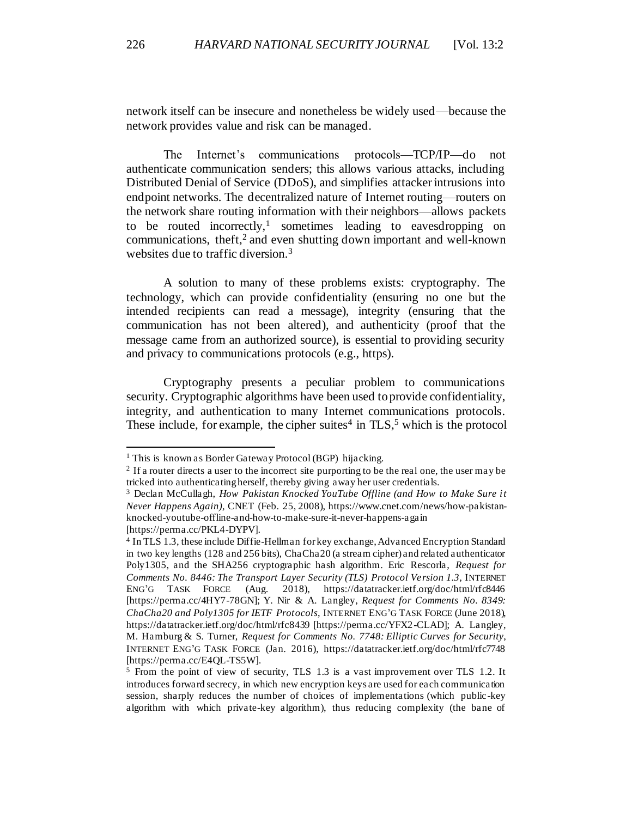network itself can be insecure and nonetheless be widely used—because the network provides value and risk can be managed.

The Internet's communications protocols—TCP/IP—do not authenticate communication senders; this allows various attacks, including Distributed Denial of Service (DDoS), and simplifies attacker intrusions into endpoint networks. The decentralized nature of Internet routing—routers on the network share routing information with their neighbors—allows packets to be routed incorrectly,<sup>1</sup> sometimes leading to eavesdropping on communications, theft,<sup>2</sup> and even shutting down important and well-known websites due to traffic diversion.<sup>3</sup>

A solution to many of these problems exists: cryptography. The technology, which can provide confidentiality (ensuring no one but the intended recipients can read a message), integrity (ensuring that the communication has not been altered), and authenticity (proof that the message came from an authorized source), is essential to providing security and privacy to communications protocols (e.g., https).

Cryptography presents a peculiar problem to communications security. Cryptographic algorithms have been used to provide confidentiality, integrity, and authentication to many Internet communications protocols. These include, for example, the cipher suites<sup>4</sup> in  $TLS$ <sup>5</sup> which is the protocol

<span id="page-2-0"></span><sup>&</sup>lt;sup>1</sup> This is known as Border Gateway Protocol (BGP) hijacking.

<sup>&</sup>lt;sup>2</sup> If a router directs a user to the incorrect site purporting to be the real one, the user may be tricked into authenticating herself, thereby giving away her user credentials.

<sup>3</sup> Declan McCullagh, *How Pakistan Knocked YouTube Offline (and How to Make Sure it Never Happens Again)*, CNET (Feb. 25, 2008), https://www.cnet.com/news/how-pakistanknocked-youtube-offline-and-how-to-make-sure-it-never-happens-again [https://perma.cc/PKL4-DYPV].

<sup>4</sup> In TLS 1.3, these include Diffie-Hellman for key exchange, Advanced Encryption Standard in two key lengths (128 and 256 bits), ChaCha20 (a stream cipher) and related authenticator Poly1305, and the SHA256 cryptographic hash algorithm. Eric Rescorla, *Request for Comments No. 8446: The Transport Layer Security (TLS) Protocol Version 1.3*, INTERNET ENG'G TASK FORCE (Aug. 2018), https://datatracker.ietf.org/doc/html/rfc8446 [\[https://perma.cc/4HY7-78GN\]](https://perma.cc/4HY7-78GN); Y. Nir & A. Langley, *Request for Comments No. 8349: ChaCha20 and Poly1305 for IETF Protocols*, INTERNET ENG'G TASK FORCE (June 2018), https://datatracker.ietf.org/doc/html/rfc8439 [https://perma.cc/YFX2-CLAD]; A. Langley, M. Hamburg & S. Turner, *Request for Comments No. 7748: Elliptic Curves for Security*, INTERNET ENG'G TASK FORCE (Jan. 2016), https://datatracker.ietf.org/doc/html/rfc7748 [https://perma.cc/E4QL-TS5W].

<sup>5</sup> From the point of view of security, TLS 1.3 is a vast improvement over TLS 1.2. It introduces forward secrecy, in which new encryption keys are used for each communication session, sharply reduces the number of choices of implementations (which public -key algorithm with which private-key algorithm), thus reducing complexity (the bane of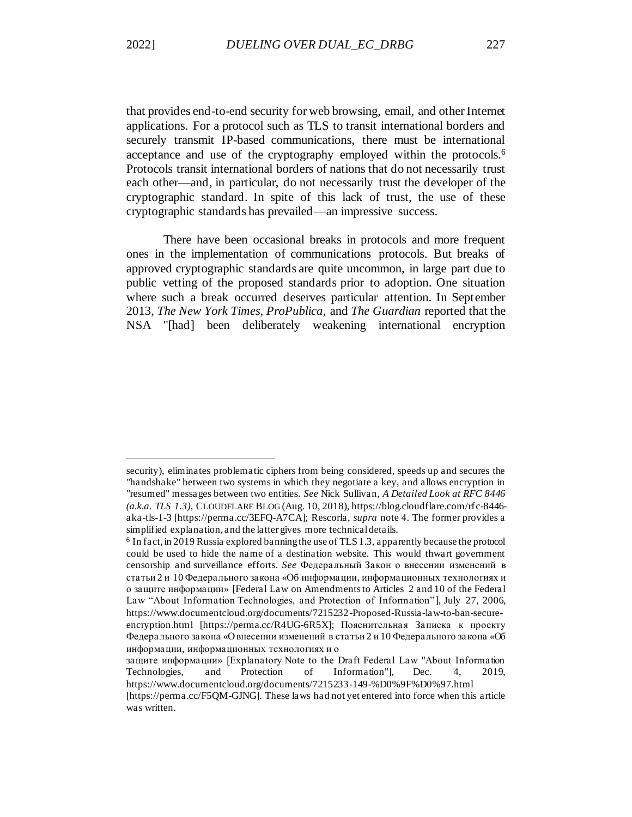that provides end-to-end security for web browsing, email, and other Internet applications. For a protocol such as TLS to transit international borders and securely transmit IP-based communications, there must be international acceptance and use of the cryptography employed within the protocols.<sup>6</sup> Protocols transit international borders of nations that do not necessarily trust each other—and, in particular, do not necessarily trust the developer of the cryptographic standard. In spite of this lack of trust, the use of these cryptographic standards has prevailed—an impressive success.

There have been occasional breaks in protocols and more frequent ones in the implementation of communications protocols. But breaks of approved cryptographic standards are quite uncommon, in large part due to public vetting of the proposed standards prior to adoption. One situation where such a break occurred deserves particular attention. In September 2013, *The New York Times, ProPublica,* and *The Guardian* reported that the NSA "[had] been deliberately weakening international encryption

security), eliminates problematic ciphers from being considered, speeds up and secures the "handshake" between two systems in which they negotiate a key, and allows encryption in "resumed" messages between two entities. *See* Nick Sullivan, *A Detailed Look at RFC 8446 (a.k.a. TLS 1.3)*, CLOUDFLARE BLOG (Aug. 10, 2018), https://blog.cloudflare.com/rfc-8446 aka-tls-1-3 [https://perma.cc/3EFQ-A7CA]; Rescorla, *supra* not[e 4.](#page-2-0) The former provides a simplified explanation, and the latter gives more technical details.

<sup>&</sup>lt;sup>6</sup> In fact, in 2019 Russia explored banning the use of TLS 1.3, apparently because the protocol could be used to hide the name of a destination website. This would thwart government censorship and surveillance efforts. *See* Федеральный Закон о внесении изменений в статьи 2 и 10 Федерального закона «Об информации, информационных технологиях и о защите информации» [Federal Law on Amendments to Articles 2 and 10 of the Federal Law "About Information Technologies, and Protection of Information"], July 27, 2006, https://www.documentcloud.org/documents/7215232-Proposed-Russia-law-to-ban-secureencryption.html [https://perma.cc/R4UG-6R5X]; Пояснительная Записка к проекту Федерального закона «Овнесении изменений в статьи 2 и 10 Федерального закона «Об информации, информационных технологиях и о

защите информации» [Explanatory Note to the Draft Federal Law "About Information Technologies, and Protection of Information"], Dec. 4, 2019, https://www.documentcloud.org/documents/7215233-149-%D0%9F%D0%97.html

<sup>[</sup>https://perma.cc/F5QM-GJNG]. These laws had not yet entered into force when this article was written.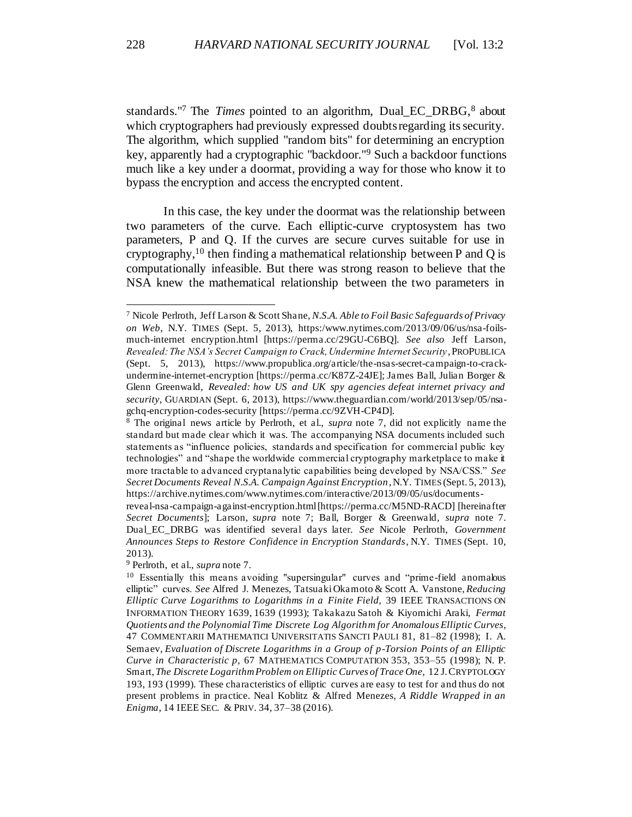<span id="page-4-1"></span><span id="page-4-0"></span>standards."<sup>7</sup> The *Times* pointed to an algorithm, Dual\_EC\_DRBG,<sup>8</sup> about which cryptographers had previously expressed doubts regarding its security. The algorithm, which supplied "random bits" for determining an encryption key, apparently had a cryptographic "backdoor."<sup>9</sup> Such a backdoor functions much like a key under a doormat, providing a way for those who know it to bypass the encryption and access the encrypted content.

<span id="page-4-2"></span>In this case, the key under the doormat was the relationship between two parameters of the curve. Each elliptic-curve cryptosystem has two parameters, P and Q. If the curves are secure curves suitable for use in cryptography,<sup>10</sup> then finding a mathematical relationship between P and Q is computationally infeasible. But there was strong reason to believe that the NSA knew the mathematical relationship between the two parameters in

<sup>7</sup> Nicole Perlroth, Jeff Larson & Scott Shane, *N.S.A. Able to Foil Basic Safeguards of Privacy on Web*, N.Y. TIMES (Sept. 5, 2013), https:/www.nytimes.com/2013/09/06/us/nsa-foilsmuch-internet encryption.html [https://perma.cc/29GU-C6BQ]. *See also* Jeff Larson, *Revealed: The NSA's Secret Campaign to Crack, Undermine Internet Security*, PROPUBLICA (Sept. 5, 2013), https://www.propublica.org/article/the-nsas-secret-campaign-to-crackundermine-internet-encryption [https://perma.cc/K87Z-24JE]; James Ball, Julian Borger & Glenn Greenwald*, Revealed: how US and UK spy agencies defeat internet privacy and security*, GUARDIAN (Sept. 6, 2013), https://www.theguardian.com/world/2013/sep/05/nsagchq-encryption-codes-security [https://perma.cc/9ZVH-CP4D].

<sup>8</sup> The original news article by Perlroth, et al., *supra* note [7,](#page-4-0) did not explicitly name the standard but made clear which it was. The accompanying NSA documents included such statements as "influence policies, standards and specification for commercial public key technologies" and "shape the worldwide commercial cryptography marketplace to make it more tractable to advanced cryptanalytic capabilities being developed by NSA/CSS." *See Secret Documents Reveal N.S.A. Campaign Against Encryption*, N.Y. TIMES (Sept. 5, 2013), https://archive.nytimes.com/www.nytimes.com/interactive/2013/09/05/us/documents-

reveal-nsa-campaign-against-encryption.html [https://perma.cc/M5ND-RACD] [hereinafter *Secret Documents*]; Larson, *supra* note [7;](#page-4-0) Ball, Borger & Greenwald*, supra* note [7.](#page-4-0) Dual\_EC\_DRBG was identified several days later. *See* Nicole Perlroth, *Government Announces Steps to Restore Confidence in Encryption Standards*, N.Y. TIMES (Sept. 10, 2013).

<sup>9</sup> Perlroth, et al., *supra* not[e 7.](#page-4-0)

<sup>10</sup> Essentially this means avoiding "supersingular" curves and "prime-field anomalous elliptic" curves. *See* Alfred J. Menezes, TatsuakiOkamoto & Scott A. Vanstone, *Reducing Elliptic Curve Logarithms to Logarithms in a Finite Field,* 39 IEEE TRANSACTIONS ON INFORMATION THEORY 1639, 1639 (1993); Takakazu Satoh & Kiyomichi Araki, *Fermat Quotients and the Polynomial Time Discrete Log Algorithm for Anomalous Elliptic Curves*, 47 COMMENTARII MATHEMATICI UNIVERSITATIS SANCTI PAULI 81, 81–82 (1998); I. A. Semaev, *Evaluation of Discrete Logarithms in a Group of p-Torsion Points of an Elliptic Curve in Characteristic p,* 67 MATHEMATICS COMPUTATION 353, 353–55 (1998); N. P. Smart, *The Discrete Logarithm Problem on Elliptic Curves of Trace One,* 12 J.CRYPTOLOGY 193, 193 (1999). These characteristics of elliptic curves are easy to test for and thus do not present problems in practice. Neal Koblitz & Alfred Menezes, *A Riddle Wrapped in an Enigma*, 14 IEEE SEC. & PRIV. 34, 37–38 (2016).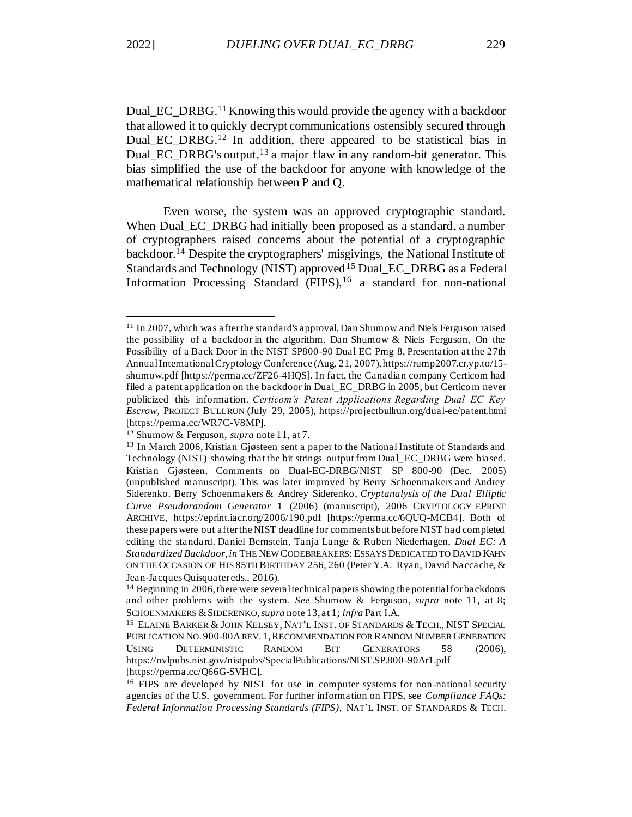<span id="page-5-1"></span><span id="page-5-0"></span>Dual EC DRBG.<sup>11</sup> Knowing this would provide the agency with a backdoor that allowed it to quickly decrypt communications ostensibly secured through Dual\_EC\_DRBG.<sup>12</sup> In addition, there appeared to be statistical bias in Dual EC DRBG's output,  $13$  a major flaw in any random-bit generator. This bias simplified the use of the backdoor for anyone with knowledge of the mathematical relationship between P and Q.

<span id="page-5-2"></span>Even worse, the system was an approved cryptographic standard. When Dual EC\_DRBG had initially been proposed as a standard, a number of cryptographers raised concerns about the potential of a cryptographic backdoor.<sup>14</sup> Despite the cryptographers' misgivings, the National Institute of Standards and Technology (NIST) approved<sup>15</sup> Dual\_EC\_DRBG as a Federal Information Processing Standard  $(FIPS)$ , <sup>16</sup> a standard for non-national

<sup>11</sup> In 2007, which was after the standard's approval, Dan Shumow and Niels Ferguson raised the possibility of a backdoor in the algorithm. Dan Shumow & Niels Ferguson, On the Possibility of a Back Door in the NIST SP800-90 Dual EC Prng 8, Presentation at the 27th Annual International Cryptology Conference (Aug. 21, 2007), https://rump2007.cr.yp.to/15 shumow.pdf [https://perma.cc/ZF26-4HQS]. In fact, the Canadian company Certicom had filed a patent application on the backdoor in Dual\_EC\_DRBG in 2005, but Certicom never publicized this information. *Certicom's Patent Applications Regarding Dual EC Key Escrow*, PROJECT BULLRUN (July 29, 2005), https://projectbullrun.org/dual-ec/patent.html [https://perma.cc/WR7C-V8MP].

<sup>12</sup> Shumow & Ferguson, *supra* not[e 11,](#page-5-0) at 7.

<sup>&</sup>lt;sup>13</sup> In March 2006, Kristian Gjøsteen sent a paper to the National Institute of Standards and Technology (NIST) showing that the bit strings output from Dual\_EC\_DRBG were biased. Kristian Gjøsteen, Comments on Dual-EC-DRBG/NIST SP 800-90 (Dec. 2005) (unpublished manuscript). This was later improved by Berry Schoenmakers and Andrey Siderenko. Berry Schoenmakers & Andrey Siderenko, *Cryptanalysis of the Dual Elliptic Curve Pseudorandom Generator* 1 (2006) (manuscript), 2006 CRYPTOLOGY EPRINT ARCHIVE, https://eprint.iacr.org/2006/190.pdf [https://perma.cc/6QUQ-MCB4]. Both of these papers were out after the NIST deadline for comments but before NIST had completed editing the standard. Daniel Bernstein, Tanja Lange & Ruben Niederhagen, *Dual EC: A Standardized Backdoor, in* THE NEW CODEBREAKERS: ESSAYS DEDICATED TO DAVID KAHN ON THE OCCASION OF HIS 85TH BIRTHDAY 256, 260 (Peter Y.A. Ryan, David Naccache, & Jean-Jacques Quisquater eds., 2016).

<sup>&</sup>lt;sup>14</sup> Beginning in 2006, there were several technical papers showing the potential for backdoors and other problems with the system. *See* Shumow & Ferguson, *supra* note [11,](#page-5-0) at 8; SCHOENMAKERS & SIDERENKO, *supra* not[e 13,](#page-5-1) at 1; *infra* Part I.A.

<sup>15</sup> ELAINE BARKER & JOHN KELSEY, NAT'L INST. OF STANDARDS & TECH., NIST SPECIAL PUBLICATION NO. 900-80AREV. 1,RECOMMENDATION FOR RANDOM NUMBER GENERATION USING DETERMINISTIC RANDOM BIT GENERATORS 58 (2006), https://nvlpubs.nist.gov/nistpubs/SpecialPublications/NIST.SP.800-90Ar1.pdf [https://perma.cc/Q66G-SVHC].

<sup>&</sup>lt;sup>16</sup> FIPS are developed by NIST for use in computer systems for non-national security agencies of the U.S. government. For further information on FIPS, see *Compliance FAQs: Federal Information Processing Standards (FIPS)*, NAT'L INST. OF STANDARDS & TECH.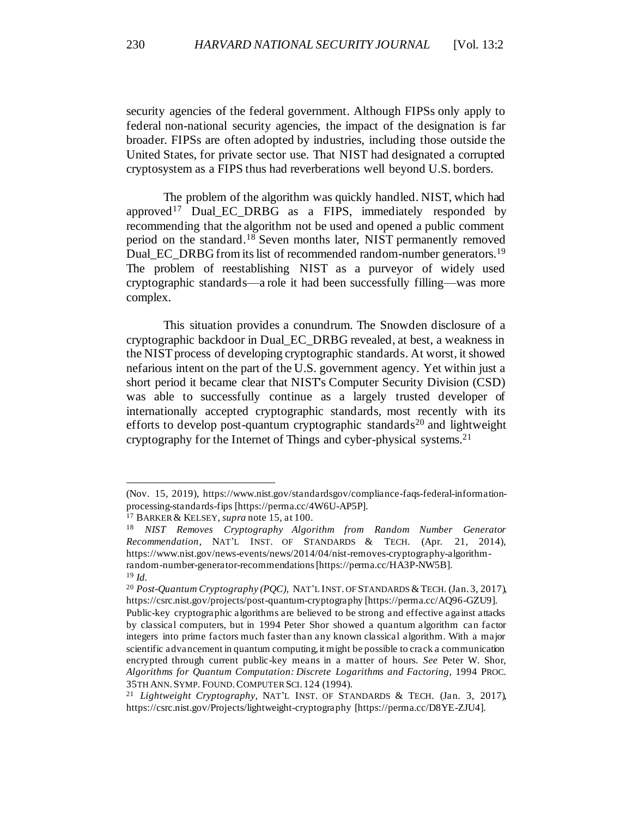security agencies of the federal government. Although FIPSs only apply to federal non-national security agencies, the impact of the designation is far broader. FIPSs are often adopted by industries, including those outside the United States, for private sector use. That NIST had designated a corrupted cryptosystem as a FIPS thus had reverberations well beyond U.S. borders.

The problem of the algorithm was quickly handled. NIST, which had approved<sup>17</sup> Dual EC DRBG as a FIPS, immediately responded by recommending that the algorithm not be used and opened a public comment period on the standard.<sup>18</sup> Seven months later, NIST permanently removed Dual\_EC\_DRBG from its list of recommended random-number generators.<sup>19</sup> The problem of reestablishing NIST as a purveyor of widely used cryptographic standards—a role it had been successfully filling—was more complex.

This situation provides a conundrum. The Snowden disclosure of a cryptographic backdoor in Dual\_EC\_DRBG revealed, at best, a weakness in the NIST process of developing cryptographic standards. At worst, it showed nefarious intent on the part of the U.S. government agency. Yet within just a short period it became clear that NIST's Computer Security Division (CSD) was able to successfully continue as a largely trusted developer of internationally accepted cryptographic standards, most recently with its efforts to develop post-quantum cryptographic standards<sup>20</sup> and lightweight cryptography for the Internet of Things and cyber-physical systems.<sup>21</sup>

<sup>(</sup>Nov. 15, 2019), https://www.nist.gov/standardsgov/compliance-faqs-federal-informationprocessing-standards-fips [https://perma.cc/4W6U-AP5P].

<sup>17</sup> BARKER & KELSEY, *supra* not[e 15](#page-5-2), at 100.

<sup>18</sup> *NIST Removes Cryptography Algorithm from Random Number Generator Recommendation*, NAT'L INST. OF STANDARDS & TECH. (Apr. 21, 2014), https://www.nist.gov/news-events/news/2014/04/nist-removes-cryptography-algorithmrandom-number-generator-recommendations [https://perma.cc/HA3P-NW5B]. <sup>19</sup> *Id.*

<sup>&</sup>lt;sup>20</sup> Post-Quantum Cryptography (PQC), NAT'L INST. OF STANDARDS & TECH. (Jan. 3, 2017), https://csrc.nist.gov/projects/post-quantum-cryptography [https://perma.cc/AQ96-GZU9].

Public-key cryptographic algorithms are believed to be strong and effective against attacks by classical computers, but in 1994 Peter Shor showed a quantum algorithm can factor integers into prime factors much faster than any known classical algorithm. With a major scientific advancement in quantum computing, it might be possible to crack a communication encrypted through current public-key means in a matter of hours. *See* Peter W. Shor, *Algorithms for Quantum Computation: Discrete Logarithms and Factoring,* 1994 PROC. 35TH ANN.SYMP. FOUND.COMPUTER SCI. 124 (1994).

<sup>21</sup> *Lightweight Cryptography,* NAT'L INST. OF STANDARDS & TECH. (Jan. 3, 2017), https://csrc.nist.gov/Projects/lightweight-cryptography [https://perma.cc/D8YE-ZJU4].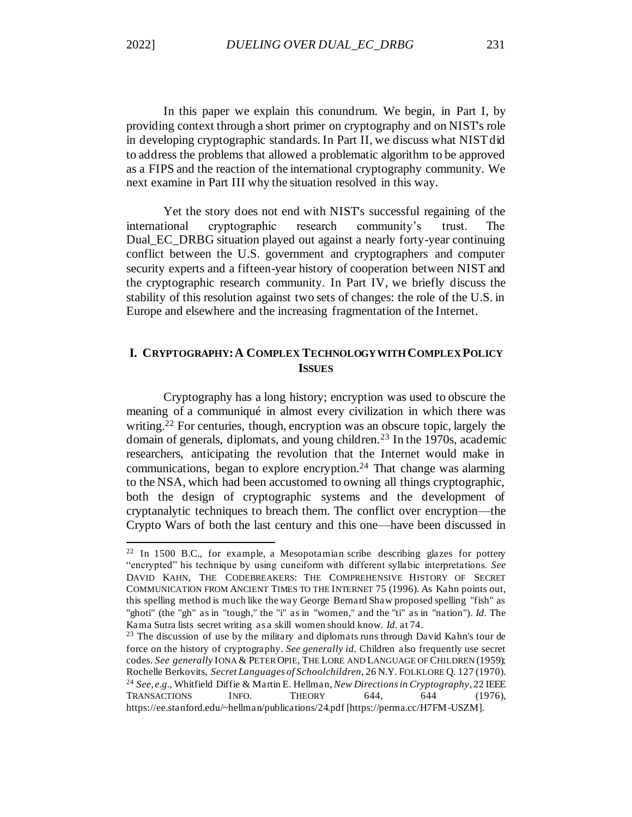In this paper we explain this conundrum. We begin, in Part I, by providing context through a short primer on cryptography and on NIST's role in developing cryptographic standards. In Part II, we discuss what NIST did to address the problems that allowed a problematic algorithm to be approved as a FIPS and the reaction of the international cryptography community. We next examine in Part III why the situation resolved in this way.

Yet the story does not end with NIST's successful regaining of the international cryptographic research community's trust. The Dual\_EC\_DRBG situation played out against a nearly forty-year continuing conflict between the U.S. government and cryptographers and computer security experts and a fifteen-year history of cooperation between NIST and the cryptographic research community. In Part IV, we briefly discuss the stability of this resolution against two sets of changes: the role of the U.S. in Europe and elsewhere and the increasing fragmentation of the Internet.

# <span id="page-7-0"></span>**I. CRYPTOGRAPHY:A COMPLEX TECHNOLOGY WITH COMPLEX POLICY ISSUES**

<span id="page-7-2"></span><span id="page-7-1"></span>Cryptography has a long history; encryption was used to obscure the meaning of a communiqué in almost every civilization in which there was writing.<sup>22</sup> For centuries, though, encryption was an obscure topic, largely the domain of generals, diplomats, and young children.<sup>23</sup> In the 1970s, academic researchers, anticipating the revolution that the Internet would make in communications, began to explore encryption.<sup>24</sup> That change was alarming to the NSA, which had been accustomed to owning all things cryptographic, both the design of cryptographic systems and the development of cryptanalytic techniques to breach them. The conflict over encryption—the Crypto Wars of both the last century and this one—have been discussed in

<sup>22</sup> In 1500 B.C., for example, a Mesopotamian scribe describing glazes for pottery "encrypted" his technique by using cuneiform with different syllabic interpretations. *See* DAVID KAHN, THE CODEBREAKERS: THE COMPREHENSIVE HISTORY OF SECRET COMMUNICATION FROM ANCIENT TIMES TO THE INTERNET 75 (1996). As Kahn points out, this spelling method is much like the way George Bernard Shaw proposed spelling "fish" as "ghoti" (the "gh" as in "tough," the "i" as in "women," and the "ti" as in "nation"). *Id.* The Kama Sutra lists secret writing as a skill women should know. *Id.* at 74.

<sup>&</sup>lt;sup>23</sup> The discussion of use by the military and diplomats runs through David Kahn's tour de force on the history of cryptography. *See generally id.* Children also frequently use secret codes. *See generally* IONA & PETER OPIE, THE LORE AND LANGUAGE OF CHILDREN (1959); Rochelle Berkovits, *Secret Languages of Schoolchildren,* 26 N.Y. FOLKLORE Q. 127 (1970). <sup>24</sup> *See, e.g.*, Whitfield Diffie & Martin E. Hellman, *New Directions in Cryptography*, 22 IEEE TRANSACTIONS INFO. THEORY 644, 644 (1976), https://ee.stanford.edu/~hellman/publications/24.pdf [https://perma.cc/H7FM-USZM].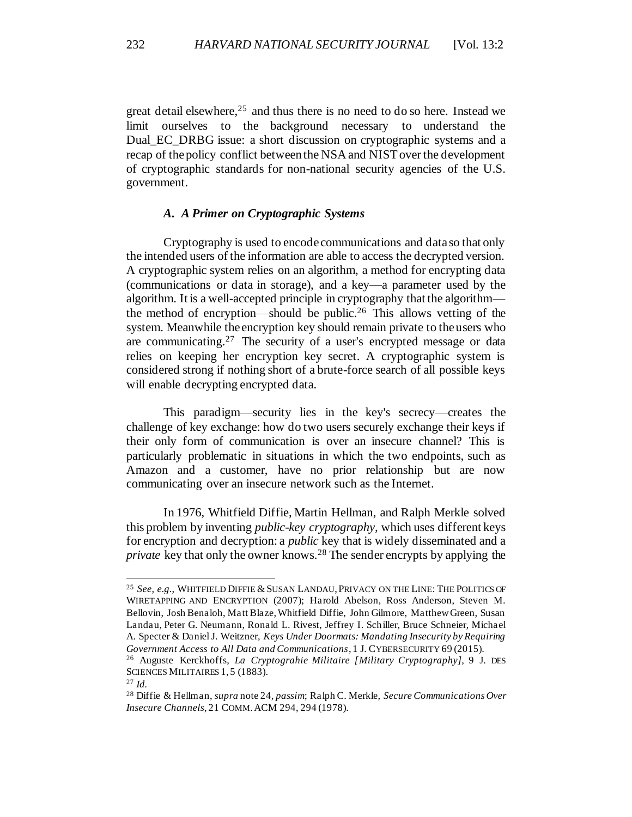<span id="page-8-1"></span>great detail elsewhere,  $25$  and thus there is no need to do so here. Instead we limit ourselves to the background necessary to understand the Dual\_EC\_DRBG issue: a short discussion on cryptographic systems and a recap of the policy conflict between the NSA and NIST over the development of cryptographic standards for non-national security agencies of the U.S. government.

# *A. A Primer on Cryptographic Systems*

<span id="page-8-0"></span>Cryptography is used to encode communications and data so that only the intended users of the information are able to access the decrypted version. A cryptographic system relies on an algorithm, a method for encrypting data (communications or data in storage), and a key—a parameter used by the algorithm. It is a well-accepted principle in cryptography that the algorithm the method of encryption—should be public.<sup>26</sup> This allows vetting of the system. Meanwhile the encryption key should remain private to the users who are communicating.<sup>27</sup> The security of a user's encrypted message or data relies on keeping her encryption key secret. A cryptographic system is considered strong if nothing short of a brute-force search of all possible keys will enable decrypting encrypted data.

This paradigm—security lies in the key's secrecy—creates the challenge of key exchange: how do two users securely exchange their keys if their only form of communication is over an insecure channel? This is particularly problematic in situations in which the two endpoints, such as Amazon and a customer, have no prior relationship but are now communicating over an insecure network such as the Internet.

In 1976, Whitfield Diffie, Martin Hellman, and Ralph Merkle solved this problem by inventing *public-key cryptography,* which uses different keys for encryption and decryption: a *public* key that is widely disseminated and a *private* key that only the owner knows.<sup>28</sup> The sender encrypts by applying the

<sup>&</sup>lt;sup>25</sup> See, e.g., WHITFIELD DIFFIE & SUSAN LANDAU, PRIVACY ON THE LINE: THE POLITICS OF WIRETAPPING AND ENCRYPTION (2007); Harold Abelson, Ross Anderson, Steven M. Bellovin, Josh Benaloh, Matt Blaze, Whitfield Diffie, John Gilmore, Matthew Green, Susan Landau, Peter G. Neumann, Ronald L. Rivest, Jeffrey I. Schiller, Bruce Schneier, Michael A. Specter & Daniel J. Weitzner, *Keys Under Doormats: Mandating Insecurity by Requiring Government Access to All Data and Communications*, 1 J. CYBERSECURITY 69 (2015).

<sup>26</sup> Auguste Kerckhoffs, *La Cryptograhie Militaire [Military Cryptography],* 9 J. DES SCIENCES MILITAIRES 1, 5 (1883).

<sup>27</sup> *Id.*

<sup>28</sup> Diffie & Hellman, *supra* not[e 24,](#page-7-1) *passim*; Ralph C. Merkle, *Secure Communications Over Insecure Channels,* 21 COMM.ACM 294, 294 (1978).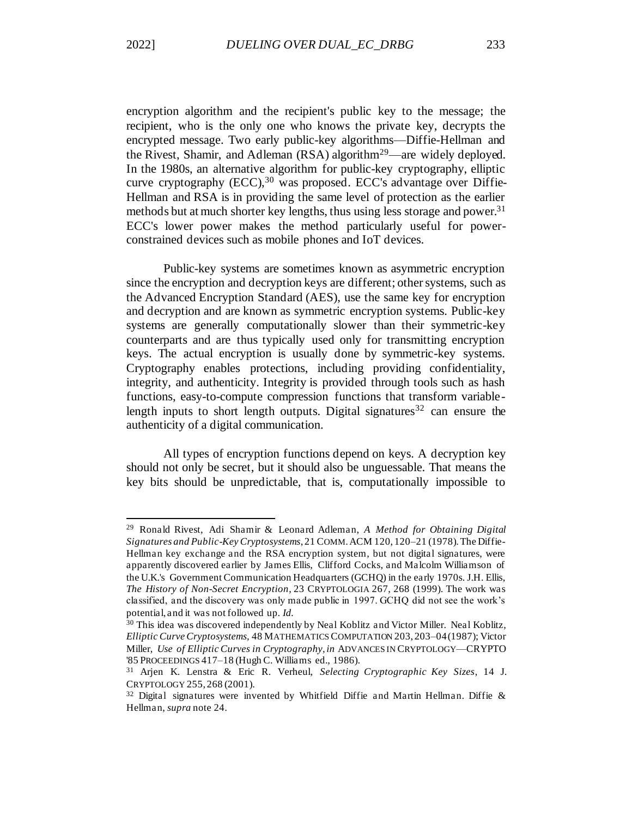encryption algorithm and the recipient's public key to the message; the recipient, who is the only one who knows the private key, decrypts the encrypted message. Two early public-key algorithms—Diffie-Hellman and the Rivest, Shamir, and Adleman  $(RSA)$  algorithm<sup>29</sup>—are widely deployed. In the 1980s, an alternative algorithm for public-key cryptography, elliptic curve cryptography  $(ECC)$ ,  $30$  was proposed. ECC's advantage over Diffie-Hellman and RSA is in providing the same level of protection as the earlier methods but at much shorter key lengths, thus using less storage and power.<sup>31</sup> ECC's lower power makes the method particularly useful for powerconstrained devices such as mobile phones and IoT devices.

Public-key systems are sometimes known as asymmetric encryption since the encryption and decryption keys are different; other systems, such as the Advanced Encryption Standard (AES), use the same key for encryption and decryption and are known as symmetric encryption systems. Public-key systems are generally computationally slower than their symmetric-key counterparts and are thus typically used only for transmitting encryption keys. The actual encryption is usually done by symmetric-key systems. Cryptography enables protections, including providing confidentiality, integrity, and authenticity. Integrity is provided through tools such as hash functions, easy-to-compute compression functions that transform variablelength inputs to short length outputs. Digital signatures  $32$  can ensure the authenticity of a digital communication.

All types of encryption functions depend on keys. A decryption key should not only be secret, but it should also be unguessable. That means the key bits should be unpredictable, that is, computationally impossible to

<sup>29</sup> Ronald Rivest, Adi Shamir & Leonard Adleman, *A Method for Obtaining Digital Signatures and Public-Key Cryptosystems*, 21 COMM.ACM 120, 120–21 (1978). The Diffie-Hellman key exchange and the RSA encryption system, but not digital signatures, were apparently discovered earlier by James Ellis, Clifford Cocks, and Malcolm Williamson of the U.K.'s Government Communication Headquarters (GCHQ) in the early 1970s. J.H. Ellis, *The History of Non-Secret Encryption*, 23 CRYPTOLOGIA 267, 268 (1999). The work was classified, and the discovery was only made public in 1997. GCHQ did not see the work's potential, and it was not followed up. *Id.*

<sup>30</sup> This idea was discovered independently by Neal Koblitz and Victor Miller. Neal Koblitz*, Elliptic Curve Cryptosystems,* 48 MATHEMATICS COMPUTATION 203, 203–04 (1987); Victor Miller*, Use of Elliptic Curves in Cryptography, in* ADVANCES IN CRYPTOLOGY—CRYPTO '85 PROCEEDINGS 417–18 (Hugh C. Williams ed., 1986).

<sup>31</sup> Arjen K. Lenstra & Eric R. Verheul, *Selecting Cryptographic Key Sizes*, 14 J. CRYPTOLOGY 255, 268 (2001).

 $32$  Digital signatures were invented by Whitfield Diffie and Martin Hellman. Diffie & Hellman, *supra* note [24.](#page-7-1)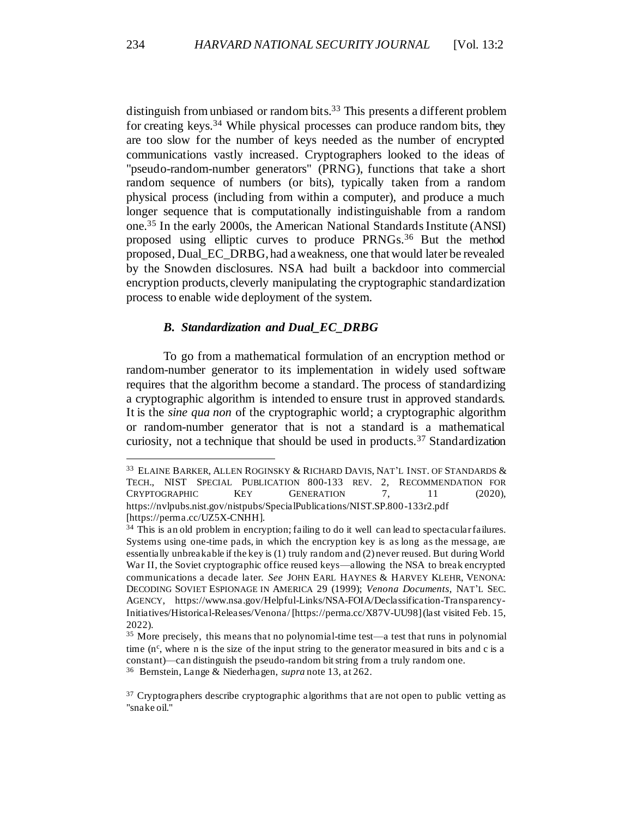distinguish from unbiased or random bits.<sup>33</sup> This presents a different problem for creating keys.<sup>34</sup> While physical processes can produce random bits, they are too slow for the number of keys needed as the number of encrypted communications vastly increased. Cryptographers looked to the ideas of "pseudo-random-number generators" (PRNG), functions that take a short random sequence of numbers (or bits), typically taken from a random physical process (including from within a computer), and produce a much longer sequence that is computationally indistinguishable from a random one.<sup>35</sup> In the early 2000s, the American National Standards Institute (ANSI) proposed using elliptic curves to produce PRNGs.<sup>36</sup> But the method proposed, Dual\_EC\_DRBG, had a weakness, one that would later be revealed by the Snowden disclosures. NSA had built a backdoor into commercial encryption products, cleverly manipulating the cryptographic standardization process to enable wide deployment of the system.

### *B. Standardization and Dual\_EC\_DRBG*

<span id="page-10-0"></span>To go from a mathematical formulation of an encryption method or random-number generator to its implementation in widely used software requires that the algorithm become a standard. The process of standardizing a cryptographic algorithm is intended to ensure trust in approved standards. It is the *sine qua non* of the cryptographic world; a cryptographic algorithm or random-number generator that is not a standard is a mathematical curiosity, not a technique that should be used in products.<sup>37</sup> Standardization

<sup>33</sup> ELAINE BARKER, ALLEN ROGINSKY & RICHARD DAVIS, NAT'L INST. OF STANDARDS & TECH., NIST SPECIAL PUBLICATION 800-133 REV. 2, RECOMMENDATION FOR CRYPTOGRAPHIC KEY GENERATION 7, 11 (2020), https://nvlpubs.nist.gov/nistpubs/SpecialPublications/NIST.SP.800-133r2.pdf [https://perma.cc/UZ5X-CNHH].

<sup>&</sup>lt;sup>34</sup> This is an old problem in encryption; failing to do it well can lead to spectacular failures. Systems using one-time pads, in which the encryption key is as long as the message, are essentially unbreakable if the key is (1) truly random and (2) never reused. But during World War II, the Soviet cryptographic office reused keys—allowing the NSA to break encrypted communications a decade later. *See* JOHN EARL HAYNES & HARVEY KLEHR, VENONA: DECODING SOVIET ESPIONAGE IN AMERICA 29 (1999); *Venona Documents*, NAT'L SEC. AGENCY, https://www.nsa.gov/Helpful-Links/NSA-FOIA/Declassification-Transparency-Initiatives/Historical-Releases/Venona/ [https://perma.cc/X87V-UU98] (last visited Feb. 15, 2022).

<sup>35</sup> More precisely, this means that no polynomial-time test—a test that runs in polynomial time  $(n<sup>c</sup>$ , where n is the size of the input string to the generator measured in bits and c is a constant)—can distinguish the pseudo-random bit string from a truly random one.

<sup>36</sup> Bernstein, Lange & Niederhagen, *supra* not[e 13](#page-5-1), at 262.

<sup>&</sup>lt;sup>37</sup> Cryptographers describe cryptographic algorithms that are not open to public vetting as "snake oil."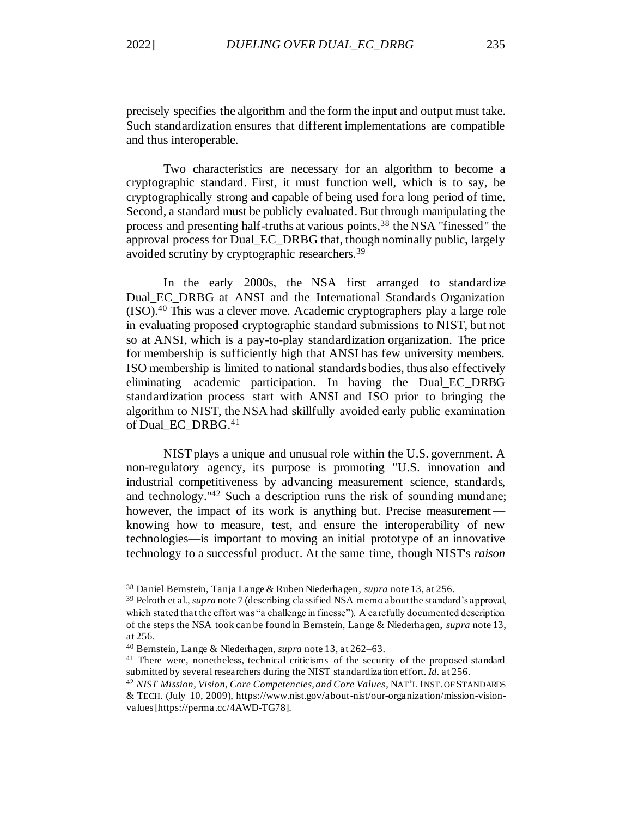precisely specifies the algorithm and the form the input and output must take. Such standardization ensures that different implementations are compatible and thus interoperable.

Two characteristics are necessary for an algorithm to become a cryptographic standard. First, it must function well, which is to say, be cryptographically strong and capable of being used for a long period of time. Second, a standard must be publicly evaluated. But through manipulating the process and presenting half-truths at various points,<sup>38</sup> the NSA "finessed" the approval process for Dual\_EC\_DRBG that, though nominally public, largely avoided scrutiny by cryptographic researchers.<sup>39</sup>

In the early 2000s, the NSA first arranged to standardize Dual\_EC\_DRBG at ANSI and the International Standards Organization (ISO).<sup>40</sup> This was a clever move. Academic cryptographers play a large role in evaluating proposed cryptographic standard submissions to NIST, but not so at ANSI, which is a pay-to-play standardization organization. The price for membership is sufficiently high that ANSI has few university members. ISO membership is limited to national standards bodies, thus also effectively eliminating academic participation. In having the Dual\_EC\_DRBG standardization process start with ANSI and ISO prior to bringing the algorithm to NIST, the NSA had skillfully avoided early public examination of Dual\_EC\_DRBG.<sup>41</sup>

NIST plays a unique and unusual role within the U.S. government. A non-regulatory agency, its purpose is promoting "U.S. innovation and industrial competitiveness by advancing measurement science, standards, and technology."<sup>42</sup> Such a description runs the risk of sounding mundane; however, the impact of its work is anything but. Precise measurement knowing how to measure, test, and ensure the interoperability of new technologies—is important to moving an initial prototype of an innovative technology to a successful product. At the same time, though NIST's *raison* 

<sup>38</sup> Daniel Bernstein, Tanja Lange & Ruben Niederhagen*, supra* not[e 13,](#page-5-1) at 256.

<sup>39</sup> Pelroth et al.*, supra* not[e 7](#page-4-0) (describing classified NSA memo about the standard's approval, which stated that the effort was "a challenge in finesse"). A carefully documented description of the steps the NSA took can be found in Bernstein, Lange & Niederhagen, *supra* not[e 13,](#page-5-1) at 256.

<sup>40</sup> Bernstein, Lange & Niederhagen, *supra* not[e 13,](#page-5-1) at 262–63.

<sup>&</sup>lt;sup>41</sup> There were, nonetheless, technical criticisms of the security of the proposed standard submitted by several researchers during the NIST standardization effort. *Id.* at 256.

<sup>42</sup> *NIST Mission, Vision, Core Competencies, and Core Values*, NAT'L INST. OF STANDARDS & TECH. (July 10, 2009), https://www.nist.gov/about-nist/our-organization/mission-visionvalues [https://perma.cc/4AWD-TG78].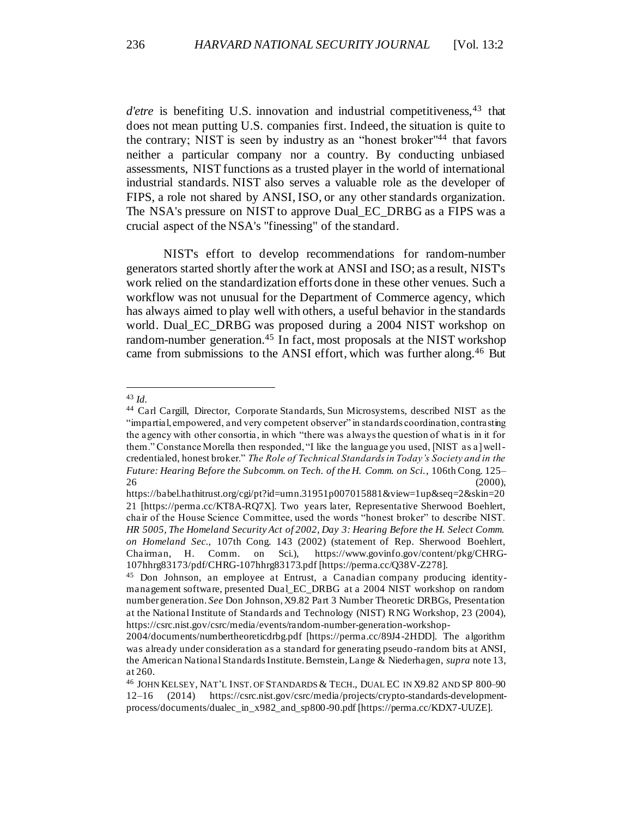*d'etre* is benefiting U.S. innovation and industrial competitiveness, <sup>43</sup> that does not mean putting U.S. companies first. Indeed, the situation is quite to the contrary; NIST is seen by industry as an "honest broker" <sup>44</sup> that favors neither a particular company nor a country. By conducting unbiased assessments, NIST functions as a trusted player in the world of international industrial standards. NIST also serves a valuable role as the developer of FIPS, a role not shared by ANSI, ISO, or any other standards organization. The NSA's pressure on NIST to approve Dual\_EC\_DRBG as a FIPS was a crucial aspect of the NSA's "finessing" of the standard.

NIST's effort to develop recommendations for random-number generators started shortly after the work at ANSI and ISO; as a result, NIST's work relied on the standardization efforts done in these other venues. Such a workflow was not unusual for the Department of Commerce agency, which has always aimed to play well with others, a useful behavior in the standards world. Dual\_EC\_DRBG was proposed during a 2004 NIST workshop on random-number generation.<sup>45</sup> In fact, most proposals at the NIST workshop came from submissions to the ANSI effort, which was further along.<sup>46</sup> But

<span id="page-12-0"></span><sup>43</sup> *Id.*

<sup>44</sup> Carl Cargill, Director, Corporate Standards, Sun Microsystems, described NIST as the "impartial, empowered, and very competent observer" in standards coordination, contrasting the agency with other consortia, in which "there was always the question of what is in it for them." Constance Morella then responded, "I like the language you used, [NIST as a] wellcredentialed, honest broker." *The Role of Technical Standards in Today's Society and in the Future: Hearing Before the Subcomm. on Tech. of the H. Comm. on Sci.*, 106th Cong. 125–  $26$  (2000),

https://babel.hathitrust.org/cgi/pt?id=umn.31951p007015881&view=1up&seq=2&skin=20 21 [https://perma.cc/KT8A-RQ7X]. Two years later, Representative Sherwood Boehlert, chair of the House Science Committee, used the words "honest broker" to describe NIST. *HR 5005, The Homeland Security Act of 2002, Day 3: Hearing Before the H. Select Comm. on Homeland Sec.*, 107th Cong. 143 (2002) (statement of Rep. Sherwood Boehlert, Chairman, H. Comm. on Sci.), https://www.govinfo.gov/content/pkg/CHRG-107hhrg83173/pdf/CHRG-107hhrg83173.pdf [https://perma.cc/Q38V-Z278].

<sup>45</sup> Don Johnson, an employee at Entrust, a Canadian company producing identitymanagement software, presented Dual\_EC\_DRBG at a 2004 NIST workshop on random number generation. *See* Don Johnson, X9.82 Part 3 Number Theoretic DRBGs, Presentation at the National Institute of Standards and Technology (NIST) RNG Workshop, 23 (2004), https://csrc.nist.gov/csrc/media/events/random-number-generation-workshop-

<sup>2004/</sup>documents/numbertheoreticdrbg.pdf [https://perma.cc/89J4-2HDD]. The algorithm was already under consideration as a standard for generating pseudo-random bits at ANSI, the American National Standards Institute. Bernstein, Lange & Niederhagen, *supra* note 13, at 260.

<sup>46</sup> JOHN KELSEY, NAT'L INST. OF STANDARDS & TECH., DUAL EC IN X9.82 AND SP 800–90 12–16 (2014) https://csrc.nist.gov/csrc/media/projects/crypto-standards-developmentprocess/documents/dualec\_in\_x982\_and\_sp800-90.pdf [https://perma.cc/KDX7-UUZE].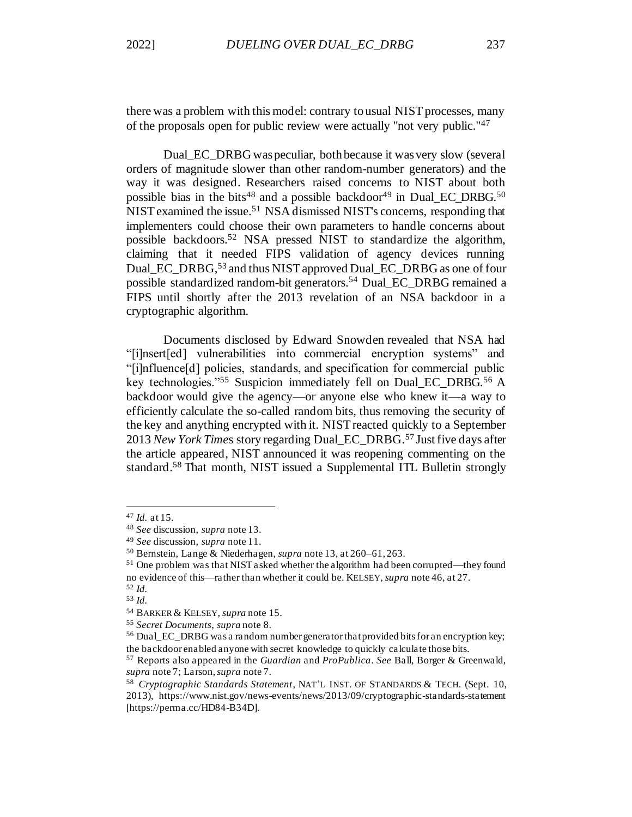there was a problem with this model: contrary to usual NIST processes, many of the proposals open for public review were actually "not very public."<sup>47</sup>

Dual\_EC\_DRBG was peculiar, both because it was very slow (several orders of magnitude slower than other random-number generators) and the way it was designed. Researchers raised concerns to NIST about both possible bias in the bits<sup>48</sup> and a possible backdoor<sup>49</sup> in Dual\_EC\_DRBG.<sup>50</sup> NIST examined the issue.<sup>51</sup> NSA dismissed NIST's concerns, responding that implementers could choose their own parameters to handle concerns about possible backdoors.<sup>52</sup> NSA pressed NIST to standardize the algorithm, claiming that it needed FIPS validation of agency devices running Dual EC\_DRBG,<sup>53</sup> and thus NIST approved Dual EC\_DRBG as one of four possible standardized random-bit generators.<sup>54</sup> Dual\_EC\_DRBG remained a FIPS until shortly after the 2013 revelation of an NSA backdoor in a cryptographic algorithm.

Documents disclosed by Edward Snowden revealed that NSA had "[i]nsert[ed] vulnerabilities into commercial encryption systems" and "[i]nfluence[d] policies, standards, and specification for commercial public key technologies."<sup>55</sup> Suspicion immediately fell on Dual EC DRBG.<sup>56</sup> A backdoor would give the agency—or anyone else who knew it—a way to efficiently calculate the so-called random bits, thus removing the security of the key and anything encrypted with it. NIST reacted quickly to a September 2013 *New York Time*s story regarding Dual\_EC\_DRBG.<sup>57</sup> Just five days after the article appeared, NIST announced it was reopening commenting on the standard.<sup>58</sup> That month, NIST issued a Supplemental ITL Bulletin strongly

<sup>47</sup> *Id.* at 15.

<sup>48</sup> *See* discussion, *supra* not[e 13.](#page-5-1)

<sup>49</sup> *See* discussion, *supra* not[e 11.](#page-5-0)

<sup>50</sup> Bernstein, Lange & Niederhagen, *supra* not[e 13,](#page-5-1) at 260–61, 263.

<sup>51</sup> One problem was that NIST asked whether the algorithm had been corrupted—they found no evidence of this—rather than whether it could be. KELSEY, *supra* not[e 46,](#page-12-0) at 27. <sup>52</sup> *Id.*

<sup>53</sup> *Id.*

<sup>54</sup> BARKER & KELSEY, *supra* not[e 15](#page-5-2).

<sup>55</sup> *Secret Documents*, *supra* not[e 8.](#page-4-1)

<sup>&</sup>lt;sup>56</sup> Dual<sub>EC</sub> DRBG was a random number generator that provided bits for an encryption key; the backdoor enabled anyone with secret knowledge to quickly calculate those bits.

<sup>57</sup> Reports also appeared in the *Guardian* and *ProPublica*. *See* Ball, Borger & Greenwald, *supra* not[e 7;](#page-4-0) Larson, *supra* not[e 7.](#page-4-0)

<sup>58</sup> *Cryptographic Standards Statement*, NAT'L INST. OF STANDARDS & TECH. (Sept. 10, 2013), https://www.nist.gov/news-events/news/2013/09/cryptographic-standards-statement [https://perma.cc/HD84-B34D].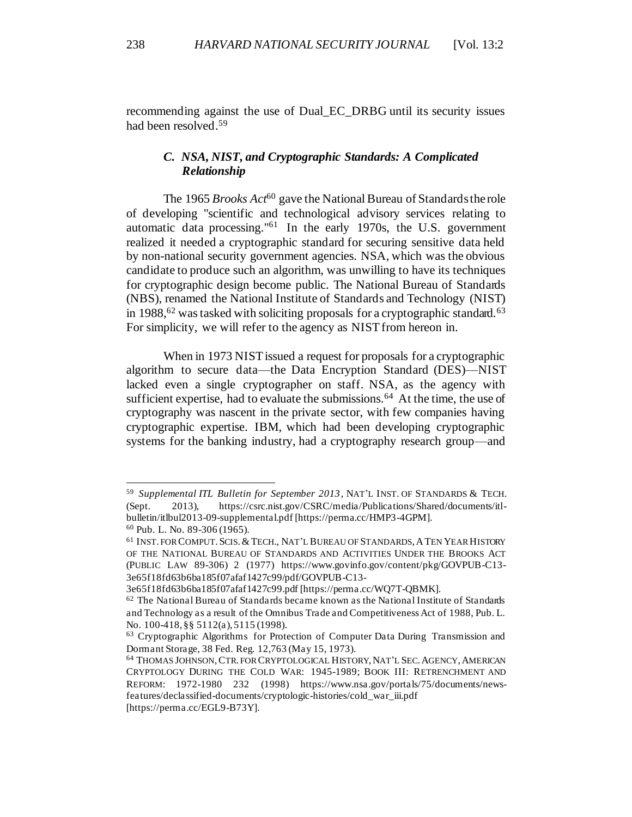recommending against the use of Dual\_EC\_DRBG until its security issues had been resolved.<sup>59</sup>

# <span id="page-14-0"></span>*C. NSA, NIST, and Cryptographic Standards: A Complicated Relationship*

The 1965 *Brooks Act*<sup>60</sup> gave the National Bureau of Standards the role of developing "scientific and technological advisory services relating to automatic data processing."<sup>61</sup> In the early 1970s, the U.S. government realized it needed a cryptographic standard for securing sensitive data held by non-national security government agencies. NSA, which was the obvious candidate to produce such an algorithm, was unwilling to have its techniques for cryptographic design become public. The National Bureau of Standards (NBS), renamed the National Institute of Standards and Technology (NIST) in 1988,  $62$  was tasked with soliciting proposals for a cryptographic standard.  $63$ For simplicity, we will refer to the agency as NIST from hereon in.

<span id="page-14-1"></span>When in 1973 NIST issued a request for proposals for a cryptographic algorithm to secure data—the Data Encryption Standard (DES)—NIST lacked even a single cryptographer on staff. NSA, as the agency with sufficient expertise, had to evaluate the submissions.<sup>64</sup> At the time, the use of cryptography was nascent in the private sector, with few companies having cryptographic expertise. IBM, which had been developing cryptographic systems for the banking industry, had a cryptography research group—and

<sup>59</sup> *Supplemental ITL Bulletin for September 2013*, NAT'L INST. OF STANDARDS & TECH. (Sept. 2013), https://csrc.nist.gov/CSRC/media/Publications/Shared/documents/itlbulletin/itlbul2013-09-supplemental.pdf [https://perma.cc/HMP3-4GPM].

<sup>60</sup> Pub. L. No. 89-306 (1965).

<sup>61</sup> INST. FOR COMPUT.SCIS.&TECH., NAT'L BUREAU OF STANDARDS,ATEN YEARHISTORY OF THE NATIONAL BUREAU OF STANDARDS AND ACTIVITIES UNDER THE BROOKS ACT (PUBLIC LAW 89-306) 2 (1977) https://www.govinfo.gov/content/pkg/GOVPUB-C13- 3e65f18fd63b6ba185f07afaf1427c99/pdf/GOVPUB-C13-

<sup>3</sup>e65f18fd63b6ba185f07afaf1427c99.pdf [https://perma.cc/WQ7T-QBMK].

<sup>62</sup> The National Bureau of Standards became known as the National Institute of Standards and Technology as a result of the Omnibus Trade and Competitiveness Act of 1988, Pub. L. No. 100-418, §§ 5112(a), 5115 (1998).

<sup>63</sup> Cryptographic Algorithms for Protection of Computer Data During Transmission and Dormant Storage, 38 Fed. Reg. 12,763 (May 15, 1973).

<sup>64</sup> THOMAS JOHNSON,CTR. FOR CRYPTOLOGICAL HISTORY,NAT'L SEC.AGENCY,AMERICAN CRYPTOLOGY DURING THE COLD WAR: 1945-1989; BOOK III: RETRENCHMENT AND REFORM: 1972-1980 232 (1998) https://www.nsa.gov/portals/75/documents/newsfeatures/declassified-documents/cryptologic-histories/cold\_war\_iii.pdf [https://perma.cc/EGL9-B73Y].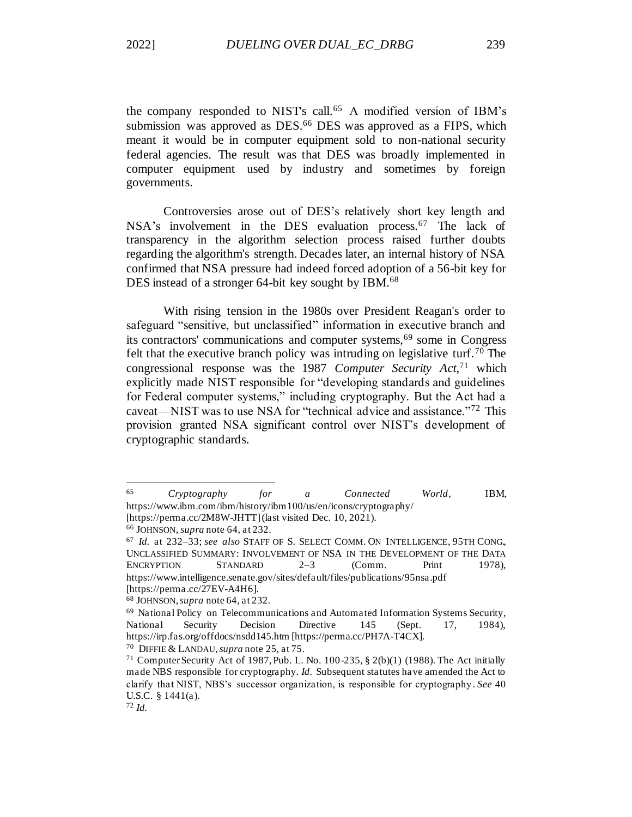the company responded to NIST's call.<sup>65</sup> A modified version of IBM's submission was approved as DES.<sup>66</sup> DES was approved as a FIPS, which meant it would be in computer equipment sold to non-national security federal agencies. The result was that DES was broadly implemented in computer equipment used by industry and sometimes by foreign governments.

Controversies arose out of DES's relatively short key length and NSA's involvement in the DES evaluation process.<sup>67</sup> The lack of transparency in the algorithm selection process raised further doubts regarding the algorithm's strength. Decades later, an internal history of NSA confirmed that NSA pressure had indeed forced adoption of a 56-bit key for DES instead of a stronger 64-bit key sought by IBM.<sup>68</sup>

With rising tension in the 1980s over President Reagan's order to safeguard "sensitive, but unclassified" information in executive branch and its contractors' communications and computer systems,<sup>69</sup> some in Congress felt that the executive branch policy was intruding on legislative turf.<sup>70</sup> The congressional response was the 1987 *Computer Security Act*, <sup>71</sup> which explicitly made NIST responsible for "developing standards and guidelines for Federal computer systems," including cryptography. But the Act had a caveat—NIST was to use NSA for "technical advice and assistance."<sup>72</sup> This provision granted NSA significant control over NIST's development of cryptographic standards.

<sup>65</sup> *Cryptography for a Connected World*, IBM, https://www.ibm.com/ibm/history/ibm100/us/en/icons/cryptography/

<sup>[</sup>https://perma.cc/2M8W-JHTT] (last visited Dec. 10, 2021). <sup>66</sup> JOHNSON, *supra* not[e 64,](#page-14-1) at 232.

<sup>67</sup> *Id.* at 232–33; *see also* STAFF OF S. SELECT COMM. ON INTELLIGENCE, 95TH CONG., UNCLASSIFIED SUMMARY: INVOLVEMENT OF NSA IN THE DEVELOPMENT OF THE DATA ENCRYPTION STANDARD 2–3 (Comm. Print 1978), https://www.intelligence.senate.gov/sites/default/files/publications/95nsa.pdf [https://perma.cc/27EV-A4H6].

<sup>68</sup> JOHNSON,*supra* not[e 64,](#page-14-1) at 232.

<sup>69</sup> National Policy on Telecommunications and Automated Information Systems Security, National Security Decision Directive 145 (Sept. 17, 1984), https://irp.fas.org/offdocs/nsdd145.htm [https://perma.cc/PH7A-T4CX].

<sup>70</sup> DIFFIE & LANDAU,*supra* not[e 25](#page-8-1), at 75.

<sup>&</sup>lt;sup>71</sup> Computer Security Act of 1987, Pub. L. No. 100-235,  $\S$  2(b)(1) (1988). The Act initially made NBS responsible for cryptography. *Id.* Subsequent statutes have amended the Act to clarify that NIST, NBS's successor organization, is responsible for cryptography . *See* 40 U.S.C. § 1441(a).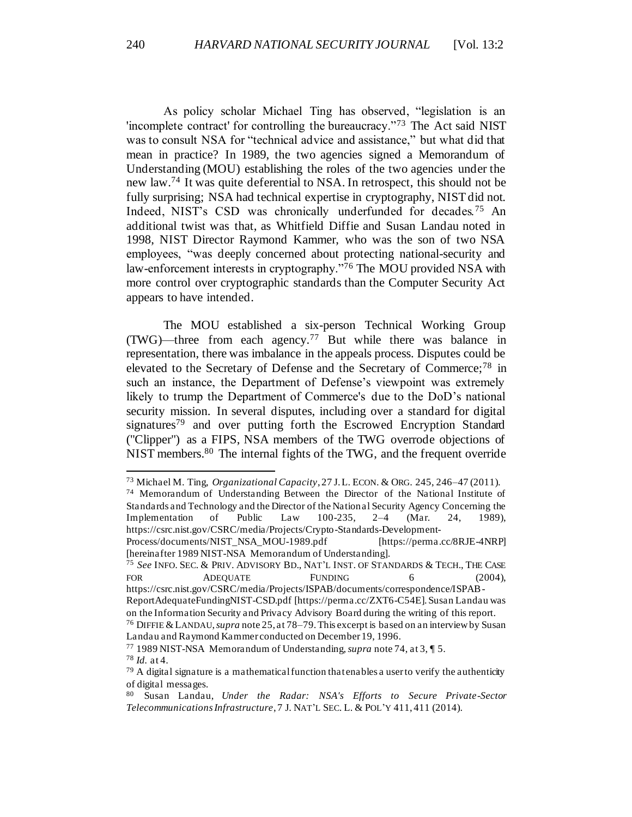<span id="page-16-0"></span>As policy scholar Michael Ting has observed, "legislation is an 'incomplete contract' for controlling the bureaucracy."<sup>73</sup> The Act said NIST was to consult NSA for "technical advice and assistance," but what did that mean in practice? In 1989, the two agencies signed a Memorandum of Understanding (MOU) establishing the roles of the two agencies under the new law.<sup>74</sup> It was quite deferential to NSA. In retrospect, this should not be fully surprising; NSA had technical expertise in cryptography, NIST did not. Indeed, NIST's CSD was chronically underfunded for decades.<sup>75</sup> An additional twist was that, as Whitfield Diffie and Susan Landau noted in 1998, NIST Director Raymond Kammer, who was the son of two NSA employees, "was deeply concerned about protecting national-security and law-enforcement interests in cryptography."<sup>76</sup> The MOU provided NSA with more control over cryptographic standards than the Computer Security Act appears to have intended.

The MOU established a six-person Technical Working Group (TWG)—three from each agency.<sup>77</sup> But while there was balance in representation, there was imbalance in the appeals process. Disputes could be elevated to the Secretary of Defense and the Secretary of Commerce;<sup>78</sup> in such an instance, the Department of Defense's viewpoint was extremely likely to trump the Department of Commerce's due to the DoD's national security mission. In several disputes, including over a standard for digital signatures<sup>79</sup> and over putting forth the Escrowed Encryption Standard ("Clipper") as a FIPS, NSA members of the TWG overrode objections of NIST members.<sup>80</sup> The internal fights of the TWG, and the frequent override

<span id="page-16-1"></span><sup>73</sup> Michael M. Ting, *Organizational Capacity*, 27 J.L. ECON. & ORG. 245, 246–47 (2011).

<sup>74</sup> Memorandum of Understanding Between the Director of the National Institute of Standards and Technology and the Director of the National Security Agency Concerning the Implementation of Public Law 100-235, 2–4 (Mar. 24, 1989), https://csrc.nist.gov/CSRC/media/Projects/Crypto-Standards-Development-

Process/documents/NIST\_NSA\_MOU-1989.pdf [https://perma.cc/8RJE-4NRP] [hereinafter 1989 NIST-NSA Memorandum of Understanding].

<sup>75</sup> *See* INFO. SEC. & PRIV. ADVISORY BD., NAT'L INST. OF STANDARDS & TECH., THE CASE FOR ADEQUATE FUNDING 6 (2004),

https://csrc.nist.gov/CSRC/media/Projects/ISPAB/documents/correspondence/ISPAB-ReportAdequateFundingNIST-CSD.pdf [https://perma.cc/ZXT6-C54E]. Susan Landau was on the Information Security and Privacy Advisory Board during the writing of this report.

<sup>76</sup> DIFFIE &LANDAU,*supra* note 25, at 78–79. This excerpt is based on an interview by Susan Landau and Raymond Kammer conducted on December 19, 1996.

<sup>77</sup> 1989 NIST-NSA Memorandum of Understanding, *supra* not[e 74,](#page-16-0) at 3, ¶ 5. <sup>78</sup> *Id.* at 4.

 $79$  A digital signature is a mathematical function that enables a user to verify the authenticity of digital messages.

<sup>80</sup> Susan Landau, *Under the Radar: NSA's Efforts to Secure Private-Sector Telecommunications Infrastructure*, 7 J. NAT'L SEC. L. & POL'Y 411, 411 (2014).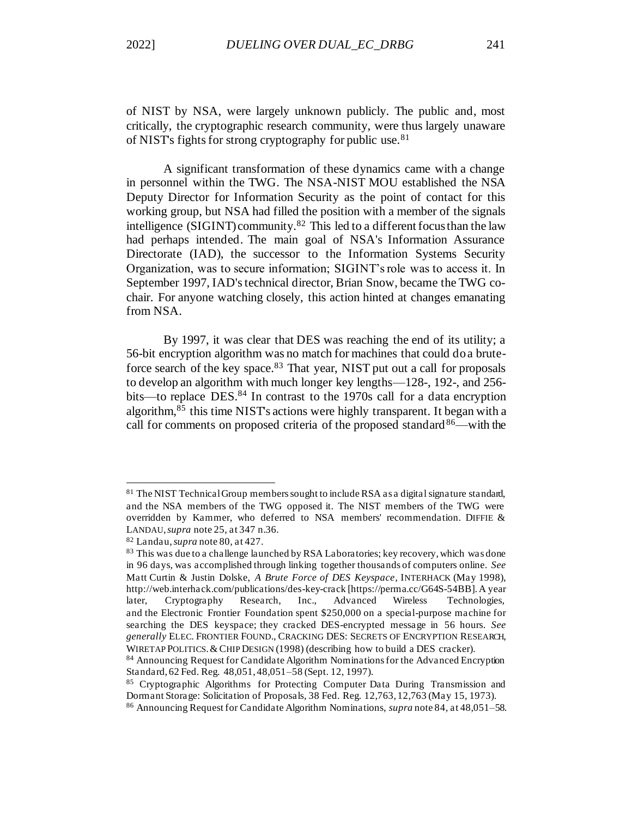of NIST by NSA, were largely unknown publicly. The public and, most critically, the cryptographic research community, were thus largely unaware of NIST's fights for strong cryptography for public use.<sup>81</sup>

A significant transformation of these dynamics came with a change in personnel within the TWG. The NSA-NIST MOU established the NSA Deputy Director for Information Security as the point of contact for this working group, but NSA had filled the position with a member of the signals intelligence (SIGINT) community.<sup>82</sup> This led to a different focus than the law had perhaps intended. The main goal of NSA's Information Assurance Directorate (IAD), the successor to the Information Systems Security Organization, was to secure information; SIGINT's role was to access it. In September 1997, IAD's technical director, Brian Snow, became the TWG cochair. For anyone watching closely, this action hinted at changes emanating from NSA.

By 1997, it was clear that DES was reaching the end of its utility; a 56-bit encryption algorithm was no match for machines that could do a bruteforce search of the key space.<sup>83</sup> That year, NIST put out a call for proposals to develop an algorithm with much longer key lengths—128-, 192-, and 256 bits—to replace DES.<sup>84</sup> In contrast to the 1970s call for a data encryption algorithm,<sup>85</sup> this time NIST's actions were highly transparent. It began with a call for comments on proposed criteria of the proposed standard $86$ —with the

<sup>81</sup> The NIST Technical Group members sought to include RSA as a digital signature standard, and the NSA members of the TWG opposed it. The NIST members of the TWG were overridden by Kammer, who deferred to NSA members' recommendation. DIFFIE & LANDAU, *supra* not[e 25,](#page-8-1) at 347 n.36.

<sup>82</sup> Landau, *supra* not[e 80,](#page-16-1) at 427.

<sup>&</sup>lt;sup>83</sup> This was due to a challenge launched by RSA Laboratories; key recovery, which was done in 96 days, was accomplished through linking together thousands of computers online. *See* Matt Curtin & Justin Dolske, *A Brute Force of DES Keyspace*, INTERHACK (May 1998), http://web.interhack.com/publications/des-key-crack [https://perma.cc/G64S-54BB]. A year later, Cryptography Research, Inc., Advanced Wireless Technologies, and the Electronic Frontier Foundation spent \$250,000 on a special-purpose machine for searching the DES keyspace; they cracked DES-encrypted message in 56 hours. *See generally* ELEC. FRONTIER FOUND., CRACKING DES: SECRETS OF ENCRYPTION RESEARCH, WIRETAP POLITICS.&CHIP DESIGN (1998) (describing how to build a DES cracker).

<sup>84</sup> Announcing Request for Candidate Algorithm Nominations for the Advanced Encryption Standard, 62 Fed. Reg. 48,051, 48,051–58 (Sept. 12, 1997).

<sup>&</sup>lt;sup>85</sup> Cryptographic Algorithms for Protecting Computer Data During Transmission and Dormant Storage: Solicitation of Proposals, 38 Fed. Reg. 12,763, 12,763 (May 15, 1973).

<sup>86</sup> Announcing Request for Candidate Algorithm Nominations, *supra* note 84, at 48,051–58.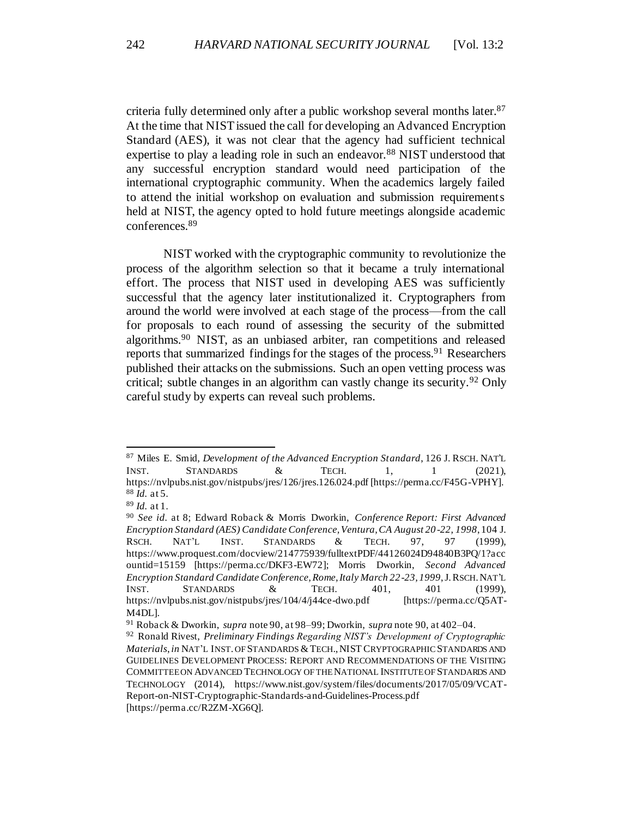<span id="page-18-1"></span>criteria fully determined only after a public workshop several months later.<sup>87</sup> At the time that NIST issued the call for developing an Advanced Encryption Standard (AES), it was not clear that the agency had sufficient technical expertise to play a leading role in such an endeavor.<sup>88</sup> NIST understood that any successful encryption standard would need participation of the international cryptographic community. When the academics largely failed to attend the initial workshop on evaluation and submission requirements held at NIST, the agency opted to hold future meetings alongside academic conferences.<sup>89</sup>

<span id="page-18-0"></span>NIST worked with the cryptographic community to revolutionize the process of the algorithm selection so that it became a truly international effort. The process that NIST used in developing AES was sufficiently successful that the agency later institutionalized it. Cryptographers from around the world were involved at each stage of the process—from the call for proposals to each round of assessing the security of the submitted algorithms.<sup>90</sup> NIST, as an unbiased arbiter, ran competitions and released reports that summarized findings for the stages of the process.  $91$  Researchers published their attacks on the submissions. Such an open vetting process was critical; subtle changes in an algorithm can vastly change its security. <sup>92</sup> Only careful study by experts can reveal such problems.

<sup>87</sup> Miles E. Smid, *Development of the Advanced Encryption Standard*, 126 J. RSCH. NAT'L INST. STANDARDS & TECH. 1, 1 (2021), https://nvlpubs.nist.gov/nistpubs/jres/126/jres.126.024.pdf [https://perma.cc/F45G-VPHY]. <sup>88</sup> *Id.* at 5.

<sup>89</sup> *Id.* at 1.

<sup>90</sup> *See id.* at 8; Edward Roback & Morris Dworkin, *Conference Report: First Advanced Encryption Standard (AES) Candidate Conference, Ventura, CA August 20 -22, 1998*, 104 J. RSCH. NAT'L INST. STANDARDS & TECH. 97, 97 (1999), https://www.proquest.com/docview/214775939/fulltextPDF/44126024D94840B3PQ/1?acc ountid=15159 [https://perma.cc/DKF3-EW72]; Morris Dworkin, *Second Advanced Encryption Standard Candidate Conference, Rome, Italy March 22-23, 1999*, J.RSCH.NAT'L INST. STANDARDS & TECH. 401, 401 (1999), https://nvlpubs.nist.gov/nistpubs/jres/104/4/j44ce-dwo.pdf [https://perma.cc/Q5AT-M4DL].

<sup>91</sup> Roback & Dworkin, *supra* not[e 90,](#page-18-0) at 98–99; Dworkin, *supra* not[e 90](#page-18-0), at 402–04.

<sup>92</sup> Ronald Rivest, *Preliminary Findings Regarding NIST's Development of Cryptographic Materials*, *in* NAT'L INST. OF STANDARDS &TECH.,NISTCRYPTOGRAPHIC STANDARDS AND GUIDELINES DEVELOPMENT PROCESS: REPORT AND RECOMMENDATIONS OF THE VISITING COMMITTEE ON ADVANCED TECHNOLOGY OF THE NATIONAL INSTITUTE OF STANDARDS AND TECHNOLOGY (2014), https://www.nist.gov/system/files/documents/2017/05/09/VCAT-Report-on-NIST-Cryptographic-Standards-and-Guidelines-Process.pdf [https://perma.cc/R2ZM-XG6Q].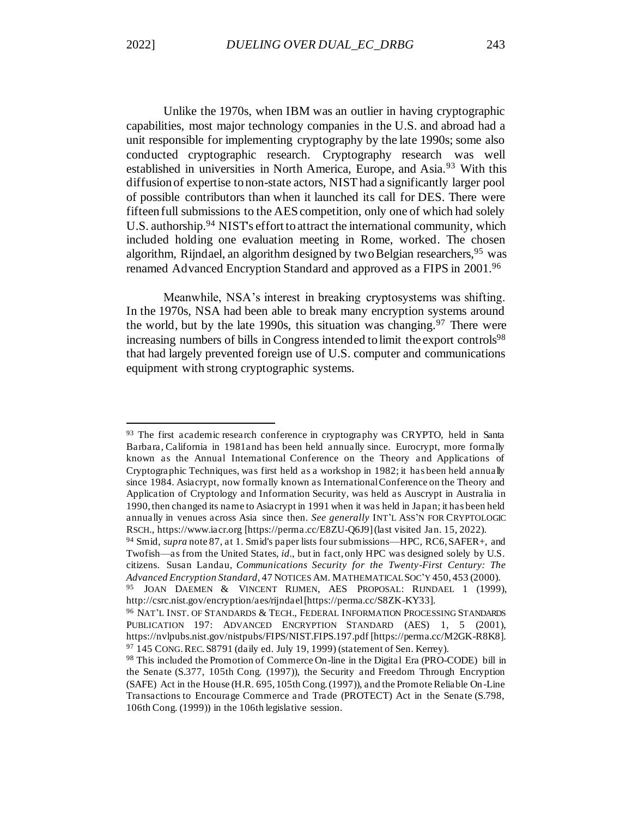Unlike the 1970s, when IBM was an outlier in having cryptographic capabilities, most major technology companies in the U.S. and abroad had a unit responsible for implementing cryptography by the late 1990s; some also conducted cryptographic research. Cryptography research was well established in universities in North America, Europe, and Asia.<sup>93</sup> With this diffusion of expertise to non-state actors, NIST had a significantly larger pool of possible contributors than when it launched its call for DES. There were fifteen full submissions to the AES competition, only one of which had solely U.S. authorship.<sup>94</sup> NIST's effort to attract the international community, which included holding one evaluation meeting in Rome, worked. The chosen algorithm, Rijndael, an algorithm designed by two Belgian researchers, <sup>95</sup> was renamed Advanced Encryption Standard and approved as a FIPS in 2001.<sup>96</sup>

Meanwhile, NSA's interest in breaking cryptosystems was shifting. In the 1970s, NSA had been able to break many encryption systems around the world, but by the late 1990s, this situation was changing.<sup>97</sup> There were increasing numbers of bills in Congress intended to limit the export controls<sup>98</sup> that had largely prevented foreign use of U.S. computer and communications equipment with strong cryptographic systems.

<sup>&</sup>lt;sup>93</sup> The first academic research conference in cryptography was CRYPTO, held in Santa Barbara, California in 1981and has been held annually since. Eurocrypt, more formally known as the Annual International Conference on the Theory and Applications of Cryptographic Techniques, was first held as a workshop in 1982; it has been held annually since 1984. Asiacrypt, now formally known as International Conference on the Theory and Application of Cryptology and Information Security, was held as Auscrypt in Australia in 1990, then changed its name to Asiacrypt in 1991 when it was held in Japan; it has been held annually in venues across Asia since then. *See generally* INT'L ASS'N FOR CRYPTOLOGIC RSCH., https://www.iacr.org [https://perma.cc/E8ZU-Q6J9] (last visited Jan. 15, 2022).

<sup>94</sup> Smid, *supra* not[e 87,](#page-18-1) at 1. Smid's paper lists four submissions—HPC, RC6, SAFER+, and Twofish—as from the United States, *id.*, but in fact, only HPC was designed solely by U.S. citizens. Susan Landau, *Communications Security for the Twenty-First Century: The Advanced Encryption Standard,* 47 NOTICES AM. MATHEMATICAL SOC'Y 450, 453 (2000).

<sup>95</sup> JOAN DAEMEN & VINCENT RIJMEN, AES PROPOSAL: RIJNDAEL 1 (1999), http://csrc.nist.gov/encryption/aes/rijndael [https://perma.cc/S8ZK-KY33].

<sup>96</sup> NAT'L INST. OF STANDARDS & TECH., FEDERAL INFORMATION PROCESSING STANDARDS PUBLICATION 197: ADVANCED ENCRYPTION STANDARD (AES) 1, 5 (2001), https://nvlpubs.nist.gov/nistpubs/FIPS/NIST.FIPS.197.pdf [https://perma.cc/M2GK-R8K8].  $97$  145 CONG. REC. S8791 (daily ed. July 19, 1999) (statement of Sen. Kerrey).

<sup>98</sup> This included the Promotion of Commerce On-line in the Digital Era (PRO-CODE) bill in the Senate (S.377, 105th Cong. (1997)), the Security and Freedom Through Encryption (SAFE) Act in the House (H.R. 695, 105th Cong. (1997)), and the Promote Reliable On -Line Transactions to Encourage Commerce and Trade (PROTECT) Act in the Senate (S.798, 106th Cong. (1999)) in the 106th legislative session.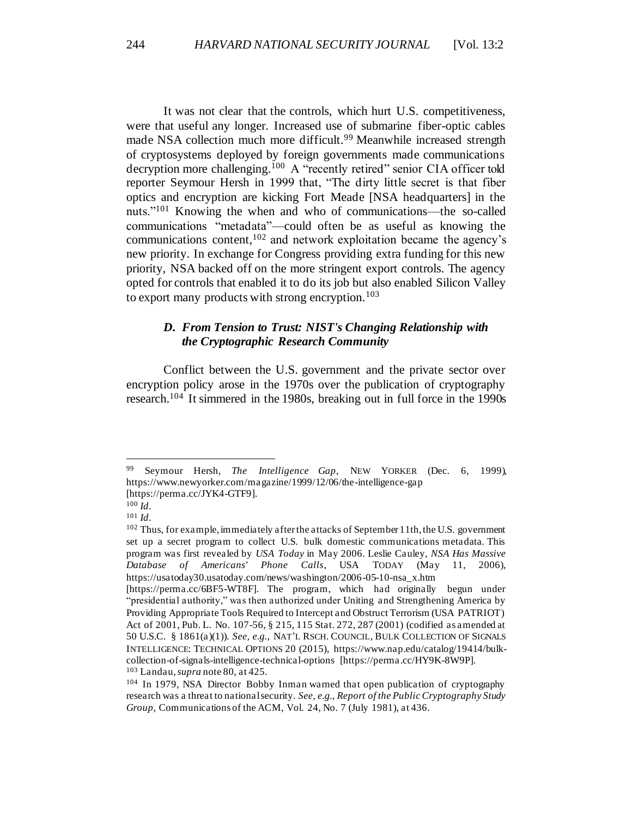It was not clear that the controls, which hurt U.S. competitiveness, were that useful any longer. Increased use of submarine fiber-optic cables made NSA collection much more difficult.<sup>99</sup> Meanwhile increased strength of cryptosystems deployed by foreign governments made communications decryption more challenging.<sup>100</sup> A "recently retired" senior CIA officer told reporter Seymour Hersh in 1999 that, "The dirty little secret is that fiber optics and encryption are kicking Fort Meade [NSA headquarters] in the nuts."<sup>101</sup> Knowing the when and who of communications—the so-called communications "metadata"—could often be as useful as knowing the communications content,<sup>102</sup> and network exploitation became the agency's new priority. In exchange for Congress providing extra funding for this new priority, NSA backed off on the more stringent export controls. The agency opted for controls that enabled it to do its job but also enabled Silicon Valley to export many products with strong encryption.<sup>103</sup>

# <span id="page-20-0"></span>*D. From Tension to Trust: NIST's Changing Relationship with the Cryptographic Research Community*

Conflict between the U.S. government and the private sector over encryption policy arose in the 1970s over the publication of cryptography research.<sup>104</sup> It simmered in the 1980s, breaking out in full force in the 1990s

<sup>99</sup> Seymour Hersh, *The Intelligence Gap*, NEW YORKER (Dec. 6, 1999), https://www.newyorker.com/magazine/1999/12/06/the-intelligence-gap [https://perma.cc/JYK4-GTF9].

<sup>100</sup> *Id*.

<sup>101</sup> *Id*.

<sup>&</sup>lt;sup>102</sup> Thus, for example, immediately after the attacks of September 11th, the U.S. government set up a secret program to collect U.S. bulk domestic communications metadata. This program was first revealed by *USA Today* in May 2006. Leslie Cauley, *NSA Has Massive Database of Americans' Phone Calls*, USA TODAY (May 11, 2006), https://usatoday30.usatoday.com/news/washington/2006-05-10-nsa\_x.htm

<sup>[</sup>https://perma.cc/6BF5-WT8F]. The program, which had originally begun under "presidential authority," was then authorized under Uniting and Strengthening America by Providing Appropriate Tools Required to Intercept and Obstruct Terrorism (USA PATRIOT) Act of 2001, Pub. L. No. 107-56, § 215, 115 Stat. 272, 287 (2001) (codified as amended at 50 U.S.C. § 1861(a)(1)). *See, e.g.*, NAT'L RSCH. COUNCIL, BULK COLLECTION OF SIGNALS INTELLIGENCE: TECHNICAL OPTIONS 20 (2015), https://www.nap.edu/catalog/19414/bulkcollection-of-signals-intelligence-technical-options [https://perma.cc/HY9K-8W9P]. <sup>103</sup> Landau, *supra* not[e 80,](#page-16-1) at 425.

<sup>104</sup> In 1979, NSA Director Bobby Inman warned that open publication of cryptography research was a threat to national security. *See, e.g., Report of the Public Cryptography Study Group*, Communications of the ACM, Vol. 24, No. 7 (July 1981), at 436.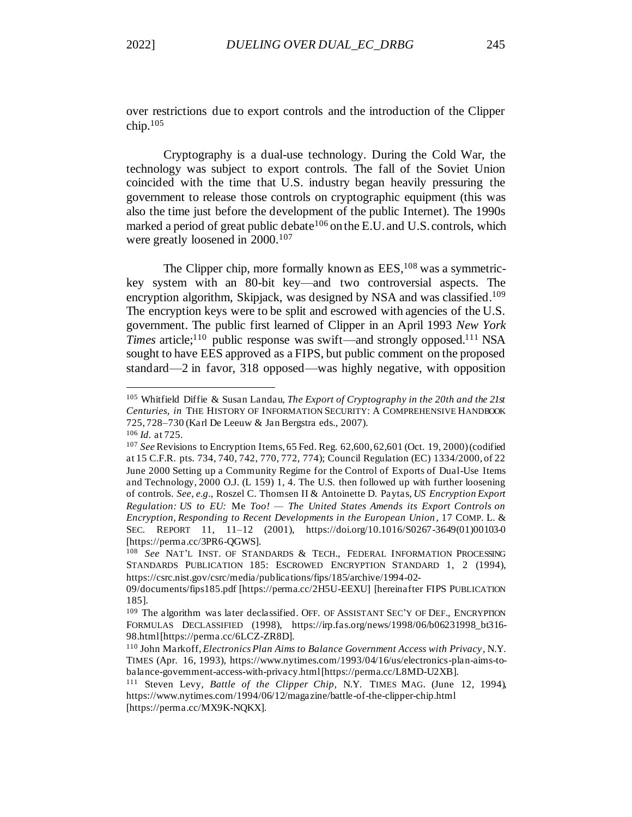over restrictions due to export controls and the introduction of the Clipper chip.<sup>105</sup>

Cryptography is a dual-use technology. During the Cold War, the technology was subject to export controls. The fall of the Soviet Union coincided with the time that U.S. industry began heavily pressuring the government to release those controls on cryptographic equipment (this was also the time just before the development of the public Internet). The 1990s marked a period of great public debate<sup>106</sup> on the E.U. and U.S. controls, which were greatly loosened in 2000.<sup>107</sup>

<span id="page-21-0"></span>The Clipper chip, more formally known as  $EES<sub>108</sub>$  was a symmetrickey system with an 80-bit key—and two controversial aspects. The encryption algorithm, Skipjack, was designed by NSA and was classified.<sup>109</sup> The encryption keys were to be split and escrowed with agencies of the U.S. government. The public first learned of Clipper in an April 1993 *New York Times* article;<sup>110</sup> public response was swift—and strongly opposed.<sup>111</sup> NSA sought to have EES approved as a FIPS, but public comment on the proposed standard—2 in favor, 318 opposed—was highly negative, with opposition

<sup>105</sup> Whitfield Diffie & Susan Landau, *The Export of Cryptography in the 20th and the 21st Centuries, in* THE HISTORY OF INFORMATION SECURITY: A COMPREHENSIVE HANDBOOK 725, 728–730 (Karl De Leeuw & Jan Bergstra eds., 2007).

<sup>106</sup> *Id.* at 725.

<sup>107</sup> *See* Revisions to Encryption Items, 65 Fed. Reg. 62,600, 62,601 (Oct. 19, 2000) (codified at 15 C.F.R. pts. 734, 740, 742, 770, 772, 774); Council Regulation (EC) 1334/2000, of 22 June 2000 Setting up a Community Regime for the Control of Exports of Dual-Use Items and Technology, 2000 O.J. (L 159) 1, 4. The U.S. then followed up with further loosening of controls. *See*, *e.g.*, Roszel C. Thomsen II & Antoinette D. Paytas, *US Encryption Export Regulation: US to EU:* Me *Too! — The United States Amends its Export Controls on Encryption, Responding to Recent Developments in the European Union* , 17 COMP. L. & SEC. REPORT 11, 11–12 (2001), https://doi.org/10.1016/S0267-3649(01)00103-0 [https://perma.cc/3PR6-QGWS].

<sup>108</sup> *See* NAT'L INST. OF STANDARDS & TECH., FEDERAL INFORMATION PROCESSING STANDARDS PUBLICATION 185: ESCROWED ENCRYPTION STANDARD 1, 2 (1994), https://csrc.nist.gov/csrc/media/publications/fips/185/archive/1994-02-

<sup>09/</sup>documents/fips185.pdf [https://perma.cc/2H5U-EEXU] [hereinafter FIPS PUBLICATION 185].

<sup>109</sup> The algorithm was later declassified. OFF. OF ASSISTANT SEC'Y OF DEF., ENCRYPTION FORMULAS DECLASSIFIED (1998), https://irp.fas.org/news/1998/06/b06231998\_bt316- 98.html [https://perma.cc/6LCZ-ZR8D].

<sup>110</sup> John Markoff, *Electronics Plan Aims to Balance Government Access with Privacy*, N.Y. TIMES (Apr. 16, 1993), https://www.nytimes.com/1993/04/16/us/electronics-plan-aims-tobalance-government-access-with-privacy.html [https://perma.cc/L8MD-U2XB].

<sup>111</sup> Steven Levy, *Battle of the Clipper Chip,* N.Y. TIMES MAG. (June 12, 1994), https://www.nytimes.com/1994/06/12/magazine/battle-of-the-clipper-chip.html [https://perma.cc/MX9K-NQKX].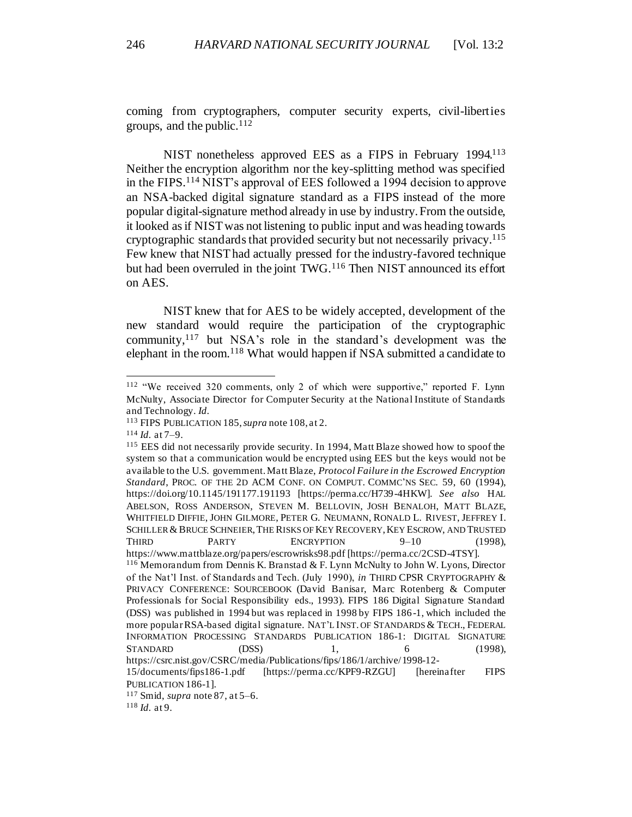coming from cryptographers, computer security experts, civil-liberties groups, and the public. $112$ 

NIST nonetheless approved EES as a FIPS in February 1994.<sup>113</sup> Neither the encryption algorithm nor the key-splitting method was specified in the FIPS.<sup>114</sup> NIST's approval of EES followed a 1994 decision to approve an NSA-backed digital signature standard as a FIPS instead of the more popular digital-signature method already in use by industry. From the outside, it looked as if NIST was not listening to public input and was heading towards cryptographic standards that provided security but not necessarily privacy.<sup>115</sup> Few knew that NIST had actually pressed for the industry-favored technique but had been overruled in the joint TWG.<sup>116</sup> Then NIST announced its effort on AES.

NIST knew that for AES to be widely accepted, development of the new standard would require the participation of the cryptographic community,<sup>117</sup> but NSA's role in the standard's development was the elephant in the room.<sup>118</sup> What would happen if NSA submitted a candidate to

<sup>112</sup> "We received 320 comments, only 2 of which were supportive," reported F. Lynn McNulty, Associate Director for Computer Security at the National Institute of Standards and Technology. *Id*.

<sup>113</sup> FIPS PUBLICATION 185, *supra* not[e 108](#page-21-0), at 2.

<sup>114</sup> *Id.* at 7–9.

<sup>115</sup> EES did not necessarily provide security. In 1994, Matt Blaze showed how to spoof the system so that a communication would be encrypted using EES but the keys would not be available to the U.S. government. Matt Blaze, *Protocol Failure in the Escrowed Encryption Standard*, PROC. OF THE 2D ACM CONF. ON COMPUT. COMMC'NS SEC. 59, 60 (1994), https://doi.org/10.1145/191177.191193 [https://perma.cc/H739-4HKW]. *See also* HAL ABELSON, ROSS ANDERSON, STEVEN M. BELLOVIN, JOSH BENALOH, MATT BLAZE, WHITFIELD DIFFIE, JOHN GILMORE, PETER G. NEUMANN, RONALD L. RIVEST, JEFFREY I. SCHILLER & BRUCE SCHNEIER, THE RISKS OF KEY RECOVERY, KEY ESCROW, AND TRUSTED THIRD PARTY ENCRYPTION 9-10 (1998), https://www.mattblaze.org/papers/escrowrisks98.pdf [https://perma.cc/2CSD-4TSY]. <sup>116</sup> Memorandum from Dennis K. Branstad & F. Lynn McNulty to John W. Lyons, Director of the Nat'l Inst. of Standards and Tech. (July 1990), *in* THIRD CPSR CRYPTOGRAPHY & PRIVACY CONFERENCE: SOURCEBOOK (David Banisar, Marc Rotenberg & Computer Professionals for Social Responsibility eds., 1993). FIPS 186 Digital Signature Standard (DSS) was published in 1994 but was replaced in 1998 by FIPS 186-1, which included the more popular RSA-based digital signature. NAT'L INST. OF STANDARDS & TECH., FEDERAL INFORMATION PROCESSING STANDARDS PUBLICATION 186-1: DIGITAL SIGNATURE  $STANDARD$  (DSS) 1, 6 (1998), https://csrc.nist.gov/CSRC/media/Publications/fips/186/1/archive/1998-12- 15/documents/fips186-1.pdf [https://perma.cc/KPF9-RZGU] [hereinafter FIPS PUBLICATION 186-1]. <sup>117</sup> Smid, *supra* not[e 87,](#page-18-1) at 5–6.

<sup>118</sup> *Id.* at 9.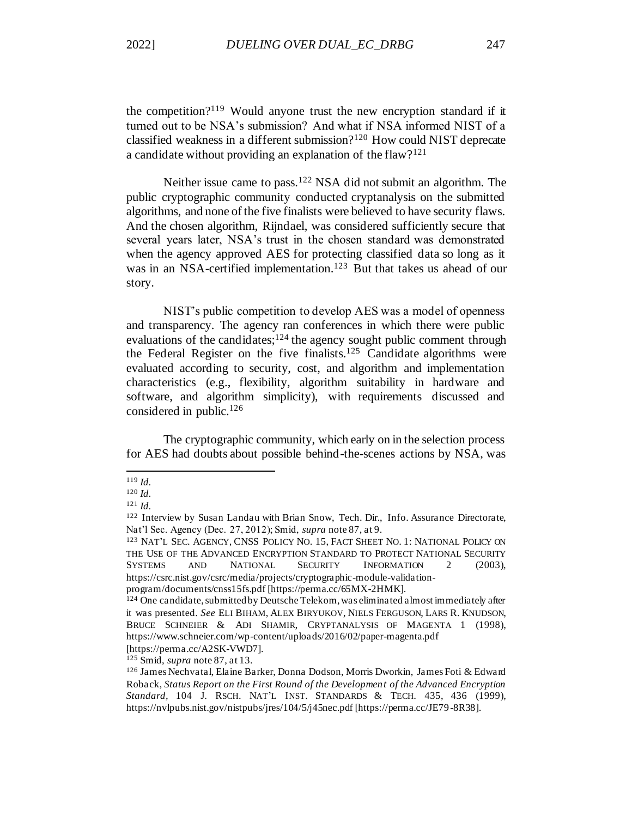the competition?<sup>119</sup> Would anyone trust the new encryption standard if it turned out to be NSA's submission? And what if NSA informed NIST of a classified weakness in a different submission?<sup>120</sup> How could NIST deprecate a candidate without providing an explanation of the flaw?<sup>121</sup>

Neither issue came to pass.<sup>122</sup> NSA did not submit an algorithm. The public cryptographic community conducted cryptanalysis on the submitted algorithms, and none of the five finalists were believed to have security flaws. And the chosen algorithm, Rijndael, was considered sufficiently secure that several years later, NSA's trust in the chosen standard was demonstrated when the agency approved AES for protecting classified data so long as it was in an NSA-certified implementation.<sup>123</sup> But that takes us ahead of our story.

<span id="page-23-1"></span><span id="page-23-0"></span>NIST's public competition to develop AES was a model of openness and transparency. The agency ran conferences in which there were public evaluations of the candidates;  $124$  the agency sought public comment through the Federal Register on the five finalists.<sup>125</sup> Candidate algorithms were evaluated according to security, cost, and algorithm and implementation characteristics (e.g., flexibility, algorithm suitability in hardware and software, and algorithm simplicity), with requirements discussed and considered in public.<sup>126</sup>

The cryptographic community, which early on in the selection process for AES had doubts about possible behind-the-scenes actions by NSA, was

<sup>119</sup> *Id.*

<sup>120</sup> *Id.*

<sup>121</sup> *Id.*

<sup>122</sup> Interview by Susan Landau with Brian Snow, Tech. Dir., Info. Assurance Directorate, Nat'l Sec. Agency (Dec. 27, 2012); Smid, *supra* not[e 87,](#page-18-1) at 9.

<sup>123</sup> NAT'L SEC. AGENCY, CNSS POLICY NO. 15, FACT SHEET NO. 1: NATIONAL POLICY ON THE USE OF THE ADVANCED ENCRYPTION STANDARD TO PROTECT NATIONAL SECURITY SYSTEMS AND NATIONAL SECURITY INFORMATION 2 (2003), https://csrc.nist.gov/csrc/media/projects/cryptographic-module-validationprogram/documents/cnss15fs.pdf [https://perma.cc/65MX-2HMK].

<sup>&</sup>lt;sup>124</sup> One candidate, submitted by Deutsche Telekom, was eliminated almost immediately after it was presented. *See* ELI BIHAM, ALEX BIRYUKOV, NIELS FERGUSON, LARS R. KNUDSON, BRUCE SCHNEIER & ADI SHAMIR, CRYPTANALYSIS OF MAGENTA 1 (1998), https://www.schneier.com/wp-content/uploads/2016/02/paper-magenta.pdf

<sup>[</sup>https://perma.cc/A2SK-VWD7].

<sup>125</sup> Smid, *supra* not[e 87,](#page-18-1) at 13.

<sup>126</sup> James Nechvatal, Elaine Barker, Donna Dodson, Morris Dworkin, James Foti & Edward Roback, *Status Report on the First Round of the Development of the Advanced Encryption Standard,* 104 J. RSCH. NAT'L INST. STANDARDS & TECH. 435, 436 (1999), https://nvlpubs.nist.gov/nistpubs/jres/104/5/j45nec.pdf [https://perma.cc/JE79-8R38].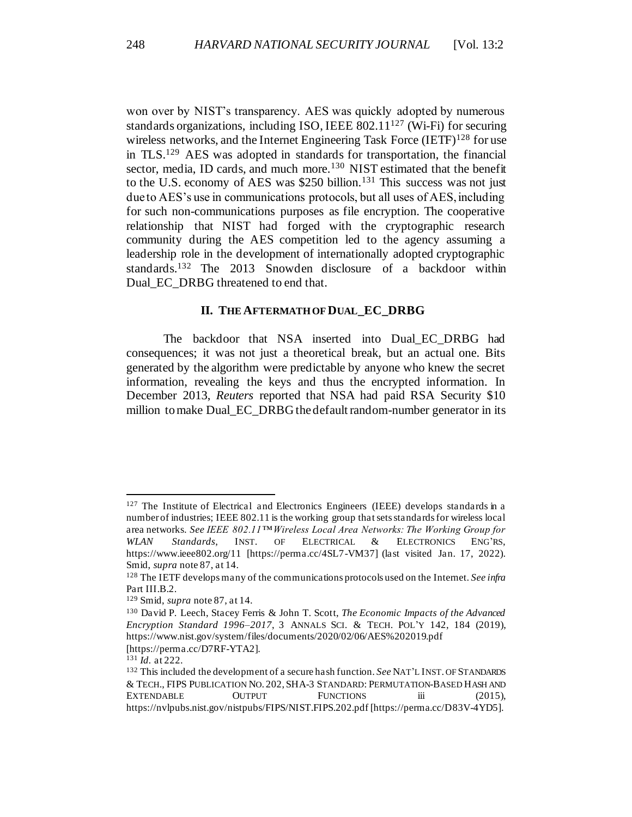won over by NIST's transparency. AES was quickly adopted by numerous standards organizations, including ISO, IEEE  $802.11^{127}$  (Wi-Fi) for securing wireless networks, and the Internet Engineering Task Force  $(IETF)^{128}$  for use in TLS.<sup>129</sup> AES was adopted in standards for transportation, the financial sector, media, ID cards, and much more.<sup>130</sup> NIST estimated that the benefit to the U.S. economy of AES was \$250 billion.<sup>131</sup> This success was not just due to AES's use in communications protocols, but all uses of AES, including for such non-communications purposes as file encryption. The cooperative relationship that NIST had forged with the cryptographic research community during the AES competition led to the agency assuming a leadership role in the development of internationally adopted cryptographic standards.<sup>132</sup> The 2013 Snowden disclosure of a backdoor within Dual EC DRBG threatened to end that.

#### <span id="page-24-1"></span>**II. THE AFTERMATH OF DUAL\_EC\_DRBG**

<span id="page-24-0"></span>The backdoor that NSA inserted into Dual EC DRBG had consequences; it was not just a theoretical break, but an actual one. Bits generated by the algorithm were predictable by anyone who knew the secret information, revealing the keys and thus the encrypted information. In December 2013, *Reuters* reported that NSA had paid RSA Security \$10 million to make Dual EC\_DRBG the default random-number generator in its

 $127$  The Institute of Electrical and Electronics Engineers (IEEE) develops standards in a number of industries; IEEE 802.11 is the working group that sets standards for wireless local area networks. *See IEEE 802.11™ Wireless Local Area Networks: The Working Group for WLAN Standards*, INST. OF ELECTRICAL & ELECTRONICS ENG'RS, https://www.ieee802.org/11 [https://perma.cc/4SL7-VM37] (last visited Jan. 17, 2022). Smid, *supra* not[e 87,](#page-18-1) at 14.

<sup>128</sup> The IETF develops many of the communications protocols used on the Internet. *See infra* Part III.B.2.

<sup>129</sup> Smid, *supra* not[e 87,](#page-18-1) at 14.

<sup>130</sup> David P. Leech, Stacey Ferris & John T. Scott, *The Economic Impacts of the Advanced Encryption Standard 1996–2017*, 3 ANNALS SCI. & TECH. POL'Y 142, 184 (2019), https://www.nist.gov/system/files/documents/2020/02/06/AES%202019.pdf [https://perma.cc/D7RF-YTA2].

<sup>131</sup> *Id.* at 222.

<sup>132</sup> This included the development of a secure hash function. *See* NAT'L INST. OF STANDARDS & TECH., FIPS PUBLICATION NO. 202,SHA-3 STANDARD: PERMUTATION-BASED HASH AND EXTENDABLE OUTPUT FUNCTIONS iii (2015), https://nvlpubs.nist.gov/nistpubs/FIPS/NIST.FIPS.202.pdf [https://perma.cc/D83V-4YD5].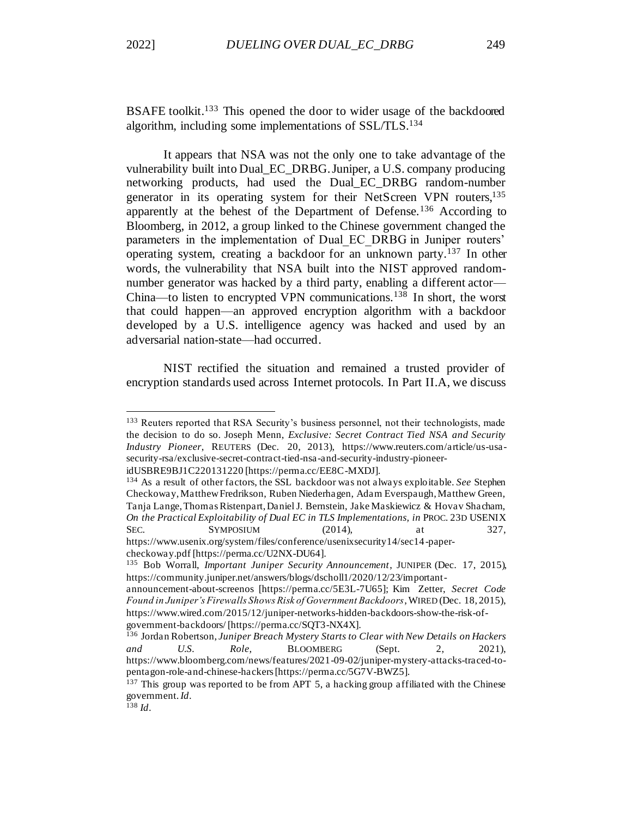BSAFE toolkit.<sup>133</sup> This opened the door to wider usage of the backdoored algorithm, including some implementations of SSL/TLS.<sup>134</sup>

It appears that NSA was not the only one to take advantage of the vulnerability built into Dual\_EC\_DRBG. Juniper, a U.S. company producing networking products, had used the Dual\_EC\_DRBG random-number generator in its operating system for their NetScreen VPN routers,<sup>135</sup> apparently at the behest of the Department of Defense.<sup>136</sup> According to Bloomberg, in 2012, a group linked to the Chinese government changed the parameters in the implementation of Dual\_EC\_DRBG in Juniper routers' operating system, creating a backdoor for an unknown party.<sup>137</sup> In other words, the vulnerability that NSA built into the NIST approved randomnumber generator was hacked by a third party, enabling a different actor— China—to listen to encrypted VPN communications.<sup>138</sup> In short, the worst that could happen—an approved encryption algorithm with a backdoor developed by a U.S. intelligence agency was hacked and used by an adversarial nation-state—had occurred.

NIST rectified the situation and remained a trusted provider of encryption standards used across Internet protocols. In Part II.A, we discuss

<sup>133</sup> Reuters reported that RSA Security's business personnel, not their technologists, made the decision to do so. Joseph Menn, *Exclusive: Secret Contract Tied NSA and Security Industry Pioneer*, REUTERS (Dec. 20, 2013), https://www.reuters.com/article/us-usasecurity-rsa/exclusive-secret-contract-tied-nsa-and-security-industry-pioneeridUSBRE9BJ1C220131220 [https://perma.cc/EE8C-MXDJ].

<sup>134</sup> As a result of other factors, the SSL backdoor was not always exploitable. *See* Stephen Checkoway, Matthew Fredrikson, Ruben Niederhagen, Adam Everspaugh, Matthew Green, Tanja Lange, Thomas Ristenpart, Daniel J. Bernstein, Jake Maskiewicz & Hovav Shacham, *On the Practical Exploitability of Dual EC in TLS Implementations, in* PROC. 23D USENIX SEC. SYMPOSIUM (2014), at 327, https://www.usenix.org/system/files/conference/usenixsecurity14/sec14-papercheckoway.pdf [https://perma.cc/U2NX-DU64].

<sup>135</sup> Bob Worrall, *Important Juniper Security Announcement*, JUNIPER (Dec. 17, 2015), https://community.juniper.net/answers/blogs/dscholl1/2020/12/23/important-

announcement-about-screenos [https://perma.cc/5E3L-7U65]; Kim Zetter, *Secret Code Found in Juniper's Firewalls Shows Risk of Government Backdoors*, WIRED (Dec. 18, 2015), https://www.wired.com/2015/12/juniper-networks-hidden-backdoors-show-the-risk-ofgovernment-backdoors/ [https://perma.cc/SQT3-NX4X].

<sup>136</sup> Jordan Robertson, *Juniper Breach Mystery Starts to Clear with New Details on Hackers and U.S. Role,* BLOOMBERG (Sept. 2, 2021), https://www.bloomberg.com/news/features/2021-09-02/juniper-mystery-attacks-traced-topentagon-role-and-chinese-hackers [https://perma.cc/5G7V-BWZ5].

<sup>&</sup>lt;sup>137</sup> This group was reported to be from APT 5, a hacking group affiliated with the Chinese government. *Id*.

 $^{138}$  *Id.*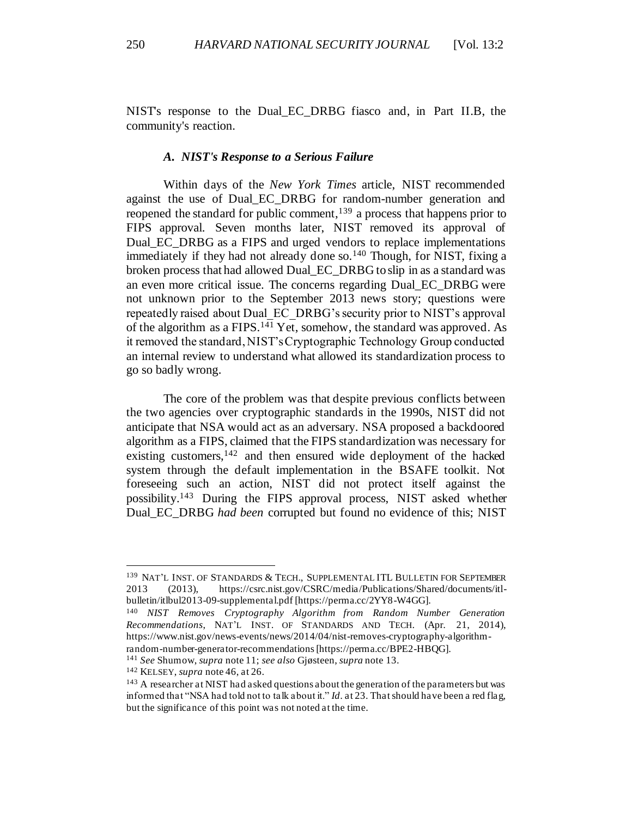NIST's response to the Dual\_EC\_DRBG fiasco and, in Part II.B, the community's reaction.

#### *A. NIST's Response to a Serious Failure*

<span id="page-26-0"></span>Within days of the *New York Times* article, NIST recommended against the use of Dual\_EC\_DRBG for random-number generation and reopened the standard for public comment,  $139$  a process that happens prior to FIPS approval. Seven months later, NIST removed its approval of Dual EC DRBG as a FIPS and urged vendors to replace implementations immediately if they had not already done so.<sup>140</sup> Though, for NIST, fixing a broken process that had allowed Dual\_EC\_DRBG to slip in as a standard was an even more critical issue. The concerns regarding Dual\_EC\_DRBG were not unknown prior to the September 2013 news story; questions were repeatedly raised about Dual\_EC\_DRBG's security prior to NIST's approval of the algorithm as a FIPS.<sup>141</sup> Yet, somehow, the standard was approved. As it removed the standard, NIST's Cryptographic Technology Group conducted an internal review to understand what allowed its standardization process to go so badly wrong.

The core of the problem was that despite previous conflicts between the two agencies over cryptographic standards in the 1990s, NIST did not anticipate that NSA would act as an adversary. NSA proposed a backdoored algorithm as a FIPS, claimed that the FIPS standardization was necessary for existing customers,  $142$  and then ensured wide deployment of the hacked system through the default implementation in the BSAFE toolkit. Not foreseeing such an action, NIST did not protect itself against the possibility.<sup>143</sup> During the FIPS approval process, NIST asked whether Dual\_EC\_DRBG *had been* corrupted but found no evidence of this; NIST

<sup>139</sup> NAT'L INST. OF STANDARDS & TECH., SUPPLEMENTAL ITL BULLETIN FOR SEPTEMBER 2013 (2013), https://csrc.nist.gov/CSRC/media/Publications/Shared/documents/itlbulletin/itlbul2013-09-supplemental.pdf [https://perma.cc/2YY8-W4GG].

<sup>140</sup> *NIST Removes Cryptography Algorithm from Random Number Generation Recommendations*, NAT'L INST. OF STANDARDS AND TECH. (Apr. 21, 2014), https://www.nist.gov/news-events/news/2014/04/nist-removes-cryptography-algorithmrandom-number-generator-recommendations[https://perma.cc/BPE2-HBQG].

<sup>141</sup> *See* Shumow, *supra* not[e 11;](#page-5-0) *see also* Gjøsteen, *supra* not[e 13](#page-5-1).

<sup>142</sup> KELSEY, *supra* not[e 46](#page-12-0), at 26.

<sup>&</sup>lt;sup>143</sup> A researcher at NIST had asked questions about the generation of the parameters but was informed that "NSA had told not to talk about it." *Id*. at 23. That should have been a red flag, but the significance of this point was not noted at the time.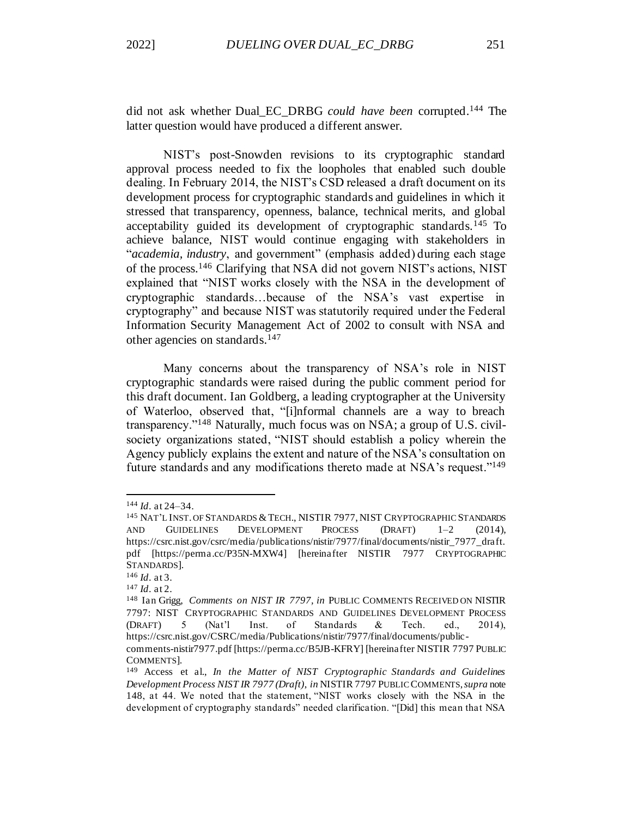did not ask whether Dual\_EC\_DRBG *could have been* corrupted.<sup>144</sup> The latter question would have produced a different answer.

<span id="page-27-0"></span>NIST's post-Snowden revisions to its cryptographic standard approval process needed to fix the loopholes that enabled such double dealing. In February 2014, the NIST's CSD released a draft document on its development process for cryptographic standards and guidelines in which it stressed that transparency, openness, balance, technical merits, and global acceptability guided its development of cryptographic standards.<sup>145</sup> To achieve balance, NIST would continue engaging with stakeholders in "*academia, industry*, and government" (emphasis added) during each stage of the process.<sup>146</sup> Clarifying that NSA did not govern NIST's actions, NIST explained that "NIST works closely with the NSA in the development of cryptographic standards…because of the NSA's vast expertise in cryptography" and because NIST was statutorily required under the Federal Information Security Management Act of 2002 to consult with NSA and other agencies on standards.<sup>147</sup>

Many concerns about the transparency of NSA's role in NIST cryptographic standards were raised during the public comment period for this draft document. Ian Goldberg, a leading cryptographer at the University of Waterloo, observed that, "[i]nformal channels are a way to breach transparency."<sup>148</sup> Naturally, much focus was on NSA; a group of U.S. civilsociety organizations stated, "NIST should establish a policy wherein the Agency publicly explains the extent and nature of the NSA's consultation on future standards and any modifications thereto made at NSA's request."<sup>149</sup>

<sup>144</sup> *Id*. at 24–34.

<sup>&</sup>lt;sup>145</sup> NAT'L INST. OF STANDARDS & TECH., NISTIR 7977, NIST CRYPTOGRAPHIC STANDARDS AND GUIDELINES DEVELOPMENT PROCESS (DRAFT) 1–2 (2014), https://csrc.nist.gov/csrc/media/publications/nistir/7977/final/documents/nistir\_7977\_draft. pdf [https://perma.cc/P35N-MXW4] [hereinafter NISTIR 7977 CRYPTOGRAPHIC STANDARDS].

<sup>146</sup> *Id*. at 3.

<sup>147</sup> *Id*. at 2.

<sup>148</sup> Ian Grigg, *Comments on NIST IR 7797, in* PUBLIC COMMENTS RECEIVED ON NISTIR 7797: NIST CRYPTOGRAPHIC STANDARDS AND GUIDELINES DEVELOPMENT PROCESS (DRAFT) 5 (Nat'l Inst. of Standards & Tech. ed., 2014), https://csrc.nist.gov/CSRC/media/Publications/nistir/7977/final/documents/public-

comments-nistir7977.pdf [https://perma.cc/B5JB-KFRY] [hereinafter NISTIR 7797 PUBLIC COMMENTS].

<sup>149</sup> Access et al., *In the Matter of NIST Cryptographic Standards and Guidelines Development Process NIST IR 7977 (Draft)*, *in* NISTIR 7797 PUBLIC COMMENTS, *supra* note 148, at 44. We noted that the statement, "NIST works closely with the NSA in the development of cryptography standards" needed clarification. "[Did] this mean that NSA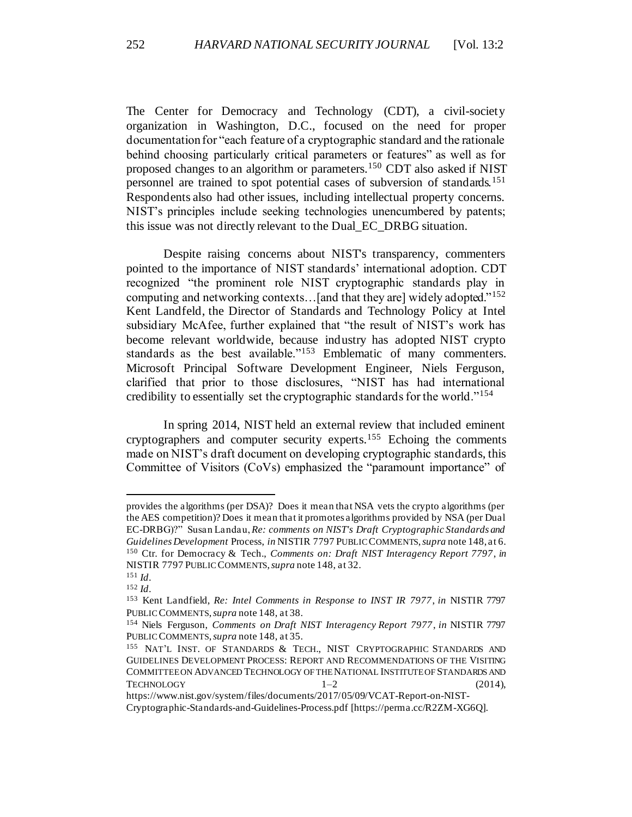The Center for Democracy and Technology (CDT), a civil-society organization in Washington, D.C., focused on the need for proper documentation for "each feature of a cryptographic standard and the rationale behind choosing particularly critical parameters or features" as well as for proposed changes to an algorithm or parameters.<sup>150</sup> CDT also asked if NIST personnel are trained to spot potential cases of subversion of standards.<sup>151</sup> Respondents also had other issues, including intellectual property concerns. NIST's principles include seeking technologies unencumbered by patents; this issue was not directly relevant to the Dual\_EC\_DRBG situation.

Despite raising concerns about NIST's transparency, commenters pointed to the importance of NIST standards' international adoption. CDT recognized "the prominent role NIST cryptographic standards play in computing and networking contexts…[and that they are] widely adopted."<sup>152</sup> Kent Landfeld, the Director of Standards and Technology Policy at Intel subsidiary McAfee, further explained that "the result of NIST's work has become relevant worldwide, because industry has adopted NIST crypto standards as the best available."<sup>153</sup> Emblematic of many commenters. Microsoft Principal Software Development Engineer, Niels Ferguson, clarified that prior to those disclosures, "NIST has had international credibility to essentially set the cryptographic standards for the world."<sup>154</sup>

<span id="page-28-0"></span>In spring 2014, NIST held an external review that included eminent cryptographers and computer security experts.<sup>155</sup> Echoing the comments made on NIST's draft document on developing cryptographic standards, this Committee of Visitors (CoVs) emphasized the "paramount importance" of

provides the algorithms (per DSA)? Does it mean that NSA vets the crypto algorithms (per the AES competition)? Does it mean that it promotes algorithms provided by NSA (per Dual EC-DRBG)?" Susan Landau, *Re: comments on NIST's Draft Cryptographic Standards and Guidelines Development* Process, *in* NISTIR 7797 PUBLIC COMMENTS, *supra* note 148, at 6. <sup>150</sup> Ctr. for Democracy & Tech., *Comments on: Draft NIST Interagency Report 7797*, *in* NISTIR 7797 PUBLIC COMMENTS, *supra* note 148, at 32.

<sup>151</sup> *Id*.

<sup>152</sup> *Id*.

<sup>153</sup> Kent Landfield, *Re: Intel Comments in Response to INST IR 7977*, *in* NISTIR 7797 PUBLIC COMMENTS, *supra* note 148, at 38.

<sup>154</sup> Niels Ferguson, *Comments on Draft NIST Interagency Report 7977*, *in* NISTIR 7797 PUBLIC COMMENTS, *supra* note 148, at 35.

<sup>155</sup> NAT'L INST. OF STANDARDS & TECH., NIST CRYPTOGRAPHIC STANDARDS AND GUIDELINES DEVELOPMENT PROCESS: REPORT AND RECOMMENDATIONS OF THE VISITING COMMITTEE ON ADVANCED TECHNOLOGY OF THE NATIONAL INSTITUTE OF STANDARDS AND  $TECHNOLOGY$   $1-2$   $(2014)$ ,

https://www.nist.gov/system/files/documents/2017/05/09/VCAT-Report-on-NIST-Cryptographic-Standards-and-Guidelines-Process.pdf [https://perma.cc/R2ZM-XG6Q].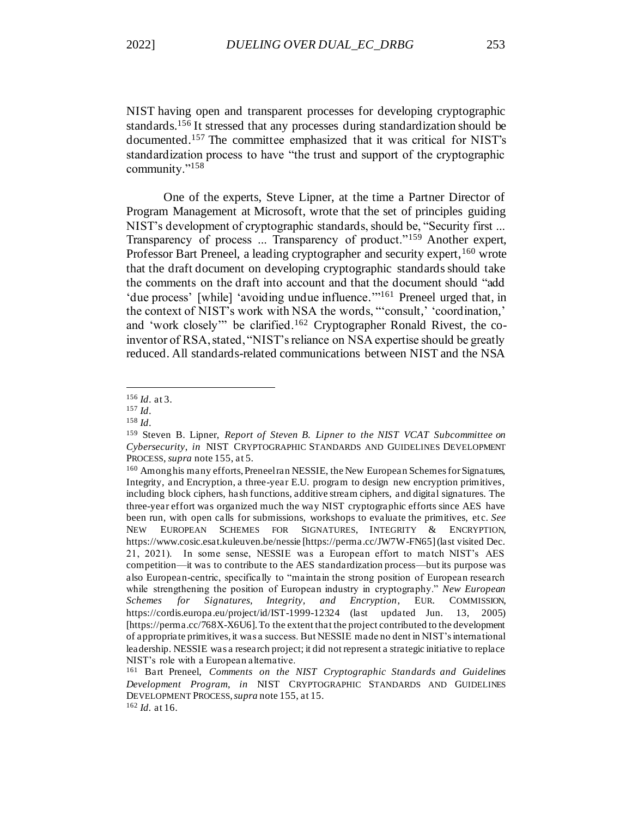NIST having open and transparent processes for developing cryptographic standards.<sup>156</sup> It stressed that any processes during standardization should be documented.<sup>157</sup> The committee emphasized that it was critical for NIST's standardization process to have "the trust and support of the cryptographic community."<sup>158</sup>

One of the experts, Steve Lipner, at the time a Partner Director of Program Management at Microsoft, wrote that the set of principles guiding NIST's development of cryptographic standards, should be, "Security first ... Transparency of process ... Transparency of product."<sup>159</sup> Another expert, Professor Bart Preneel, a leading cryptographer and security expert, <sup>160</sup> wrote that the draft document on developing cryptographic standards should take the comments on the draft into account and that the document should "add 'due process' [while] 'avoiding undue influence.'"<sup>161</sup> Preneel urged that, in the context of NIST's work with NSA the words, "'consult,' 'coordination,' and 'work closely'" be clarified.<sup>162</sup> Cryptographer Ronald Rivest, the coinventor of RSA, stated, "NIST's reliance on NSA expertise should be greatly reduced. All standards-related communications between NIST and the NSA

<sup>156</sup> *Id*. at 3.

<sup>157</sup> *Id*.

<sup>158</sup> *Id*.

<sup>159</sup> Steven B. Lipner, *Report of Steven B. Lipner to the NIST VCAT Subcommittee on Cybersecurity*, *in* NIST CRYPTOGRAPHIC STANDARDS AND GUIDELINES DEVELOPMENT PROCESS, *supra* not[e 155,](#page-28-0) at 5.

<sup>&</sup>lt;sup>160</sup> Among his many efforts, Preneel ran NESSIE, the New European Schemes for Signatures, Integrity, and Encryption, a three-year E.U. program to design new encryption primitives, including block ciphers, hash functions, additive stream ciphers, and digital signatures. The three-year effort was organized much the way NIST cryptographic efforts since AES have been run, with open calls for submissions, workshops to evaluate the primitives, et c. *See* NEW EUROPEAN SCHEMES FOR SIGNATURES, INTEGRITY & ENCRYPTION, https://www.cosic.esat.kuleuven.be/nessie [https://perma.cc/JW7W-FN65] (last visited Dec. 21, 2021). In some sense, NESSIE was a European effort to match NIST's AES competition—it was to contribute to the AES standardization process—but its purpose was also European-centric, specifically to "maintain the strong position of European research while strengthening the position of European industry in cryptography." *New European Schemes for Signatures, Integrity, and Encryption*, EUR. COMMISSION, https://cordis.europa.eu/project/id/IST-1999-12324 (last updated Jun. 13, 2005) [https://perma.cc/768X-X6U6]. To the extent that the project contributed to the development of appropriate primitives, it was a success. But NESSIE made no dent in NIST's international leadership. NESSIE was a research project; it did not represent a strategic initiative to replace NIST's role with a European alternative.

<sup>161</sup> Bart Preneel, *Comments on the NIST Cryptographic Standards and Guidelines Development Program*, *in* NIST CRYPTOGRAPHIC STANDARDS AND GUIDELINES DEVELOPMENT PROCESS, *supra* note 155, at 15. <sup>162</sup> *Id.* at 16.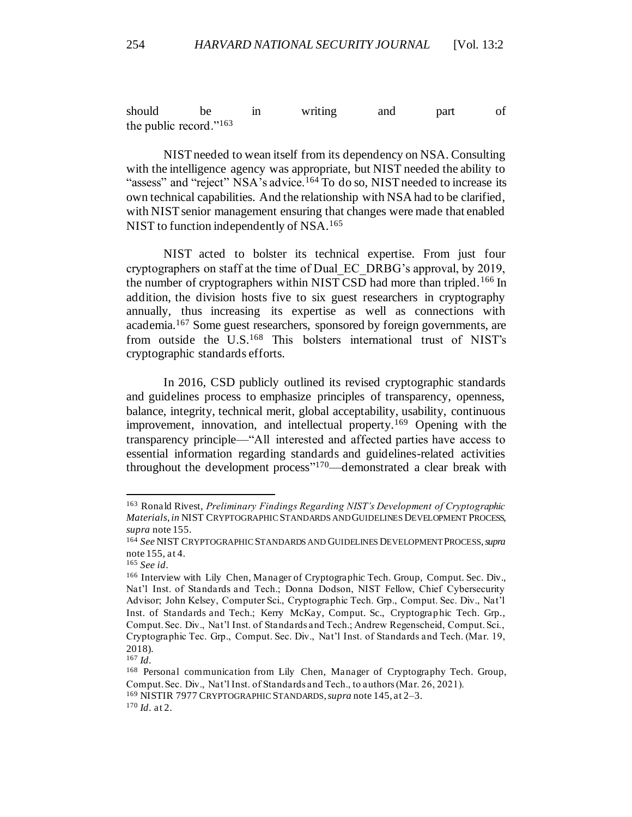should be in writing and part of the public record."<sup>163</sup>

NIST needed to wean itself from its dependency on NSA. Consulting with the intelligence agency was appropriate, but NIST needed the ability to "assess" and "reject" NSA's advice.<sup>164</sup> To do so, NIST needed to increase its own technical capabilities. And the relationship with NSA had to be clarified, with NIST senior management ensuring that changes were made that enabled NIST to function independently of NSA.<sup>165</sup>

NIST acted to bolster its technical expertise. From just four cryptographers on staff at the time of Dual\_EC\_DRBG's approval, by 2019, the number of cryptographers within NIST CSD had more than tripled.<sup>166</sup> In addition, the division hosts five to six guest researchers in cryptography annually, thus increasing its expertise as well as connections with academia.<sup>167</sup> Some guest researchers, sponsored by foreign governments, are from outside the U.S.<sup>168</sup> This bolsters international trust of NIST's cryptographic standards efforts.

In 2016, CSD publicly outlined its revised cryptographic standards and guidelines process to emphasize principles of transparency, openness, balance, integrity, technical merit, global acceptability, usability, continuous improvement, innovation, and intellectual property.<sup>169</sup> Opening with the transparency principle—"All interested and affected parties have access to essential information regarding standards and guidelines-related activities throughout the development process" <sup>170</sup>—demonstrated a clear break with

<sup>163</sup> Ronald Rivest, *Preliminary Findings Regarding NIST's Development of Cryptographic Materials*, *in* NIST CRYPTOGRAPHIC STANDARDS AND GUIDELINES DEVELOPMENT PROCESS, *supra* note 155.

<sup>164</sup> *See* NIST CRYPTOGRAPHIC STANDARDS AND GUIDELINES DEVELOPMENT PROCESS, *supra*  note 155, at 4.

<sup>165</sup> *See id*.

<sup>166</sup> Interview with Lily Chen, Manager of Cryptographic Tech. Group, Comput. Sec. Div., Nat'l Inst. of Standards and Tech.; Donna Dodson, NIST Fellow, Chief Cybersecurity Advisor; John Kelsey, Computer Sci., Cryptographic Tech. Grp., Comput. Sec. Div., Nat'l Inst. of Standards and Tech.; Kerry McKay, Comput. Sc., Cryptograp hic Tech. Grp., Comput. Sec. Div., Nat'l Inst. of Standards and Tech.; Andrew Regenscheid, Comput. Sci., Cryptographic Tec. Grp., Comput. Sec. Div., Nat'l Inst. of Standards and Tech. (Mar. 19, 2018).

<sup>167</sup> *Id*.

<sup>168</sup> Personal communication from Lily Chen, Manager of Cryptography Tech. Group, Comput. Sec. Div., Nat'l Inst. of Standards and Tech., to authors (Mar. 26, 2021). <sup>169</sup> NISTIR 7977 CRYPTOGRAPHIC STANDARDS,*supra* not[e 145](#page-27-0), at 2–3.

<sup>170</sup> *Id*. at 2.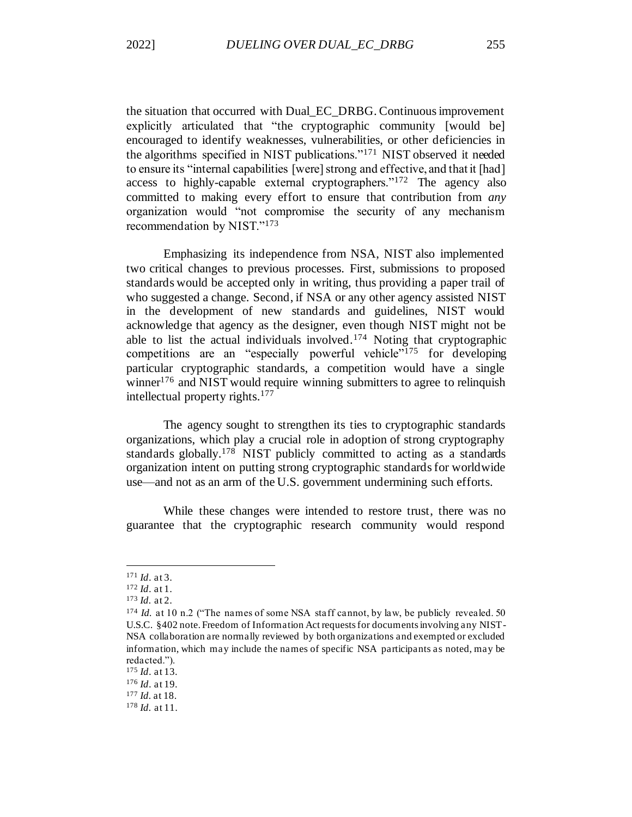the situation that occurred with Dual\_EC\_DRBG. Continuous improvement explicitly articulated that "the cryptographic community [would be] encouraged to identify weaknesses, vulnerabilities, or other deficiencies in the algorithms specified in NIST publications."<sup>171</sup> NIST observed it needed to ensure its "internal capabilities [were] strong and effective, and that it [had] access to highly-capable external cryptographers."<sup>172</sup> The agency also committed to making every effort to ensure that contribution from *any*  organization would "not compromise the security of any mechanism recommendation by NIST."<sup>173</sup>

Emphasizing its independence from NSA, NIST also implemented two critical changes to previous processes. First, submissions to proposed standards would be accepted only in writing, thus providing a paper trail of who suggested a change. Second, if NSA or any other agency assisted NIST in the development of new standards and guidelines, NIST would acknowledge that agency as the designer, even though NIST might not be able to list the actual individuals involved.<sup>174</sup> Noting that cryptographic competitions are an "especially powerful vehicle"<sup>175</sup> for developing particular cryptographic standards, a competition would have a single winner<sup>176</sup> and NIST would require winning submitters to agree to relinquish intellectual property rights.<sup>177</sup>

The agency sought to strengthen its ties to cryptographic standards organizations, which play a crucial role in adoption of strong cryptography standards globally.<sup>178</sup> NIST publicly committed to acting as a standards organization intent on putting strong cryptographic standards for worldwide use—and not as an arm of the U.S. government undermining such efforts.

While these changes were intended to restore trust, there was no guarantee that the cryptographic research community would respond

<sup>171</sup> *Id*. at 3.

<sup>172</sup> *Id*. at 1.

<sup>173</sup> *Id.* at 2.

<sup>&</sup>lt;sup>174</sup> *Id.* at 10 n.2 ("The names of some NSA staff cannot, by law, be publicly revealed. 50 U.S.C. §402 note. Freedom of Information Act requests for documents involving any NIST-NSA collaboration are normally reviewed by both organizations and exempted or excluded information, which may include the names of specific NSA participants as noted, may be redacted.").

<sup>175</sup> *Id*. at 13.

<sup>176</sup> *Id*. at 19.

<sup>177</sup> *Id.* at 18.

<sup>178</sup> *Id.* at 11.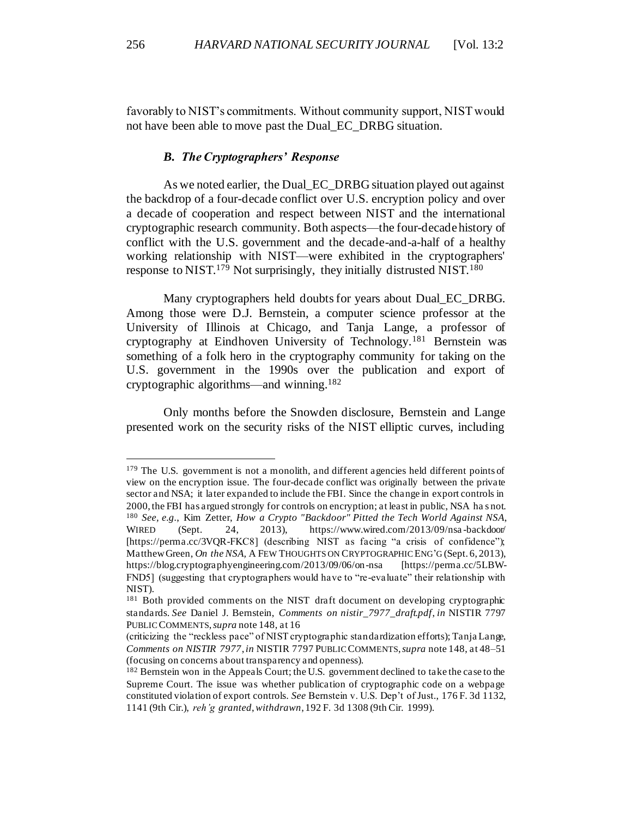favorably to NIST's commitments. Without community support, NIST would not have been able to move past the Dual\_EC\_DRBG situation.

### *B. The Cryptographers' Response*

<span id="page-32-0"></span>As we noted earlier, the Dual\_EC\_DRBG situation played out against the backdrop of a four-decade conflict over U.S. encryption policy and over a decade of cooperation and respect between NIST and the international cryptographic research community. Both aspects—the four-decade history of conflict with the U.S. government and the decade-and-a-half of a healthy working relationship with NIST—were exhibited in the cryptographers' response to NIST.<sup>179</sup> Not surprisingly, they initially distrusted NIST.<sup>180</sup>

Many cryptographers held doubts for years about Dual\_EC\_DRBG. Among those were D.J. Bernstein, a computer science professor at the University of Illinois at Chicago, and Tanja Lange, a professor of cryptography at Eindhoven University of Technology.<sup>181</sup> Bernstein was something of a folk hero in the cryptography community for taking on the U.S. government in the 1990s over the publication and export of cryptographic algorithms—and winning.<sup>182</sup>

Only months before the Snowden disclosure, Bernstein and Lange presented work on the security risks of the NIST elliptic curves, including

<sup>&</sup>lt;sup>179</sup> The U.S. government is not a monolith, and different agencies held different points of view on the encryption issue. The four-decade conflict was originally between the private sector and NSA; it later expanded to include the FBI. Since the change in export controls in 2000, the FBI has argued strongly for controls on encryption; at least in public, NSA ha s not. <sup>180</sup> *See, e.g.*, Kim Zetter, *How a Crypto "Backdoor" Pitted the Tech World Against NSA*, WIRED (Sept. 24, 2013), https://www.wired.com/2013/09/nsa-backdoor/ [https://perma.cc/3VQR-FKC8] (describing NIST as facing "a crisis of confidence"); Matthew Green, *On the NSA,* A FEW THOUGHTS ON CRYPTOGRAPHIC ENG'G (Sept. 6, 2013), https://blog.cryptographyengineering.com/2013/09/06/on-nsa [https://perma.cc/5LBW-FND5] (suggesting that cryptographers would have to "re-evaluate" their relationship with NIST).

<sup>&</sup>lt;sup>181</sup> Both provided comments on the NIST draft document on developing cryptographic standards. *See* Daniel J. Bernstein, *Comments on nistir\_7977\_draft.pdf*, *in* NISTIR 7797 PUBLIC COMMENTS, *supra* note 148, at 16

<sup>(</sup>criticizing the "reckless pace" of NIST cryptographic standardization efforts); Tanja Lange, *Comments on NISTIR 7977*, *in* NISTIR 7797 PUBLIC COMMENTS, *supra* note 148, at 48–51 (focusing on concerns about transparency and openness).

<sup>&</sup>lt;sup>182</sup> Bernstein won in the Appeals Court; the U.S. government declined to take the case to the Supreme Court. The issue was whether publication of cryptographic code on a webpage constituted violation of export controls. *See* Bernstein v. U.S. Dep't of Just*.*, 176 F. 3d 1132, 1141 (9th Cir.), *reh'g granted*, *withdrawn*, 192 F. 3d 1308 (9th Cir. 1999).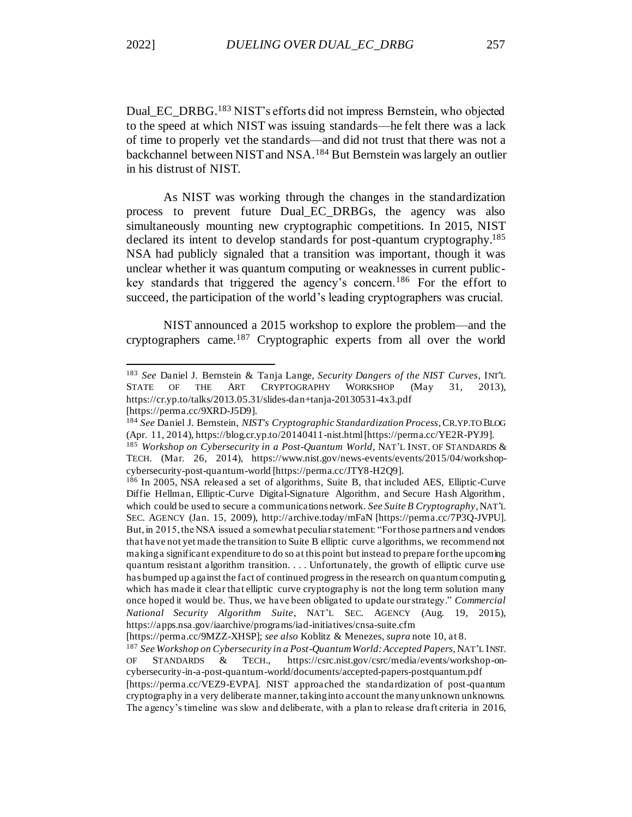Dual EC\_DRBG.<sup>183</sup> NIST's efforts did not impress Bernstein, who objected to the speed at which NIST was issuing standards—he felt there was a lack of time to properly vet the standards—and did not trust that there was not a backchannel between NIST and NSA.<sup>184</sup> But Bernstein was largely an outlier in his distrust of NIST.

As NIST was working through the changes in the standardization process to prevent future Dual\_EC\_DRBGs, the agency was also simultaneously mounting new cryptographic competitions. In 2015, NIST declared its intent to develop standards for post-quantum cryptography.<sup>185</sup> NSA had publicly signaled that a transition was important, though it was unclear whether it was quantum computing or weaknesses in current publickey standards that triggered the agency's concern.<sup>186</sup> For the effort to succeed, the participation of the world's leading cryptographers was crucial.

NIST announced a 2015 workshop to explore the problem—and the cryptographers came.<sup>187</sup> Cryptographic experts from all over the world

<sup>183</sup> *See* Daniel J. Bernstein & Tanja Lange, *Security Dangers of the NIST Curves*, INT'L STATE OF THE ART CRYPTOGRAPHY WORKSHOP (May 31, 2013), https://cr.yp.to/talks/2013.05.31/slides-dan+tanja-20130531-4x3.pdf [https://perma.cc/9XRD-J5D9].

<sup>184</sup> *See* Daniel J. Bernstein, *NIST's Cryptographic Standardization Process*, CR.YP.TO BLOG (Apr. 11, 2014), https://blog.cr.yp.to/20140411-nist.html [https://perma.cc/YE2R-PYJ9].

<sup>185</sup> *Workshop on Cybersecurity in a Post-Quantum World*, NAT'L INST. OF STANDARDS & TECH. (Mar. 26, 2014), https://www.nist.gov/news-events/events/2015/04/workshopcybersecurity-post-quantum-world [https://perma.cc/JTY8-H2Q9].

<sup>186</sup> In 2005, NSA released a set of algorithms, Suite B, that included AES, Elliptic-Curve Diffie Hellman, Elliptic-Curve Digital-Signature Algorithm, and Secure Hash Algorithm , which could be used to secure a communications network. *See Suite B Cryptography*, NAT'L SEC. AGENCY (Jan. 15, 2009), http://archive.today/mFaN [https://perma.cc/7P3Q-JVPU]. But, in 2015, the NSA issued a somewhat peculiar statement: "For those partners and vendors that have not yet made the transition to Suite B elliptic curve algorithms, we recommend not making a significant expenditure to do so at this point but instead to prepare for the upcoming quantum resistant algorithm transition. . . . Unfortunately, the growth of elliptic curve use has bumped up against the fact of continued progress in the research on quantum computin g, which has made it clear that elliptic curve cryptography is not the long term solution many once hoped it would be. Thus, we have been obligated to update our strategy." *Commercial National Security Algorithm Suite*, NAT'L SEC. AGENCY (Aug. 19, 2015), https://apps.nsa.gov/iaarchive/programs/iad-initiatives/cnsa-suite.cfm

<sup>[</sup>https://perma.cc/9MZZ-XHSP]; *see also* Koblitz & Menezes, *supra* not[e 10,](#page-4-2) at 8.

<sup>187</sup> *See Workshop on Cybersecurity in a Post-Quantum World: Accepted Papers,* NAT'L INST. OF STANDARDS & TECH., https://csrc.nist.gov/csrc/media/events/workshop-oncybersecurity-in-a-post-quantum-world/documents/accepted-papers-postquantum.pdf [https://perma.cc/VEZ9-EVPA]. NIST approached the standardization of post-quantum cryptography in a very deliberate manner, taking into account the many unknown unknowns. The agency's timeline was slow and deliberate, with a plan to release draft criteria in 2016,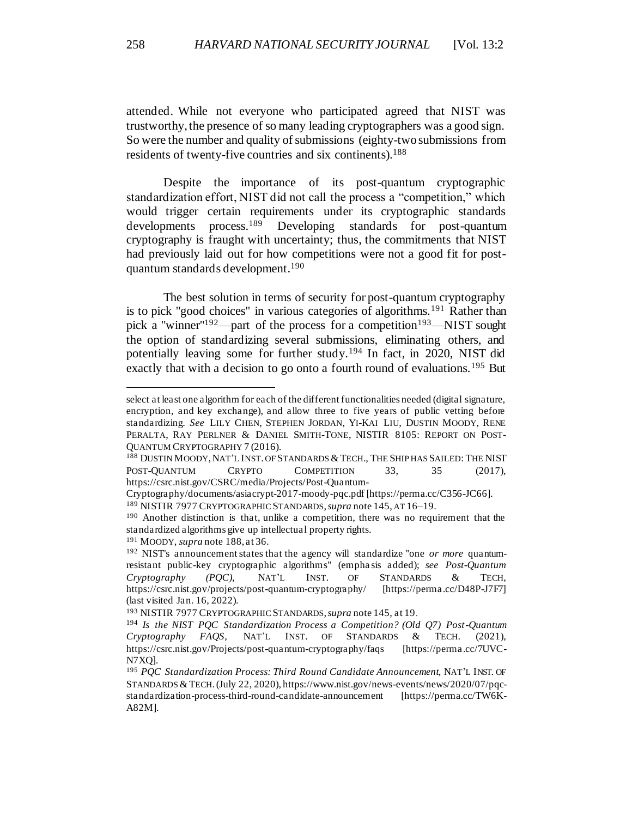attended. While not everyone who participated agreed that NIST was trustworthy, the presence of so many leading cryptographers was a good sign. So were the number and quality of submissions (eighty-two submissions from residents of twenty-five countries and six continents).<sup>188</sup>

<span id="page-34-0"></span>Despite the importance of its post-quantum cryptographic standardization effort, NIST did not call the process a "competition," which would trigger certain requirements under its cryptographic standards developments process.<sup>189</sup> Developing standards for post-quantum cryptography is fraught with uncertainty; thus, the commitments that NIST had previously laid out for how competitions were not a good fit for postquantum standards development. 190

The best solution in terms of security for post-quantum cryptography is to pick "good choices" in various categories of algorithms.<sup>191</sup> Rather than pick a "winner"<sup>192</sup>—part of the process for a competition<sup>193</sup>—NIST sought the option of standardizing several submissions, eliminating others, and potentially leaving some for further study.<sup>194</sup> In fact, in 2020, NIST did exactly that with a decision to go onto a fourth round of evaluations.<sup>195</sup> But

select at least one algorithm for each of the different functionalities needed (digital signature, encryption, and key exchange), and allow three to five years of public vetting before standardizing. *See* LILY CHEN, STEPHEN JORDAN, YI-KAI LIU, DUSTIN MOODY, RENE PERALTA, RAY PERLNER & DANIEL SMITH-TONE, NISTIR 8105: REPORT ON POST-QUANTUM CRYPTOGRAPHY 7 (2016).

<sup>188</sup> DUSTIN MOODY, NAT'L INST. OF STANDARDS & TECH., THE SHIP HAS SAILED: THE NIST POST-QUANTUM CRYPTO COMPETITION 33, 35 (2017), https://csrc.nist.gov/CSRC/media/Projects/Post-Quantum-

Cryptography/documents/asiacrypt-2017-moody-pqc.pdf [https://perma.cc/C356-JC66]. <sup>189</sup> NISTIR 7977 CRYPTOGRAPHIC STANDARDS,*supra* not[e 145](#page-27-0), AT 16–19.

<sup>190</sup> Another distinction is that, unlike a competition, there was no requirement that the standardized algorithms give up intellectual property rights.

<sup>191</sup> MOODY, *supra* not[e 188](#page-34-0), at 36.

<sup>192</sup> NIST's announcement states that the agency will standardize "one *or more* quantumresistant public-key cryptographic algorithms" (empha sis added); *see Post-Quantum Cryptography (PQC),* NAT'L INST. OF STANDARDS & TECH, https://csrc.nist.gov/projects/post-quantum-cryptography/ [https://perma.cc/D48P-J7F7] (last visited Jan. 16, 2022).

<sup>193</sup> NISTIR 7977 CRYPTOGRAPHIC STANDARDS, *supra* not[e 145](#page-27-0), at 19.

<sup>194</sup> *Is the NIST PQC Standardization Process a Competition? (Old Q7) Post-Quantum Cryptography FAQS*, NAT'L INST. OF STANDARDS & TECH. (2021), https://csrc.nist.gov/Projects/post-quantum-cryptography/faqs [https://perma.cc/7UVC-N7XQ].

<sup>195</sup> *PQC Standardization Process: Third Round Candidate Announcement,* NAT'L INST. OF STANDARDS &TECH.(July 22, 2020), https://www.nist.gov/news-events/news/2020/07/pqcstandardization-process-third-round-candidate-announcement [https://perma.cc/TW6K-A82M].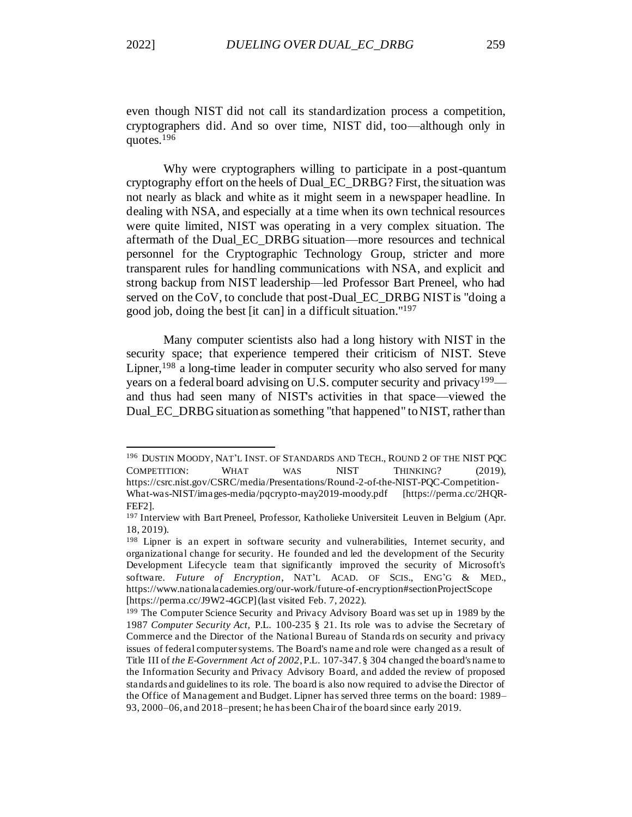even though NIST did not call its standardization process a competition, cryptographers did. And so over time, NIST did, too—although only in quotes.<sup>196</sup>

Why were cryptographers willing to participate in a post-quantum cryptography effort on the heels of Dual\_EC\_DRBG? First, the situation was not nearly as black and white as it might seem in a newspaper headline. In dealing with NSA, and especially at a time when its own technical resources were quite limited, NIST was operating in a very complex situation. The aftermath of the Dual\_EC\_DRBG situation—more resources and technical personnel for the Cryptographic Technology Group, stricter and more transparent rules for handling communications with NSA, and explicit and strong backup from NIST leadership—led Professor Bart Preneel, who had served on the CoV, to conclude that post-Dual\_EC\_DRBG NIST is "doing a good job, doing the best [it can] in a difficult situation."<sup>197</sup>

Many computer scientists also had a long history with NIST in the security space; that experience tempered their criticism of NIST. Steve Lipner,  $198$  a long-time leader in computer security who also served for many years on a federal board advising on U.S. computer security and privacy<sup>199</sup> and thus had seen many of NIST's activities in that space—viewed the Dual EC DRBG situation as something "that happened" to NIST, rather than

<sup>196</sup> DUSTIN MOODY, NAT'L INST. OF STANDARDS AND TECH., ROUND 2 OF THE NIST PQC COMPETITION: WHAT WAS NIST THINKING? (2019), https://csrc.nist.gov/CSRC/media/Presentations/Round-2-of-the-NIST-PQC-Competition-What-was-NIST/images-media/pqcrypto-may2019-moody.pdf [https://perma.cc/2HQR-FEF2].

<sup>197</sup> Interview with Bart Preneel, Professor, Katholieke Universiteit Leuven in Belgium (Apr. 18, 2019).

<sup>&</sup>lt;sup>198</sup> Lipner is an expert in software security and vulnerabilities, Internet security, and organizational change for security. He founded and led the development of the Security Development Lifecycle team that significantly improved the security of Microsoft's software. *Future of Encryption*, NAT'L ACAD. OF SCIS., ENG'G & MED., https://www.nationalacademies.org/our-work/future-of-encryption#sectionProjectScope [https://perma.cc/J9W2-4GCP](last visited Feb. 7, 2022).

<sup>199</sup> The Computer Science Security and Privacy Advisory Board was set up in 1989 by the 1987 *Computer Security Act,* P.L. 100-235 § 21. Its role was to advise the Secretary of Commerce and the Director of the National Bureau of Standa rds on security and privacy issues of federal computer systems. The Board's name and role were changed as a result of Title III of *the E-Government Act of 2002*, P.L. 107-347. § 304 changed the board's name to the Information Security and Privacy Advisory Board, and added the review of proposed standards and guidelines to its role. The board is also now required to advise the Director of the Office of Management and Budget. Lipner has served three terms on the board: 1989– 93, 2000–06, and 2018–present; he has been Chair of the board since early 2019.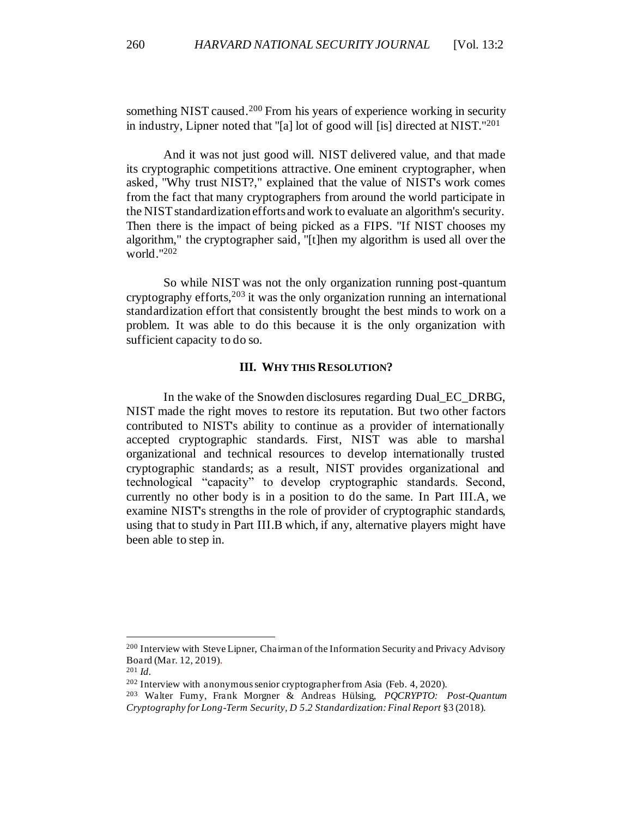something NIST caused.<sup>200</sup> From his years of experience working in security in industry, Lipner noted that "[a] lot of good will [is] directed at NIST."<sup>201</sup>

And it was not just good will. NIST delivered value, and that made its cryptographic competitions attractive. One eminent cryptographer, when asked, "Why trust NIST?," explained that the value of NIST's work comes from the fact that many cryptographers from around the world participate in the NIST standardization efforts and work to evaluate an algorithm's security. Then there is the impact of being picked as a FIPS. "If NIST chooses my algorithm," the cryptographer said, "[t]hen my algorithm is used all over the world."<sup>202</sup>

So while NIST was not the only organization running post-quantum cryptography efforts,  $203$  it was the only organization running an international standardization effort that consistently brought the best minds to work on a problem. It was able to do this because it is the only organization with sufficient capacity to do so.

### **III. WHY THIS RESOLUTION?**

<span id="page-36-0"></span>In the wake of the Snowden disclosures regarding Dual\_EC\_DRBG, NIST made the right moves to restore its reputation. But two other factors contributed to NIST's ability to continue as a provider of internationally accepted cryptographic standards. First, NIST was able to marshal organizational and technical resources to develop internationally trusted cryptographic standards; as a result, NIST provides organizational and technological "capacity" to develop cryptographic standards. Second, currently no other body is in a position to do the same. In Part III.A, we examine NIST's strengths in the role of provider of cryptographic standards, using that to study in Part III.B which, if any, alternative players might have been able to step in.

<sup>200</sup> Interview with Steve Lipner, Chairman of the Information Security and Privacy Advisory Board (Mar. 12, 2019).

<sup>201</sup> *Id.* 

 $202$  Interview with anonymous senior cryptographer from Asia (Feb. 4, 2020).

<sup>203</sup> Walter Fumy, Frank Morgner & Andreas Hülsing, *PQCRYPTO: Post-Quantum Cryptography for Long-Term Security, D 5.2 Standardization: Final Report* §3 (2018).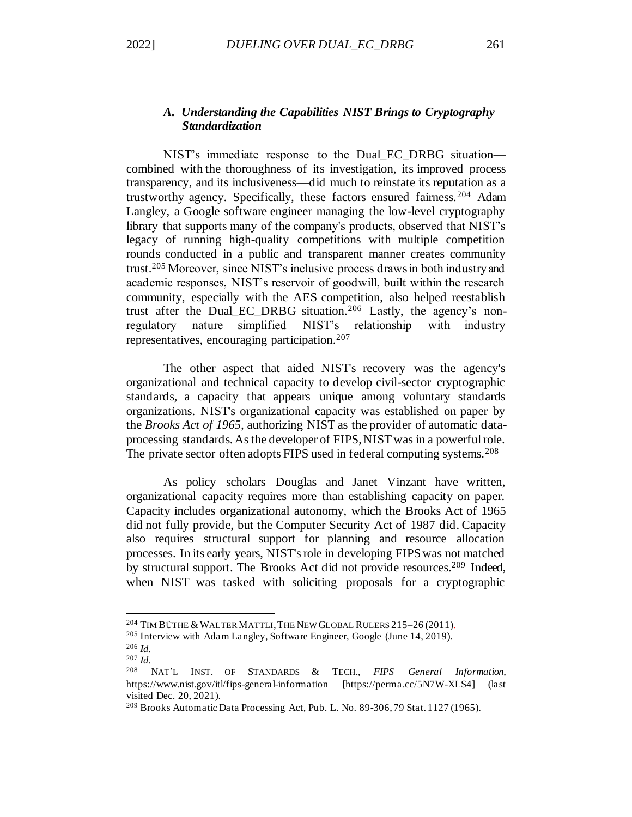# <span id="page-37-0"></span>*A. Understanding the Capabilities NIST Brings to Cryptography Standardization*

NIST's immediate response to the Dual\_EC\_DRBG situation combined with the thoroughness of its investigation, its improved process transparency, and its inclusiveness—did much to reinstate its reputation as a trustworthy agency. Specifically, these factors ensured fairness.<sup>204</sup> Adam Langley, a Google software engineer managing the low-level cryptography library that supports many of the company's products, observed that NIST's legacy of running high-quality competitions with multiple competition rounds conducted in a public and transparent manner creates community trust.<sup>205</sup> Moreover, since NIST's inclusive process draws in both industry and academic responses, NIST's reservoir of goodwill, built within the research community, especially with the AES competition, also helped reestablish trust after the Dual\_EC\_DRBG situation.<sup>206</sup> Lastly, the agency's nonregulatory nature simplified NIST's relationship with industry representatives, encouraging participation.<sup>207</sup>

<span id="page-37-1"></span>The other aspect that aided NIST's recovery was the agency's organizational and technical capacity to develop civil-sector cryptographic standards, a capacity that appears unique among voluntary standards organizations. NIST's organizational capacity was established on paper by the *Brooks Act of 1965,* authorizing NIST as the provider of automatic dataprocessing standards*.* As the developer of FIPS, NIST was in a powerful role. The private sector often adopts FIPS used in federal computing systems.<sup>208</sup>

As policy scholars Douglas and Janet Vinzant have written, organizational capacity requires more than establishing capacity on paper. Capacity includes organizational autonomy, which the Brooks Act of 1965 did not fully provide, but the Computer Security Act of 1987 did. Capacity also requires structural support for planning and resource allocation processes. In its early years, NIST's role in developing FIPS was not matched by structural support. The Brooks Act did not provide resources.<sup>209</sup> Indeed, when NIST was tasked with soliciting proposals for a cryptographic

<sup>&</sup>lt;sup>204</sup> TIM BÜTHE & WALTER MATTLI, THE NEW GLOBAL RULERS 215-26 (2011).

<sup>205</sup> Interview with Adam Langley, Software Engineer, Google (June 14, 2019).

<sup>206</sup> *Id.*

<sup>207</sup> *Id.*

<sup>208</sup> NAT'L INST. OF STANDARDS & TECH., *FIPS General Information*, https://www.nist.gov/itl/fips-general-information [https://perma.cc/5N7W-XLS4] (last visited Dec. 20, 2021).

<sup>209</sup> Brooks Automatic Data Processing Act, Pub. L. No. 89-306, 79 Stat. 1127 (1965).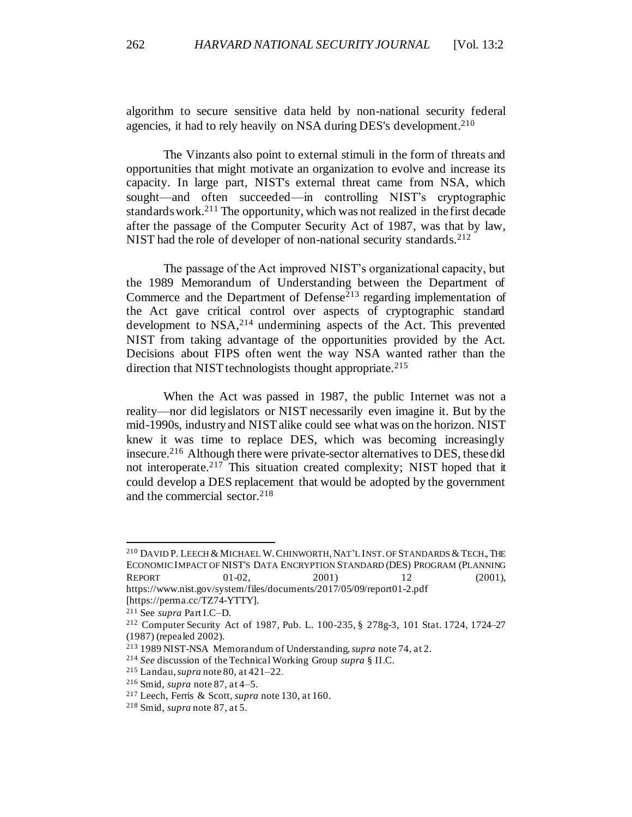<span id="page-38-0"></span>algorithm to secure sensitive data held by non-national security federal agencies, it had to rely heavily on NSA during DES's development.<sup>210</sup>

The Vinzants also point to external stimuli in the form of threats and opportunities that might motivate an organization to evolve and increase its capacity. In large part, NIST's external threat came from NSA, which sought—and often succeeded—in controlling NIST's cryptographic standards work.<sup>211</sup> The opportunity, which was not realized in the first decade after the passage of the Computer Security Act of 1987, was that by law, NIST had the role of developer of non-national security standards.<sup>212</sup>

The passage of the Act improved NIST's organizational capacity, but the 1989 Memorandum of Understanding between the Department of Commerce and the Department of Defense<sup>213</sup> regarding implementation of the Act gave critical control over aspects of cryptographic standard development to NSA,<sup>214</sup> undermining aspects of the Act. This prevented NIST from taking advantage of the opportunities provided by the Act. Decisions about FIPS often went the way NSA wanted rather than the direction that NIST technologists thought appropriate.<sup>215</sup>

When the Act was passed in 1987, the public Internet was not a reality—nor did legislators or NIST necessarily even imagine it. But by the mid-1990s, industry and NIST alike could see what was on the horizon. NIST knew it was time to replace DES, which was becoming increasingly insecure.<sup>216</sup> Although there were private-sector alternatives to DES, these did not interoperate.<sup>217</sup> This situation created complexity; NIST hoped that it could develop a DES replacement that would be adopted by the government and the commercial sector.<sup>218</sup>

<sup>&</sup>lt;sup>210</sup> DAVID P. LEECH & MICHAEL W. CHINWORTH, NAT'L INST. OF STANDARDS & TECH., THE ECONOMIC IMPACT OF NIST'S DATA ENCRYPTION STANDARD (DES) PROGRAM (PLANNING REPORT 01-02, 2001) 12 (2001), https://www.nist.gov/system/files/documents/2017/05/09/report01-2.pdf [https://perma.cc/TZ74-YTTY].

<sup>211</sup> See *supra* Part I.C–D.

<sup>212</sup> Computer Security Act of 1987, Pub. L. 100-235, § 278g-3, 101 Stat. 1724, 1724–27 (1987) (repealed 2002).

<sup>213</sup> 1989 NIST-NSA Memorandum of Understanding, *supra* not[e 74](#page-16-0), at 2.

<sup>214</sup> *See* discussion of the Technical Working Group *supra* § II.C.

<sup>215</sup> Landau, *supra* not[e 80,](#page-16-1) at 421–22.

<sup>216</sup> Smid, *supra* not[e 87,](#page-18-1) at 4–5.

<sup>217</sup> Leech, Ferris & Scott, *supra* not[e 130](#page-24-1), at 160.

<sup>218</sup> Smid, *supra* not[e 87,](#page-18-1) at 5.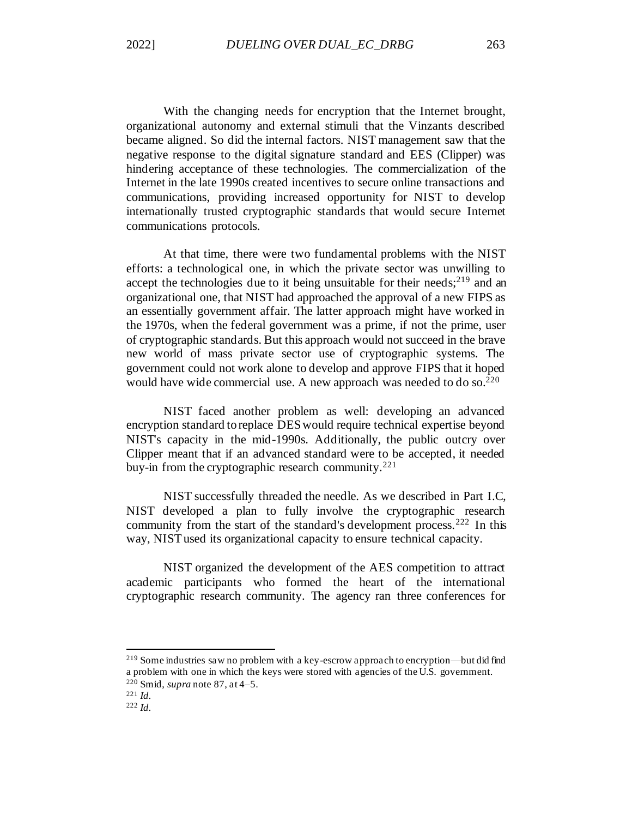With the changing needs for encryption that the Internet brought, organizational autonomy and external stimuli that the Vinzants described became aligned. So did the internal factors. NIST management saw that the negative response to the digital signature standard and EES (Clipper) was hindering acceptance of these technologies. The commercialization of the Internet in the late 1990s created incentives to secure online transactions and communications, providing increased opportunity for NIST to develop internationally trusted cryptographic standards that would secure Internet communications protocols.

At that time, there were two fundamental problems with the NIST efforts: a technological one, in which the private sector was unwilling to accept the technologies due to it being unsuitable for their needs;  $2^{19}$  and an organizational one, that NIST had approached the approval of a new FIPS as an essentially government affair. The latter approach might have worked in the 1970s, when the federal government was a prime, if not the prime, user of cryptographic standards. But this approach would not succeed in the brave new world of mass private sector use of cryptographic systems. The government could not work alone to develop and approve FIPS that it hoped would have wide commercial use. A new approach was needed to do so.<sup>220</sup>

NIST faced another problem as well: developing an advanced encryption standard to replace DES would require technical expertise beyond NIST's capacity in the mid-1990s. Additionally, the public outcry over Clipper meant that if an advanced standard were to be accepted, it needed buy-in from the cryptographic research community.<sup>221</sup>

NIST successfully threaded the needle. As we described in Part I.C*,*  NIST developed a plan to fully involve the cryptographic research community from the start of the standard's development process.<sup>222</sup> In this way, NIST used its organizational capacity to ensure technical capacity.

NIST organized the development of the AES competition to attract academic participants who formed the heart of the international cryptographic research community. The agency ran three conferences for

<sup>219</sup> Some industries saw no problem with a key-escrow approach to encryption—but did find a problem with one in which the keys were stored with agencies of the U.S. government. <sup>220</sup> Smid, *supra* not[e 87,](#page-18-1) at 4–5.

<sup>221</sup> *Id.*

<sup>222</sup> *Id.*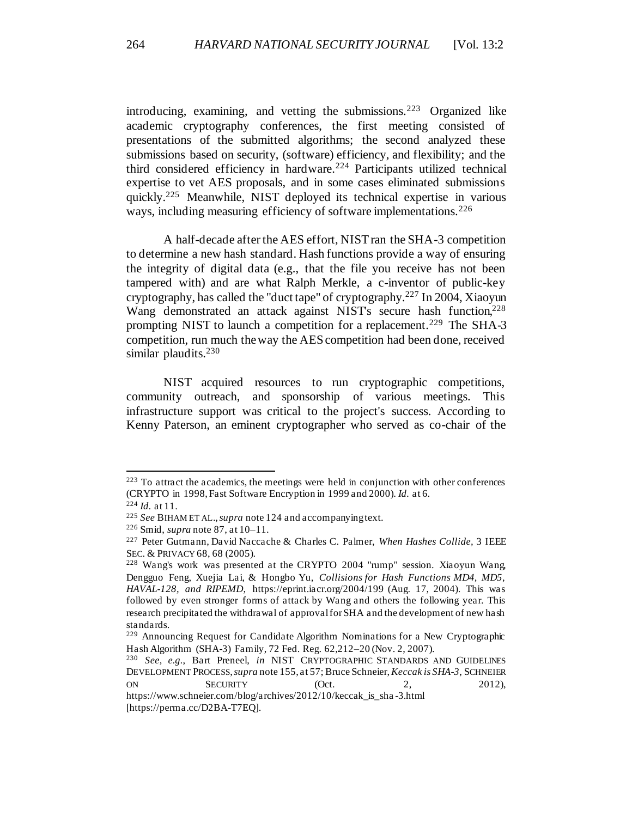introducing, examining, and vetting the submissions.<sup>223</sup> Organized like academic cryptography conferences, the first meeting consisted of presentations of the submitted algorithms; the second analyzed these submissions based on security, (software) efficiency, and flexibility; and the third considered efficiency in hardware.<sup>224</sup> Participants utilized technical expertise to vet AES proposals, and in some cases eliminated submissions quickly.<sup>225</sup> Meanwhile, NIST deployed its technical expertise in various ways, including measuring efficiency of software implementations.<sup>226</sup>

A half-decade after the AES effort, NIST ran the SHA-3 competition to determine a new hash standard. Hash functions provide a way of ensuring the integrity of digital data (e.g., that the file you receive has not been tampered with) and are what Ralph Merkle, a c-inventor of public-key cryptography, has called the "duct tape" of cryptography.<sup>227</sup> In 2004, Xiaoyun Wang demonstrated an attack against NIST's secure hash function,<sup>228</sup> prompting NIST to launch a competition for a replacement.<sup>229</sup> The SHA-3 competition, run much the way the AES competition had been done, received similar plaudits.<sup>230</sup>

NIST acquired resources to run cryptographic competitions, community outreach, and sponsorship of various meetings. This infrastructure support was critical to the project's success. According to Kenny Paterson, an eminent cryptographer who served as co-chair of the

<sup>223</sup> To attract the academics, the meetings were held in conjunction with other conferences (CRYPTO in 1998, Fast Software Encryption in 1999 and 2000). *Id.* at 6*.*

<sup>224</sup> *Id.* at 11.

<sup>225</sup> *See* BIHAM ET AL.,*supra* not[e 124](#page-23-0) and accompanying text.

<sup>226</sup> Smid, *supra* not[e 87,](#page-18-1) at 10–11.

<sup>227</sup> Peter Gutmann, David Naccache & Charles C. Palmer, *When Hashes Collide,* 3 IEEE SEC. & PRIVACY 68, 68 (2005).

<sup>228</sup> Wang's work was presented at the CRYPTO 2004 "rump" session. Xiaoyun Wang, Dengguo Feng, Xuejia Lai, & Hongbo Yu, *Collisions for Hash Functions MD4, MD5, HAVAL-128, and RIPEMD*, https://eprint.iacr.org/2004/199 (Aug. 17, 2004). This was followed by even stronger forms of attack by Wang and others the following year. This research precipitated the withdrawal of approval for SHA and the development of new hash standards.

<sup>229</sup> Announcing Request for Candidate Algorithm Nominations for a New Cryptographic Hash Algorithm (SHA-3) Family, 72 Fed. Reg. 62,212–20 (Nov. 2, 2007).

<sup>230</sup> *See, e.g.*, Bart Preneel, *in* NIST CRYPTOGRAPHIC STANDARDS AND GUIDELINES DEVELOPMENT PROCESS, *supra* not[e 155](#page-28-0), at 57; Bruce Schneier, *Keccak is SHA-3*, SCHNEIER ON SECURITY (Oct. 2, 2012), https://www.schneier.com/blog/archives/2012/10/keccak\_is\_sha -3.html

<sup>[</sup>https://perma.cc/D2BA-T7EQ].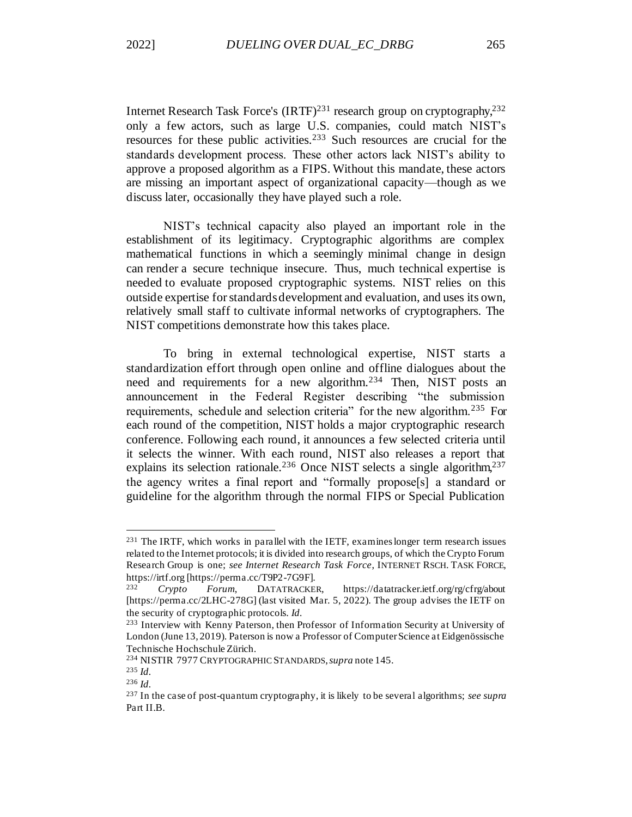<span id="page-41-0"></span>Internet Research Task Force's (IRTF)<sup>231</sup> research group on cryptography,<sup>232</sup> only a few actors, such as large U.S. companies, could match NIST's resources for these public activities.<sup>233</sup> Such resources are crucial for the standards development process. These other actors lack NIST's ability to approve a proposed algorithm as a FIPS. Without this mandate, these actors are missing an important aspect of organizational capacity—though as we discuss later, occasionally they have played such a role.

NIST's technical capacity also played an important role in the establishment of its legitimacy. Cryptographic algorithms are complex mathematical functions in which a seemingly minimal change in design can render a secure technique insecure. Thus, much technical expertise is needed to evaluate proposed cryptographic systems. NIST relies on this outside expertise for standards development and evaluation, and uses its own, relatively small staff to cultivate informal networks of cryptographers. The NIST competitions demonstrate how this takes place.

To bring in external technological expertise, NIST starts a standardization effort through open online and offline dialogues about the need and requirements for a new algorithm.<sup>234</sup> Then, NIST posts an announcement in the Federal Register describing "the submission requirements, schedule and selection criteria" for the new algorithm.<sup>235</sup> For each round of the competition, NIST holds a major cryptographic research conference. Following each round, it announces a few selected criteria until it selects the winner. With each round, NIST also releases a report that explains its selection rationale.<sup>236</sup> Once NIST selects a single algorithm,<sup>237</sup> the agency writes a final report and "formally propose[s] a standard or guideline for the algorithm through the normal FIPS or Special Publication

<sup>231</sup> The IRTF, which works in parallel with the IETF, examines longer term research issues related to the Internet protocols; it is divided into research groups, of which the Crypto Forum Research Group is one; *see Internet Research Task Force*, INTERNET RSCH. TASK FORCE, https://irtf.org [https://perma.cc/T9P2-7G9F].

<sup>232</sup> *Crypto Forum*, DATATRACKER, https://datatracker.ietf.org/rg/cfrg/about [https://perma.cc/2LHC-278G] (last visited Mar. 5, 2022). The group advises the IETF on the security of cryptographic protocols. *Id.*

<sup>233</sup> Interview with Kenny Paterson, then Professor of Information Security at University of London (June 13, 2019). Paterson is now a Professor of Computer Science at Eidgenössische Technische Hochschule Zürich.

<sup>234</sup> NISTIR 7977 CRYPTOGRAPHIC STANDARDS,*supra* not[e 145](#page-27-0).

<sup>235</sup> *Id.*

<sup>236</sup> *Id.*

<sup>237</sup> In the case of post-quantum cryptography, it is likely to be several algorithms; *see supra* Part II.B.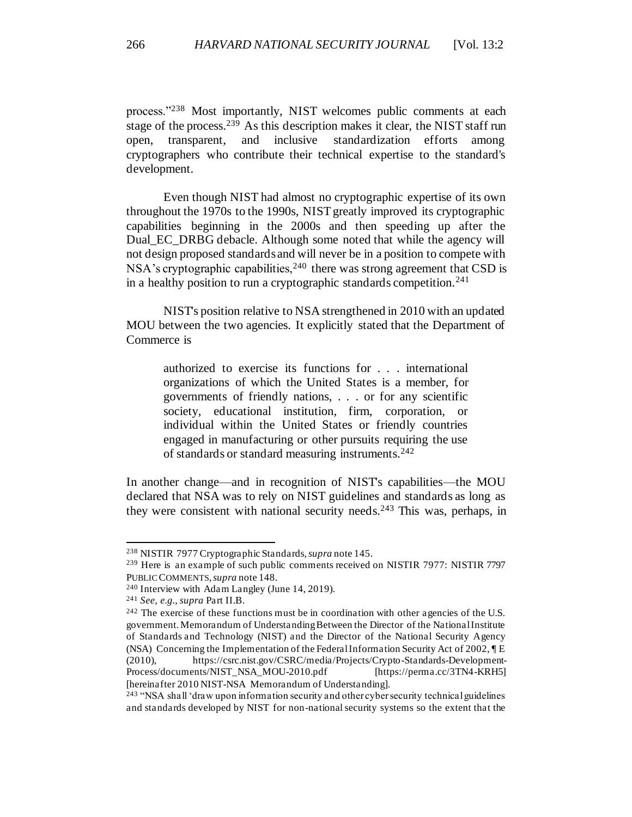process."<sup>238</sup> Most importantly, NIST welcomes public comments at each stage of the process.<sup>239</sup> As this description makes it clear, the NIST staff run open, transparent, and inclusive standardization efforts among cryptographers who contribute their technical expertise to the standard's development.

Even though NIST had almost no cryptographic expertise of its own throughout the 1970s to the 1990s, NIST greatly improved its cryptographic capabilities beginning in the 2000s and then speeding up after the Dual EC\_DRBG debacle. Although some noted that while the agency will not design proposed standards and will never be in a position to compete with NSA's cryptographic capabilities,  $240$  there was strong agreement that CSD is in a healthy position to run a cryptographic standards competition.<sup>241</sup>

NIST's position relative to NSA strengthened in 2010 with an updated MOU between the two agencies. It explicitly stated that the Department of Commerce is

authorized to exercise its functions for . . . international organizations of which the United States is a member, for governments of friendly nations, . . . or for any scientific society, educational institution, firm, corporation, or individual within the United States or friendly countries engaged in manufacturing or other pursuits requiring the use of standards or standard measuring instruments.<sup>242</sup>

In another change—and in recognition of NIST's capabilities—the MOU declared that NSA was to rely on NIST guidelines and standards as long as they were consistent with national security needs.<sup>243</sup> This was, perhaps, in

<sup>238</sup> NISTIR 7977 Cryptographic Standards, *supra* not[e 145.](#page-27-0)

<sup>239</sup> Here is an example of such public comments received on NISTIR 7977: NISTIR 7797 PUBLIC COMMENTS, *supra* note 148.

<sup>240</sup> Interview with Adam Langley (June 14, 2019).

<sup>241</sup> *See, e.g.*, *supra* Part II.B.

<sup>&</sup>lt;sup>242</sup> The exercise of these functions must be in coordination with other agencies of the U.S. government. Memorandum of Understanding Between the Director of the National Institute of Standards and Technology (NIST) and the Director of the National Security Agency (NSA) Concerning the Implementation of the Federal Information Security Act of 2002, ¶ E (2010), https://csrc.nist.gov/CSRC/media/Projects/Crypto-Standards-Development-Process/documents/NIST\_NSA\_MOU-2010.pdf [https://perma.cc/3TN4-KRH5] [hereinafter 2010 NIST-NSA Memorandum of Understanding].

<sup>&</sup>lt;sup>243</sup> "NSA shall 'draw upon information security and other cyber security technical guidelines and standards developed by NIST for non-national security systems so the extent that the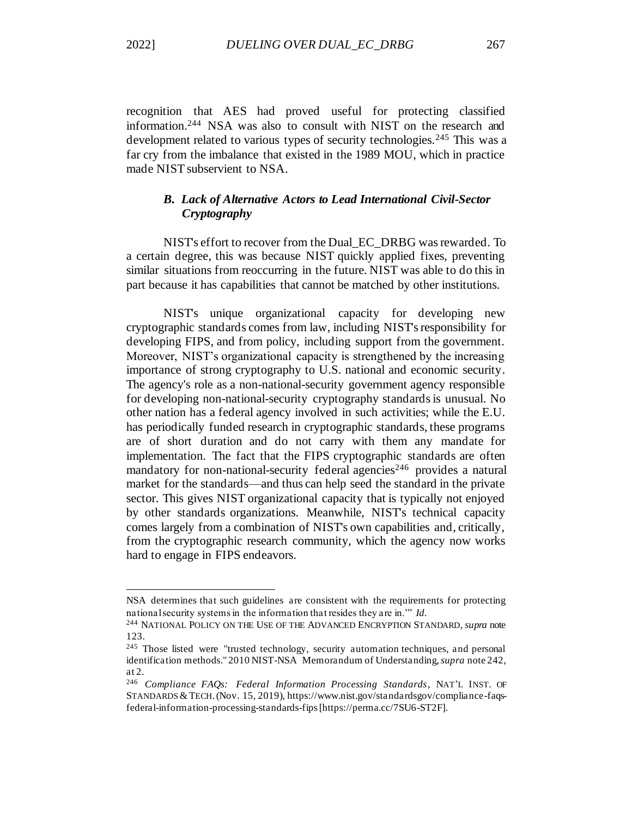recognition that AES had proved useful for protecting classified information.<sup>244</sup> NSA was also to consult with NIST on the research and development related to various types of security technologies.<sup>245</sup> This was a far cry from the imbalance that existed in the 1989 MOU, which in practice made NIST subservient to NSA.

# <span id="page-43-0"></span>*B. Lack of Alternative Actors to Lead International Civil-Sector Cryptography*

NIST's effort to recover from the Dual\_EC\_DRBG was rewarded. To a certain degree, this was because NIST quickly applied fixes, preventing similar situations from reoccurring in the future. NIST was able to do this in part because it has capabilities that cannot be matched by other institutions.

NIST's unique organizational capacity for developing new cryptographic standards comes from law, including NIST's responsibility for developing FIPS, and from policy, including support from the government. Moreover, NIST's organizational capacity is strengthened by the increasing importance of strong cryptography to U.S. national and economic security. The agency's role as a non-national-security government agency responsible for developing non-national-security cryptography standards is unusual. No other nation has a federal agency involved in such activities; while the E.U. has periodically funded research in cryptographic standards, these programs are of short duration and do not carry with them any mandate for implementation. The fact that the FIPS cryptographic standards are often mandatory for non-national-security federal agencies<sup>246</sup> provides a natural market for the standards—and thus can help seed the standard in the private sector. This gives NIST organizational capacity that is typically not enjoyed by other standards organizations. Meanwhile, NIST's technical capacity comes largely from a combination of NIST's own capabilities and, critically, from the cryptographic research community, which the agency now works hard to engage in FIPS endeavors.

NSA determines that such guidelines are consistent with the requirements for protecting national security systems in the information that resides they are in.'" *Id.*

<sup>244</sup> NATIONAL POLICY ON THE USE OF THE ADVANCED ENCRYPTION STANDARD, *supra* note [123.](#page-23-1)

<sup>&</sup>lt;sup>245</sup> Those listed were "trusted technology, security automation techniques, and personal identification methods." 2010 NIST-NSA Memorandum of Understanding, *supra* note 242, at 2.

<sup>246</sup> *Compliance FAQs: Federal Information Processing Standards*, NAT'L INST. OF STANDARDS &TECH.(Nov. 15, 2019), https://www.nist.gov/standardsgov/compliance-faqsfederal-information-processing-standards-fips [https://perma.cc/7SU6-ST2F].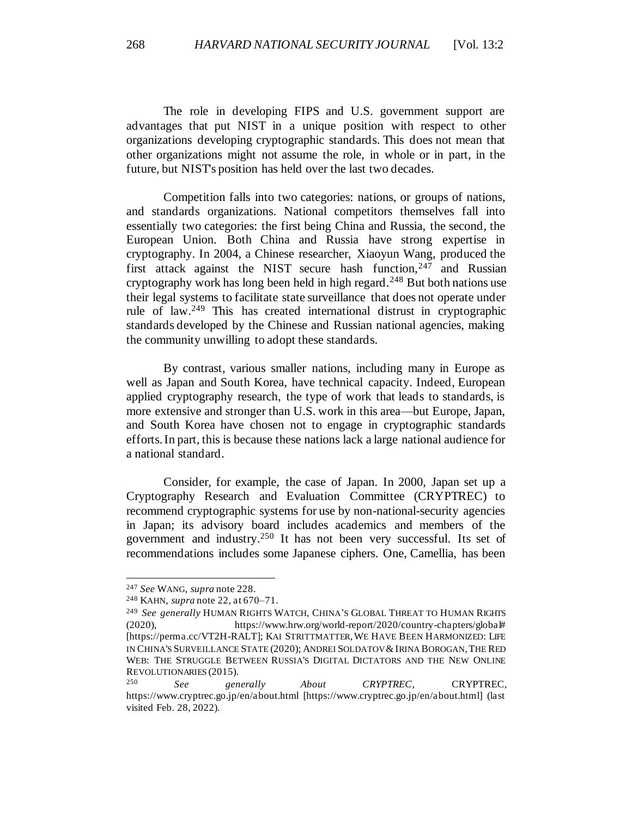The role in developing FIPS and U.S. government support are advantages that put NIST in a unique position with respect to other organizations developing cryptographic standards. This does not mean that other organizations might not assume the role, in whole or in part, in the future, but NIST's position has held over the last two decades.

Competition falls into two categories: nations, or groups of nations, and standards organizations. National competitors themselves fall into essentially two categories: the first being China and Russia, the second, the European Union. Both China and Russia have strong expertise in cryptography. In 2004, a Chinese researcher, Xiaoyun Wang, produced the first attack against the NIST secure hash function,  $247$  and Russian cryptography work has long been held in high regard.<sup>248</sup> But both nations use their legal systems to facilitate state surveillance that does not operate under rule of law.<sup>249</sup> This has created international distrust in cryptographic standards developed by the Chinese and Russian national agencies, making the community unwilling to adopt these standards.

By contrast, various smaller nations, including many in Europe as well as Japan and South Korea, have technical capacity. Indeed, European applied cryptography research, the type of work that leads to standards, is more extensive and stronger than U.S. work in this area—but Europe, Japan, and South Korea have chosen not to engage in cryptographic standards efforts. In part, this is because these nations lack a large national audience for a national standard.

Consider, for example, the case of Japan. In 2000, Japan set up a Cryptography Research and Evaluation Committee (CRYPTREC) to recommend cryptographic systems for use by non-national-security agencies in Japan; its advisory board includes academics and members of the government and industry.<sup>250</sup> It has not been very successful. Its set of recommendations includes some Japanese ciphers. One, Camellia, has been

<sup>247</sup> *See* WANG, *supra* note 228.

<sup>248</sup> KAHN, *supra* not[e 22](#page-7-2), at 670–71.

<sup>249</sup> *See generally* HUMAN RIGHTS WATCH, CHINA'S GLOBAL THREAT TO HUMAN RIGHTS (2020), https://www.hrw.org/world-report/2020/country-chapters/global# [https://perma.cc/VT2H-RALT]; KAI STRITTMATTER,WE HAVE BEEN HARMONIZED: LIFE IN CHINA'S SURVEILLANCE STATE (2020); ANDREI SOLDATOV &IRINA BOROGAN, THE RED WEB: THE STRUGGLE BETWEEN RUSSIA'S DIGITAL DICTATORS AND THE NEW ONLINE REVOLUTIONARIES (2015).

<sup>250</sup> *See generally About CRYPTREC*, CRYPTREC, https://www.cryptrec.go.jp/en/about.html [https://www.cryptrec.go.jp/en/about.html] (last visited Feb. 28, 2022).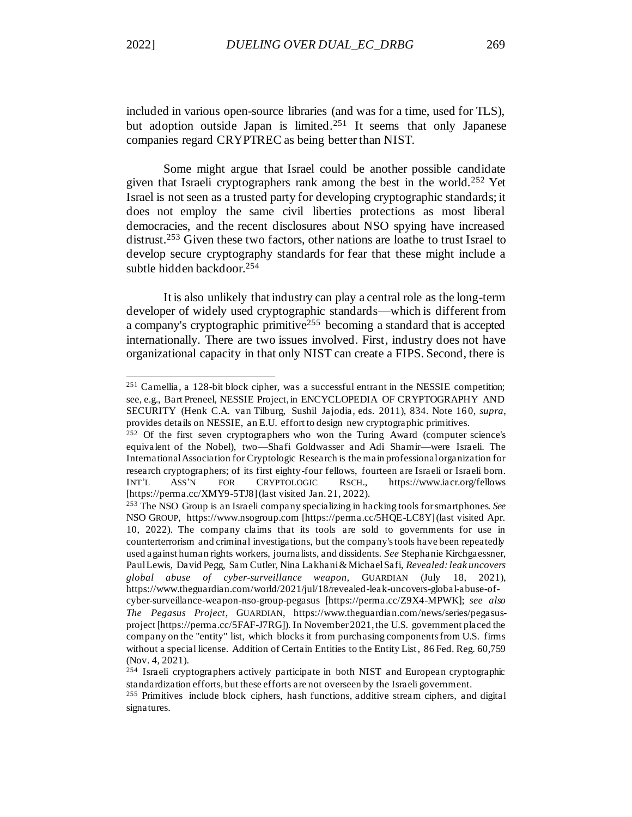included in various open-source libraries (and was for a time, used for TLS), but adoption outside Japan is limited.<sup>251</sup> It seems that only Japanese companies regard CRYPTREC as being better than NIST.

Some might argue that Israel could be another possible candidate given that Israeli cryptographers rank among the best in the world.<sup>252</sup> Yet Israel is not seen as a trusted party for developing cryptographic standards; it does not employ the same civil liberties protections as most liberal democracies, and the recent disclosures about NSO spying have increased distrust.<sup>253</sup> Given these two factors, other nations are loathe to trust Israel to develop secure cryptography standards for fear that these might include a subtle hidden backdoor. 254

It is also unlikely that industry can play a central role as the long-term developer of widely used cryptographic standards—which is different from a company's cryptographic primitive<sup>255</sup> becoming a standard that is accepted internationally. There are two issues involved. First, industry does not have organizational capacity in that only NIST can create a FIPS. Second, there is

<sup>251</sup> Camellia, a 128-bit block cipher, was a successful entrant in the NESSIE competition; see, e.g., Bart Preneel, NESSIE Project, in ENCYCLOPEDIA OF CRYPTOGRAPHY AND SECURITY (Henk C.A. van Tilburg, Sushil Jajodia, eds. 2011), 834. Note 16 0, *supra*, provides details on NESSIE, an E.U. effort to design new cryptographic primitives.

<sup>252</sup> Of the first seven cryptographers who won the Turing Award (computer science's equivalent of the Nobel), two—Shafi Goldwasser and Adi Shamir—were Israeli. The International Association for Cryptologic Research is the main professional organization for research cryptographers; of its first eighty-four fellows, fourteen are Israeli or Israeli born. INT'L ASS'N FOR CRYPTOLOGIC RSCH., https://www.iacr.org/fellows [https://perma.cc/XMY9-5TJ8] (last visited Jan. 21, 2022).

<sup>253</sup> The NSO Group is an Israeli company specializing in hacking tools for smartphones. *See*  NSO GROUP, https://www.nsogroup.com [https://perma.cc/5HQE-LC8Y] (last visited Apr. 10, 2022). The company claims that its tools are sold to governments for use in counterterrorism and criminal investigations, but the company's tools have been repeatedly used against human rights workers, journalists, and dissidents. *See* Stephanie Kirchgaessner, Paul Lewis, David Pegg, Sam Cutler, Nina Lakhani & Michael Safi, *Revealed: leak uncovers global abuse of cyber-surveillance weapon,* GUARDIAN (July 18, 2021), https://www.theguardian.com/world/2021/jul/18/revealed-leak-uncovers-global-abuse-ofcyber-surveillance-weapon-nso-group-pegasus [https://perma.cc/Z9X4-MPWK]; *see also The Pegasus Project*, GUARDIAN, https://www.theguardian.com/news/series/pegasusproject [https://perma.cc/5FAF-J7RG]). In November 2021, the U.S. government placed the company on the "entity" list, which blocks it from purchasing components from U.S. firms without a special license. Addition of Certain Entities to the Entity List*,* 86 Fed. Reg. 60,759 (Nov. 4, 2021).

<sup>&</sup>lt;sup>254</sup> Israeli cryptographers actively participate in both NIST and European cryptographic standardization efforts, but these efforts are not overseen by the Israeli government.

<sup>&</sup>lt;sup>255</sup> Primitives include block ciphers, hash functions, additive stream ciphers, and digital signatures.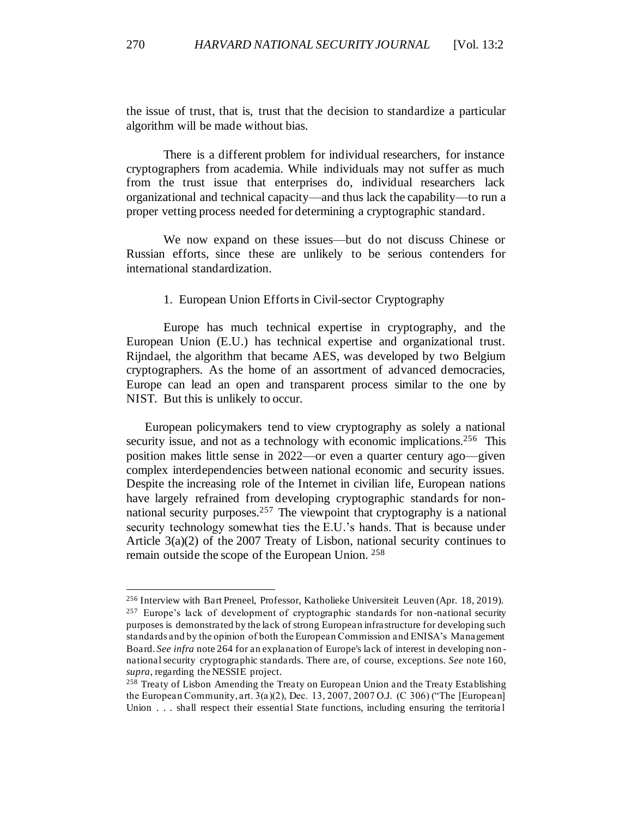the issue of trust, that is, trust that the decision to standardize a particular algorithm will be made without bias.

There is a different problem for individual researchers, for instance cryptographers from academia. While individuals may not suffer as much from the trust issue that enterprises do, individual researchers lack organizational and technical capacity—and thus lack the capability—to run a proper vetting process needed for determining a cryptographic standard.

We now expand on these issues—but do not discuss Chinese or Russian efforts, since these are unlikely to be serious contenders for international standardization.

#### 1. European Union Efforts in Civil-sector Cryptography

<span id="page-46-0"></span>Europe has much technical expertise in cryptography, and the European Union (E.U.) has technical expertise and organizational trust. Rijndael, the algorithm that became AES, was developed by two Belgium cryptographers. As the home of an assortment of advanced democracies, Europe can lead an open and transparent process similar to the one by NIST. But this is unlikely to occur.

European policymakers tend to view cryptography as solely a national security issue, and not as a technology with economic implications.<sup>256</sup> This position makes little sense in 2022—or even a quarter century ago—given complex interdependencies between national economic and security issues. Despite the increasing role of the Internet in civilian life, European nations have largely refrained from developing cryptographic standards for nonnational security purposes.<sup>257</sup> The viewpoint that cryptography is a national security technology somewhat ties the E.U.'s hands. That is because under Article 3(a)(2) of the 2007 Treaty of Lisbon, national security continues to remain outside the scope of the European Union. <sup>258</sup>

<sup>256</sup> Interview with Bart Preneel, Professor, Katholieke Universiteit Leuven (Apr. 18, 2019).  $257$  Europe's lack of development of cryptographic standards for non-national security purposes is demonstrated by the lack of strong European infrastructure for developing such standards and by the opinion of both the European Commission and ENISA's Management Board. *See infra* note 264 for an explanation of Europe's lack of interest in developing non national security cryptographic standards. There are, of course, exceptions. *See* note 160, *supra*, regarding the NESSIE project.

<sup>&</sup>lt;sup>258</sup> Treaty of Lisbon Amending the Treaty on European Union and the Treaty Establishing the European Community, art. 3(a)(2), Dec. 13, 2007, 2007 O.J. (C 306) ("The [European] Union . . . shall respect their essential State functions, including ensuring the territorial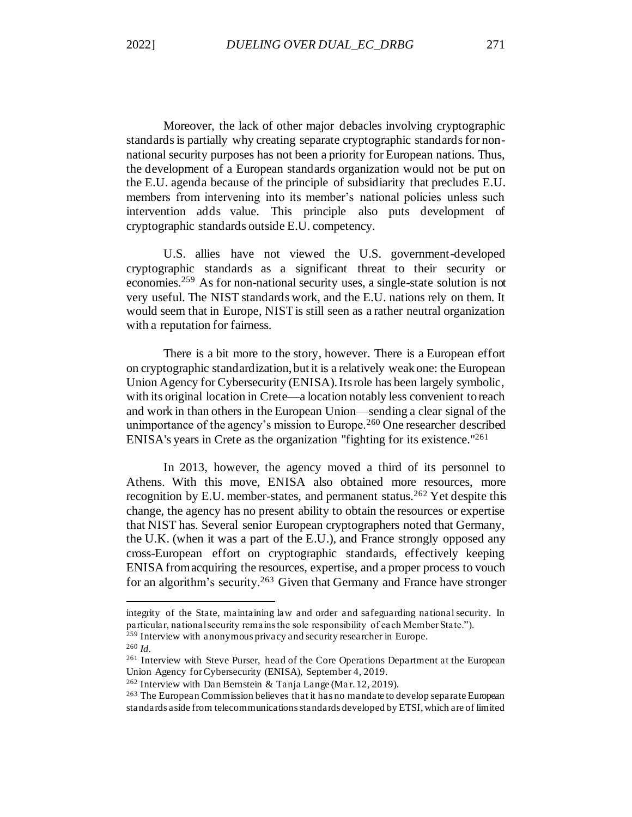Moreover, the lack of other major debacles involving cryptographic standards is partially why creating separate cryptographic standards for nonnational security purposes has not been a priority for European nations. Thus, the development of a European standards organization would not be put on the E.U. agenda because of the principle of subsidiarity that precludes E.U. members from intervening into its member's national policies unless such intervention adds value. This principle also puts development of cryptographic standards outside E.U. competency.

U.S. allies have not viewed the U.S. government-developed cryptographic standards as a significant threat to their security or economies.<sup>259</sup> As for non-national security uses, a single-state solution is not very useful. The NIST standards work, and the E.U. nations rely on them. It would seem that in Europe, NIST is still seen as a rather neutral organization with a reputation for fairness.

There is a bit more to the story, however. There is a European effort on cryptographic standardization, but it is a relatively weak one: the European Union Agency for Cybersecurity (ENISA). Its role has been largely symbolic, with its original location in Crete—a location notably less convenient to reach and work in than others in the European Union—sending a clear signal of the unimportance of the agency's mission to Europe.<sup>260</sup> One researcher described ENISA's years in Crete as the organization "fighting for its existence."<sup>261</sup>

In 2013, however, the agency moved a third of its personnel to Athens. With this move, ENISA also obtained more resources, more recognition by E.U. member-states, and permanent status.<sup>262</sup> Yet despite this change, the agency has no present ability to obtain the resources or expertise that NIST has. Several senior European cryptographers noted that Germany, the U.K. (when it was a part of the E.U.), and France strongly opposed any cross-European effort on cryptographic standards, effectively keeping ENISA from acquiring the resources, expertise, and a proper process to vouch for an algorithm's security.<sup>263</sup> Given that Germany and France have stronger

integrity of the State, maintaining law and order and safeguarding national security. In particular, national security remains the sole responsibility of each Member State.").

<sup>&</sup>lt;sup>259</sup> Interview with anonymous privacy and security researcher in Europe. <sup>260</sup> *Id.*

<sup>261</sup> Interview with Steve Purser, head of the Core Operations Department at the European Union Agency for Cybersecurity (ENISA), September 4, 2019.

<sup>&</sup>lt;sup>262</sup> Interview with Dan Bernstein & Tanja Lange (Mar. 12, 2019).

<sup>&</sup>lt;sup>263</sup> The European Commission believes that it has no mandate to develop separate European standards aside from telecommunications standards developed by ETSI, which are of limited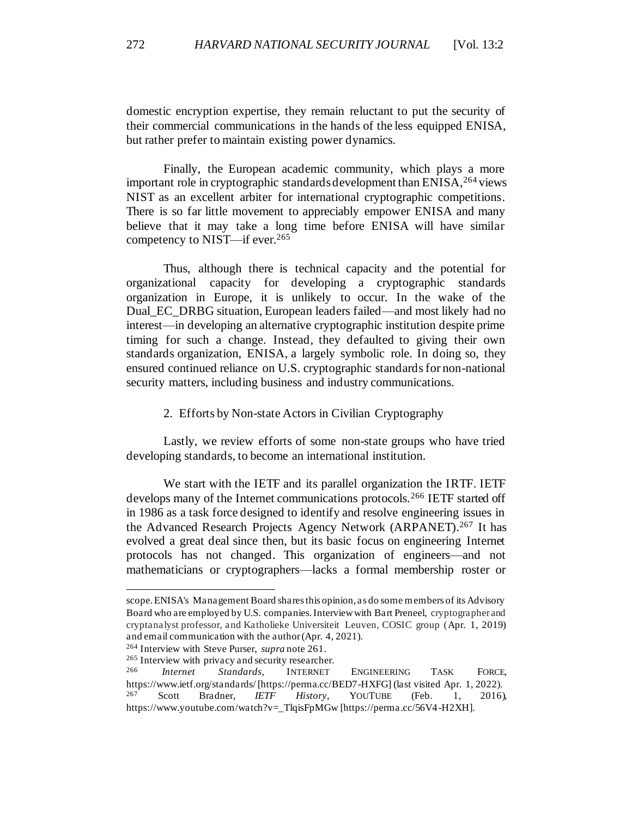domestic encryption expertise, they remain reluctant to put the security of their commercial communications in the hands of the less equipped ENISA, but rather prefer to maintain existing power dynamics.

Finally, the European academic community, which plays a more important role in cryptographic standards development than ENISA, <sup>264</sup> views NIST as an excellent arbiter for international cryptographic competitions. There is so far little movement to appreciably empower ENISA and many believe that it may take a long time before ENISA will have similar competency to NIST—if ever.<sup>265</sup>

Thus, although there is technical capacity and the potential for organizational capacity for developing a cryptographic standards organization in Europe, it is unlikely to occur. In the wake of the Dual\_EC\_DRBG situation, European leaders failed—and most likely had no interest—in developing an alternative cryptographic institution despite prime timing for such a change. Instead, they defaulted to giving their own standards organization, ENISA, a largely symbolic role. In doing so, they ensured continued reliance on U.S. cryptographic standards for non-national security matters, including business and industry communications.

2. Efforts by Non-state Actors in Civilian Cryptography

<span id="page-48-0"></span>Lastly, we review efforts of some non-state groups who have tried developing standards, to become an international institution.

We start with the IETF and its parallel organization the IRTF. IETF develops many of the Internet communications protocols.<sup>266</sup> IETF started off in 1986 as a task force designed to identify and resolve engineering issues in the Advanced Research Projects Agency Network (ARPANET).<sup>267</sup> It has evolved a great deal since then, but its basic focus on engineering Internet protocols has not changed. This organization of engineers—and not mathematicians or cryptographers—lacks a formal membership roster or

scope. ENISA's Management Board shares this opinion, as do some members of its Advisory Board who are employed by U.S. companies. Interview with Bart Preneel, cryptographer and cryptanalyst professor, and Katholieke Universiteit Leuven, COSIC group (Apr. 1, 2019) and email communication with the author (Apr. 4, 2021).

<sup>264</sup> Interview with Steve Purser, *supra* note 261.

<sup>&</sup>lt;sup>265</sup> Interview with privacy and security researcher.<br><sup>266</sup> *Internet Standards* **INTERNET** 

<sup>266</sup> *Internet Standards*, INTERNET ENGINEERING TASK FORCE, https://www.ietf.org/standards/ [https://perma.cc/BED7-HXFG] (last visited Apr. 1, 2022). <sup>267</sup> Scott Bradner, *IETF History*, YOUTUBE (Feb. 1, 2016), https://www.youtube.com/watch?v=\_TlqisFpMGw [https://perma.cc/56V4-H2XH].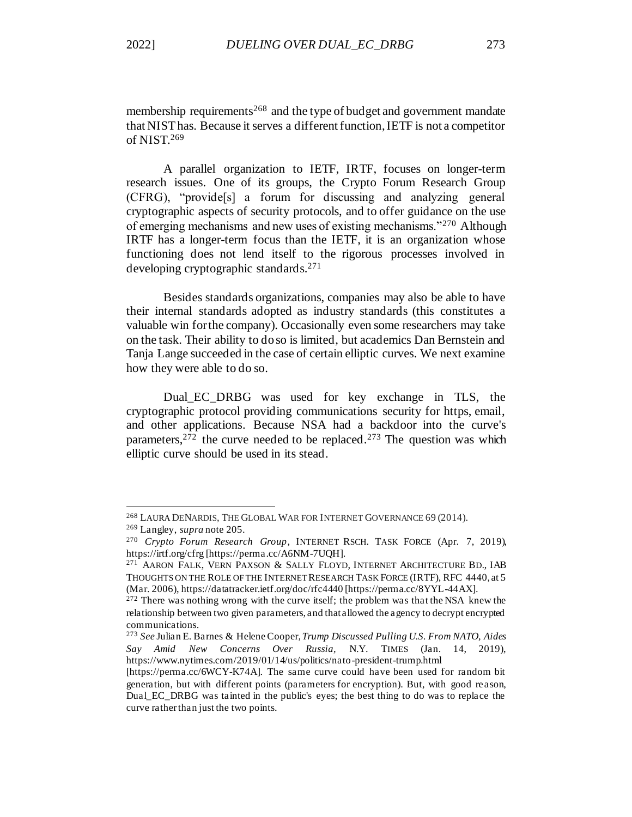membership requirements<sup>268</sup> and the type of budget and government mandate that NIST has. Because it serves a different function, IETF is not a competitor of NIST. 269

A parallel organization to IETF, IRTF, focuses on longer-term research issues. One of its groups, the Crypto Forum Research Group (CFRG), "provide[s] a forum for discussing and analyzing general cryptographic aspects of security protocols, and to offer guidance on the use of emerging mechanisms and new uses of existing mechanisms."<sup>270</sup> Although IRTF has a longer-term focus than the IETF, it is an organization whose functioning does not lend itself to the rigorous processes involved in developing cryptographic standards.<sup>271</sup>

Besides standards organizations, companies may also be able to have their internal standards adopted as industry standards (this constitutes a valuable win for the company). Occasionally even some researchers may take on the task. Their ability to do so is limited, but academics Dan Bernstein and Tanja Lange succeeded in the case of certain elliptic curves. We next examine how they were able to do so.

<span id="page-49-0"></span>Dual\_EC\_DRBG was used for key exchange in TLS, the cryptographic protocol providing communications security for https, email, and other applications. Because NSA had a backdoor into the curve's parameters,  $272$  the curve needed to be replaced.  $273$  The question was which elliptic curve should be used in its stead.

<sup>268</sup> LAURA DENARDIS, THE GLOBAL WAR FOR INTERNET GOVERNANCE 69 (2014).

<sup>269</sup> Langley, *supra* not[e 205](#page-37-1).

<sup>270</sup> *Crypto Forum Research Group*, INTERNET RSCH. TASK FORCE (Apr. 7, 2019), https://irtf.org/cfrg [https://perma.cc/A6NM-7UQH].

<sup>271</sup> AARON FALK, VERN PAXSON & SALLY FLOYD, INTERNET ARCHITECTURE BD., IAB THOUGHTS ON THE ROLE OF THE INTERNET RESEARCH TASK FORCE (IRTF), RFC 4440, at 5 (Mar. 2006), https://datatracker.ietf.org/doc/rfc4440 [https://perma.cc/8YYL-44AX].

<sup>&</sup>lt;sup>272</sup> There was nothing wrong with the curve itself; the problem was that the NSA knew the relationship between two given parameters, and that allowed the agency to decrypt encrypted communications.

<sup>273</sup> *See* Julian E. Barnes & Helene Cooper*, Trump Discussed Pulling U.S. From NATO, Aides Say Amid New Concerns Over Russia,* N.Y. TIMES (Jan. 14, 2019), https://www.nytimes.com/2019/01/14/us/politics/nato-president-trump.html

<sup>[</sup>https://perma.cc/6WCY-K74A]. The same curve could have been used for random bit generation, but with different points (parameters for encryption). But, with good re ason, Dual\_EC\_DRBG was tainted in the public's eyes; the best thing to do was to replace the curve rather than just the two points.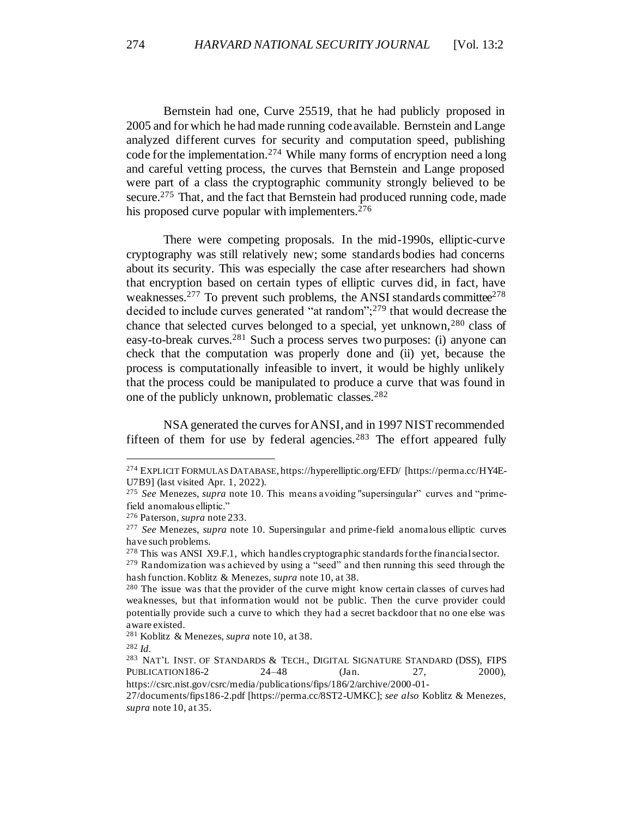Bernstein had one, Curve 25519, that he had publicly proposed in 2005 and for which he had made running code available. Bernstein and Lange analyzed different curves for security and computation speed, publishing code for the implementation.<sup>274</sup> While many forms of encryption need a long and careful vetting process, the curves that Bernstein and Lange proposed were part of a class the cryptographic community strongly believed to be secure.<sup>275</sup> That, and the fact that Bernstein had produced running code, made his proposed curve popular with implementers.  $276$ 

There were competing proposals. In the mid-1990s, elliptic-curve cryptography was still relatively new; some standards bodies had concerns about its security. This was especially the case after researchers had shown that encryption based on certain types of elliptic curves did, in fact, have weaknesses.<sup>277</sup> To prevent such problems, the ANSI standards committee<sup>278</sup> decided to include curves generated "at random";<sup>279</sup> that would decrease the chance that selected curves belonged to a special, yet unknown,  $280$  class of easy-to-break curves.<sup>281</sup> Such a process serves two purposes: (i) anyone can check that the computation was properly done and (ii) yet, because the process is computationally infeasible to invert, it would be highly unlikely that the process could be manipulated to produce a curve that was found in one of the publicly unknown, problematic classes.<sup>282</sup>

NSA generated the curves for ANSI, and in 1997 NIST recommended fifteen of them for use by federal agencies.<sup>283</sup> The effort appeared fully

<sup>274</sup> EXPLICIT FORMULAS DATABASE, https://hyperelliptic.org/EFD/ [https://perma.cc/HY4E-U7B9] (last visited Apr. 1, 2022).

<sup>275</sup> *See* Menezes, *supra* not[e 10](#page-4-2). This means avoiding "supersingular" curves and "primefield anomalous elliptic."

<sup>276</sup> Paterson, *supra* not[e 233](#page-41-0).

<sup>277</sup> *See* Menezes, *supra* note 10. Supersingular and prime-field anomalous elliptic curves have such problems.

<sup>278</sup> This was ANSI X9.F.1, which handles cryptographic standards for the financial sector.

<sup>279</sup> Randomization was achieved by using a "seed" and then running this seed through the hash function. Koblitz & Menezes, *supra* not[e 10,](#page-4-2) at 38.

<sup>280</sup> The issue was that the provider of the curve might know certain classes of curves had weaknesses, but that information would not be public. Then the curve provider could potentially provide such a curve to which they had a secret backdoor that no one else was aware existed.

<sup>281</sup> Koblitz & Menezes, *supra* not[e 10,](#page-4-2) at 38.

<sup>282</sup> *Id.*

<sup>283</sup> NAT'L INST. OF STANDARDS & TECH., DIGITAL SIGNATURE STANDARD (DSS), FIPS PUBLICATION186-2 24–48 (Jan. 27, 2000),

https://csrc.nist.gov/csrc/media/publications/fips/186/2/archive/2000-01-

<sup>27/</sup>documents/fips186-2.pdf [https://perma.cc/8ST2-UMKC]; *see also* Koblitz & Menezes, *supra* not[e 10,](#page-4-2) at 35.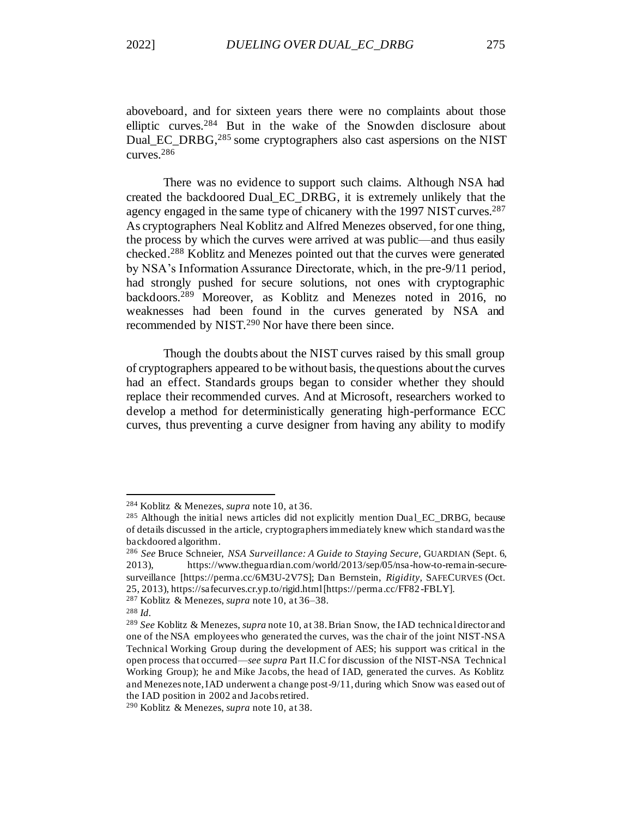aboveboard, and for sixteen years there were no complaints about those elliptic curves.<sup>284</sup> But in the wake of the Snowden disclosure about Dual EC\_DRBG,<sup>285</sup> some cryptographers also cast aspersions on the NIST curves.<sup>286</sup>

There was no evidence to support such claims. Although NSA had created the backdoored Dual\_EC\_DRBG, it is extremely unlikely that the agency engaged in the same type of chicanery with the 1997 NIST curves.<sup>287</sup> As cryptographers Neal Koblitz and Alfred Menezes observed, for one thing, the process by which the curves were arrived at was public—and thus easily checked.<sup>288</sup> Koblitz and Menezes pointed out that the curves were generated by NSA's Information Assurance Directorate, which, in the pre-9/11 period, had strongly pushed for secure solutions, not ones with cryptographic backdoors.<sup>289</sup> Moreover, as Koblitz and Menezes noted in 2016, no weaknesses had been found in the curves generated by NSA and recommended by NIST.<sup>290</sup> Nor have there been since.

Though the doubts about the NIST curves raised by this small group of cryptographers appeared to be without basis, the questions about the curves had an effect. Standards groups began to consider whether they should replace their recommended curves. And at Microsoft, researchers worked to develop a method for deterministically generating high-performance ECC curves, thus preventing a curve designer from having any ability to modify

<sup>284</sup> Koblitz & Menezes, *supra* not[e 10,](#page-4-2) at 36.

 $^{285}$  Although the initial news articles did not explicitly mention Dual\_EC\_DRBG, because of details discussed in the article, cryptographers immediately knew which standard was the backdoored algorithm.

<sup>286</sup> *See* Bruce Schneier, *NSA Surveillance: A Guide to Staying Secure,* GUARDIAN (Sept. 6, 2013), https://www.theguardian.com/world/2013/sep/05/nsa-how-to-remain-securesurveillance [https://perma.cc/6M3U-2V7S]; Dan Bernstein, *Rigidity,* SAFECURVES (Oct. 25, 2013), https://safecurves.cr.yp.to/rigid.html [https://perma.cc/FF82-FBLY].

<sup>287</sup> Koblitz & Menezes, *supra* not[e 10,](#page-4-2) at 36–38.

<sup>288</sup> *Id.*

<sup>289</sup> *See* Koblitz & Menezes, *supra* not[e 10,](#page-4-2) at 38. Brian Snow, the IAD technical director and one of the NSA employees who generated the curves, was the chair of the joint NIST-NSA Technical Working Group during the development of AES; his support was critical in the open process that occurred—*see supra* Part II.C for discussion of the NIST-NSA Technical Working Group); he and Mike Jacobs, the head of IAD, generated the curves. As Koblitz and Menezes note, IAD underwent a change post-9/11, during which Snow was eased out of the IAD position in 2002 and Jacobs retired.

<sup>290</sup> Koblitz & Menezes, *supra* not[e 10,](#page-4-2) at 38.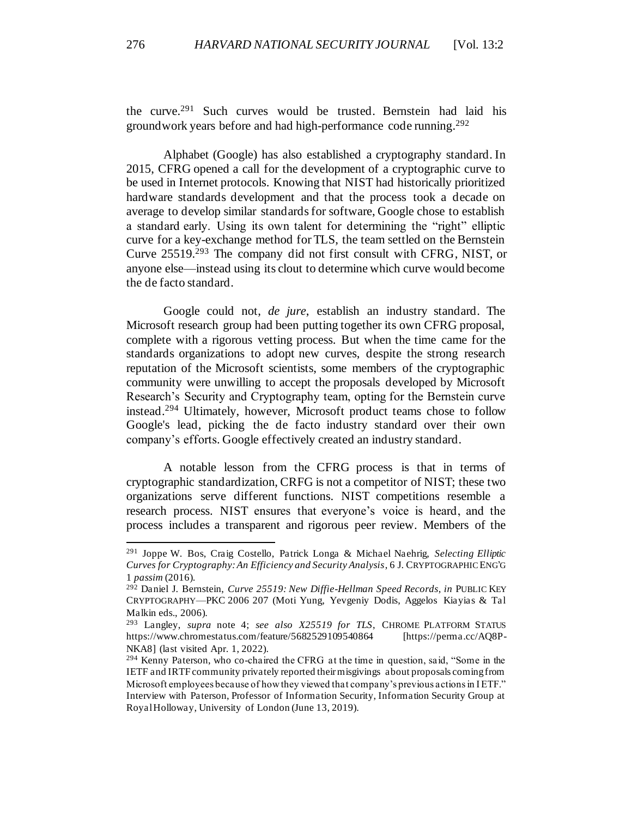the curve. <sup>291</sup> Such curves would be trusted. Bernstein had laid his groundwork years before and had high-performance code running. 292

Alphabet (Google) has also established a cryptography standard. In 2015, CFRG opened a call for the development of a cryptographic curve to be used in Internet protocols. Knowing that NIST had historically prioritized hardware standards development and that the process took a decade on average to develop similar standards for software, Google chose to establish a standard early. Using its own talent for determining the "right" elliptic curve for a key-exchange method for TLS, the team settled on the Bernstein Curve 25519.<sup>293</sup> The company did not first consult with CFRG, NIST, or anyone else—instead using its clout to determine which curve would become the de facto standard.

Google could not, *de jure*, establish an industry standard. The Microsoft research group had been putting together its own CFRG proposal, complete with a rigorous vetting process. But when the time came for the standards organizations to adopt new curves, despite the strong research reputation of the Microsoft scientists, some members of the cryptographic community were unwilling to accept the proposals developed by Microsoft Research's Security and Cryptography team, opting for the Bernstein curve instead.<sup>294</sup> Ultimately, however, Microsoft product teams chose to follow Google's lead, picking the de facto industry standard over their own company's efforts. Google effectively created an industry standard.

A notable lesson from the CFRG process is that in terms of cryptographic standardization, CRFG is not a competitor of NIST; these two organizations serve different functions. NIST competitions resemble a research process. NIST ensures that everyone's voice is heard, and the process includes a transparent and rigorous peer review. Members of the

<sup>291</sup> Joppe W. Bos, Craig Costello, Patrick Longa & Michael Naehrig, *Selecting Elliptic Curves for Cryptography: An Efficiency and Security Analysis*, 6 J. CRYPTOGRAPHIC ENG'G 1 *passim* (2016).

<sup>292</sup> Daniel J. Bernstein, *Curve 25519: New Diffie-Hellman Speed Records*, *in* PUBLIC KEY CRYPTOGRAPHY—PKC 2006 207 (Moti Yung, Yevgeniy Dodis, Aggelos Kiayias & Tal Malkin eds., 2006).

<sup>293</sup> Langley, *supra* note 4; *see also X25519 for TLS*, CHROME PLATFORM STATUS https://www.chromestatus.com/feature/5682529109540864 [https://perma.cc/AQ8P-NKA8] (last visited Apr. 1, 2022).

<sup>294</sup> Kenny Paterson, who co-chaired the CFRG at the time in question, said, "Some in the IETF and IRTF community privately reported their misgivings about proposals coming from Microsoft employees because of how they viewed that company's previous actions in IETF." Interview with Paterson, Professor of Information Security, Information Security Group at Royal Holloway, University of London (June 13, 2019).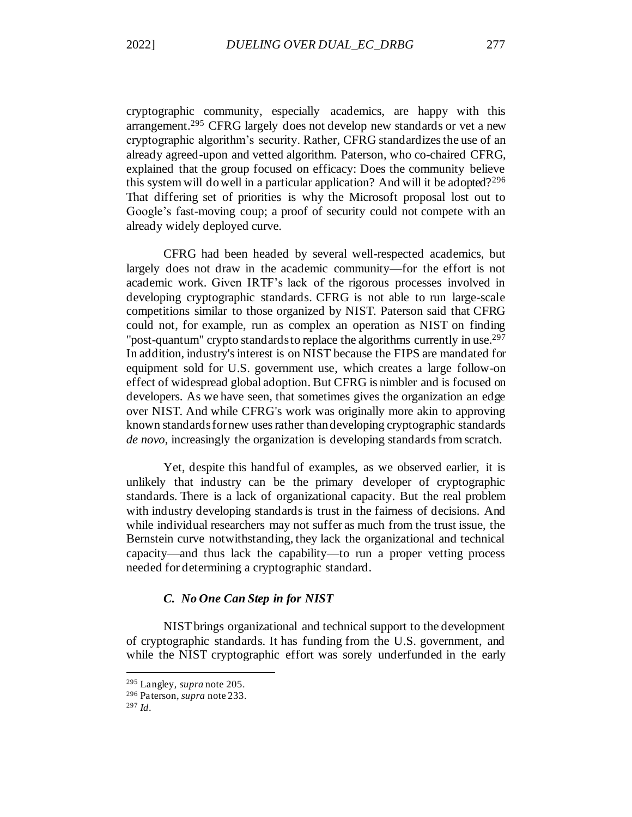cryptographic community, especially academics, are happy with this arrangement.<sup>295</sup> CFRG largely does not develop new standards or vet a new cryptographic algorithm's security. Rather, CFRG standardizes the use of an already agreed-upon and vetted algorithm. Paterson, who co-chaired CFRG, explained that the group focused on efficacy: Does the community believe this system will do well in a particular application? And will it be adopted?<sup>296</sup> That differing set of priorities is why the Microsoft proposal lost out to Google's fast-moving coup; a proof of security could not compete with an already widely deployed curve.

CFRG had been headed by several well-respected academics, but largely does not draw in the academic community—for the effort is not academic work. Given IRTF's lack of the rigorous processes involved in developing cryptographic standards. CFRG is not able to run large-scale competitions similar to those organized by NIST. Paterson said that CFRG could not, for example, run as complex an operation as NIST on finding "post-quantum" crypto standards to replace the algorithms currently in use.<sup>297</sup> In addition, industry's interest is on NIST because the FIPS are mandated for equipment sold for U.S. government use, which creates a large follow-on effect of widespread global adoption. But CFRG is nimbler and is focused on developers. As we have seen, that sometimes gives the organization an edge over NIST. And while CFRG's work was originally more akin to approving known standards for new uses rather than developing cryptographic standards *de novo*, increasingly the organization is developing standards from scratch.

Yet, despite this handful of examples, as we observed earlier, it is unlikely that industry can be the primary developer of cryptographic standards. There is a lack of organizational capacity. But the real problem with industry developing standards is trust in the fairness of decisions. And while individual researchers may not suffer as much from the trust issue, the Bernstein curve notwithstanding, they lack the organizational and technical capacity—and thus lack the capability—to run a proper vetting process needed for determining a cryptographic standard.

### *C. No One Can Step in for NIST*

<span id="page-53-0"></span>NIST brings organizational and technical support to the development of cryptographic standards. It has funding from the U.S. government, and while the NIST cryptographic effort was sorely underfunded in the early

<sup>295</sup> Langley, *supra* not[e 205](#page-37-1).

<sup>296</sup> Paterson, *supra* not[e 233](#page-41-0).

<sup>297</sup> *Id*.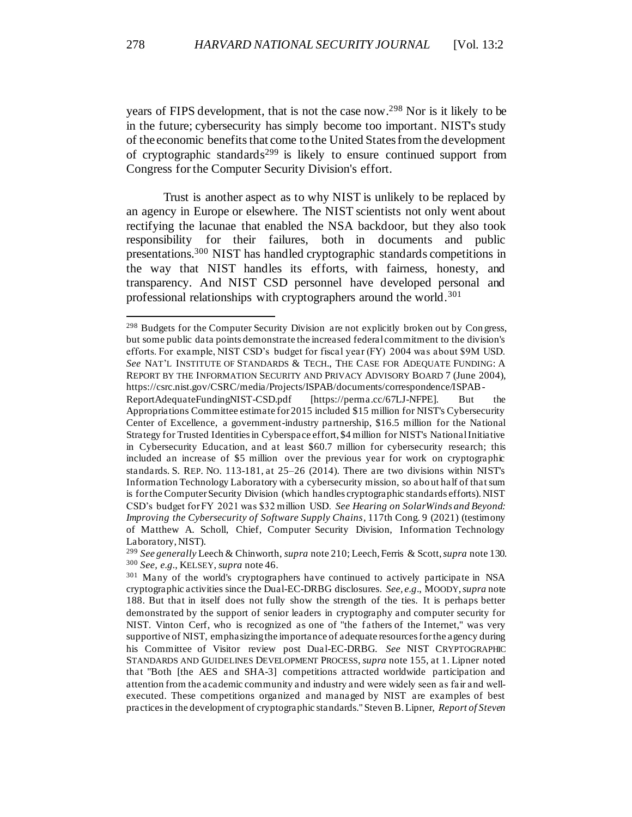years of FIPS development, that is not the case now. <sup>298</sup> Nor is it likely to be in the future; cybersecurity has simply become too important. NIST's study of the economic benefits that come to the United States from the development of cryptographic standards<sup>299</sup> is likely to ensure continued support from Congress for the Computer Security Division's effort.

Trust is another aspect as to why NIST is unlikely to be replaced by an agency in Europe or elsewhere. The NIST scientists not only went about rectifying the lacunae that enabled the NSA backdoor, but they also took responsibility for their failures, both in documents and public presentations.<sup>300</sup> NIST has handled cryptographic standards competitions in the way that NIST handles its efforts, with fairness, honesty, and transparency. And NIST CSD personnel have developed personal and professional relationships with cryptographers around the world.<sup>301</sup>

<sup>&</sup>lt;sup>298</sup> Budgets for the Computer Security Division are not explicitly broken out by Congress, but some public data points demonstrate the increased federal commitment to the division's efforts. For example, NIST CSD's budget for fiscal year (FY) 2004 was about \$9M USD. *See* NAT'L INSTITUTE OF STANDARDS & TECH., THE CASE FOR ADEQUATE FUNDING: A REPORT BY THE INFORMATION SECURITY AND PRIVACY ADVISORY BOARD 7 (June 2004), https://csrc.nist.gov/CSRC/media/Projects/ISPAB/documents/correspondence/ISPAB-

ReportAdequateFundingNIST-CSD.pdf [https://perma.cc/67LJ-NFPE]. But the Appropriations Committee estimate for 2015 included \$15 million for NIST's Cybersecurity Center of Excellence, a government-industry partnership, \$16.5 million for the National Strategy for Trusted Identities in Cyberspace effort, \$4 million for NIST's National Initiative in Cybersecurity Education, and at least \$60.7 million for cybersecurity research; this included an increase of \$5 million over the previous year for work on cryptographic standards. S. REP. NO. 113-181, at 25–26 (2014). There are two divisions within NIST's Information Technology Laboratory with a cybersecurity mission, so about half of that sum is for the Computer Security Division (which handles cryptographic standards efforts). NIST CSD's budget for FY 2021 was \$32 million USD. *See Hearing on SolarWinds and Beyond: Improving the Cybersecurity of Software Supply Chains*, 117th Cong. 9 (2021) (testimony of Matthew A. Scholl, Chief, Computer Security Division, Information Technology Laboratory, NIST).

<sup>299</sup> *See generally* Leech & Chinworth, *supra* not[e 210](#page-38-0); Leech, Ferris & Scott,*supra* not[e 130.](#page-24-1) <sup>300</sup> *See, e.g.*, KELSEY, *supra* not[e 46](#page-12-0).

<sup>301</sup> Many of the world's cryptographers have continued to actively participate in NSA cryptographic activities since the Dual-EC-DRBG disclosures. *See, e.g*., MOODY, *supra* note [188.](#page-34-0) But that in itself does not fully show the strength of the ties. It is perhaps better demonstrated by the support of senior leaders in cryptography and computer security for NIST. Vinton Cerf, who is recognized as one of "the fathers of the Internet," was very supportive of NIST, emphasizing the importance of adequate resources for the agency during his Committee of Visitor review post Dual-EC-DRBG. *See* NIST CRYPTOGRAPHIC STANDARDS AND GUIDELINES DEVELOPMENT PROCESS, *supra* not[e 155](#page-28-0), at 1. Lipner noted that "Both [the AES and SHA-3] competitions attracted worldwide participation and attention from the academic community and industry and were widely seen as fair and well‐ executed. These competitions organized and managed by NIST are examples of best practices in the development of cryptographic standards." Steven B. Lipner, *Report of Steven*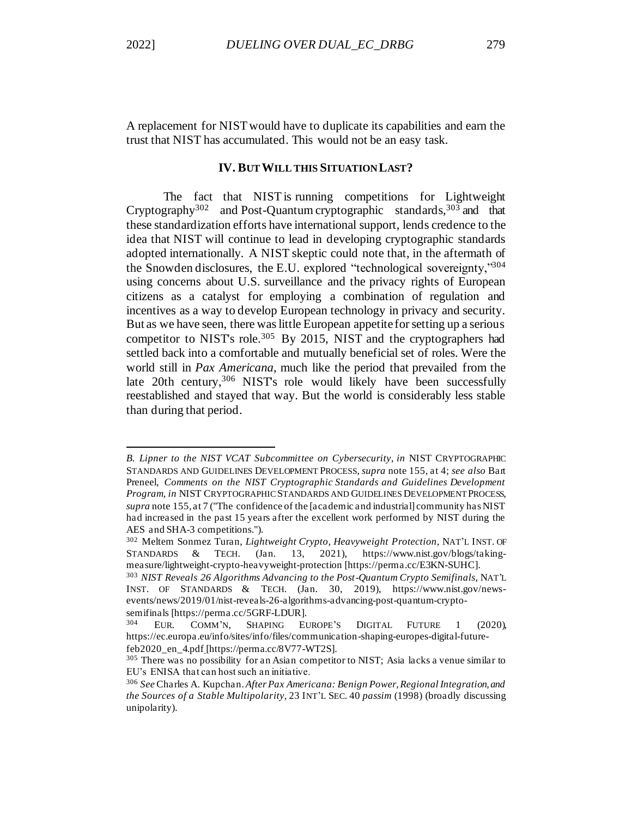<span id="page-55-0"></span>A replacement for NIST would have to duplicate its capabilities and earn the trust that NIST has accumulated. This would not be an easy task.

## **IV. BUT WILL THIS SITUATION LAST?**

The fact that NIST is running competitions for Lightweight Cryptography<sup>302</sup> and Post-Quantum cryptographic standards,  $303$  and that these standardization efforts have international support, lends credence to the idea that NIST will continue to lead in developing cryptographic standards adopted internationally. A NIST skeptic could note that, in the aftermath of the Snowden disclosures, the E.U. explored "technological sovereignty,"<sup>304</sup> using concerns about U.S. surveillance and the privacy rights of European citizens as a catalyst for employing a combination of regulation and incentives as a way to develop European technology in privacy and security. But as we have seen, there was little European appetite for setting up a serious competitor to NIST's role.<sup>305</sup> By 2015, NIST and the cryptographers had settled back into a comfortable and mutually beneficial set of roles. Were the world still in *Pax Americana*, much like the period that prevailed from the late 20th century,<sup>306</sup> NIST's role would likely have been successfully reestablished and stayed that way. But the world is considerably less stable than during that period.

*B. Lipner to the NIST VCAT Subcommittee on Cybersecurity*, *in* NIST CRYPTOGRAPHIC STANDARDS AND GUIDELINES DEVELOPMENT PROCESS, *supra* not[e 155,](#page-28-0) at 4; *see also* Bart Preneel, *Comments on the NIST Cryptographic Standards and Guidelines Development Program, in* NIST CRYPTOGRAPHIC STANDARDS AND GUIDELINES DEVELOPMENT PROCESS, *supra* note [155,](#page-28-0) at 7 ("The confidence of the [academic and industrial] community has NIST had increased in the past 15 years after the excellent work performed by NIST during the AES and SHA-3 competitions.").

<sup>302</sup> Meltem Sonmez Turan, *Lightweight Crypto, Heavyweight Protection,* NAT'L INST. OF STANDARDS & TECH. (Jan. 13, 2021), https://www.nist.gov/blogs/takingmeasure/lightweight-crypto-heavyweight-protection [https://perma.cc/E3KN-SUHC].

<sup>303</sup> *NIST Reveals 26 Algorithms Advancing to the Post-Quantum Crypto Semifinals,* NAT'L INST. OF STANDARDS & TECH. (Jan. 30, 2019), https://www.nist.gov/newsevents/news/2019/01/nist-reveals-26-algorithms-advancing-post-quantum-cryptosemifinals [https://perma.cc/5GRF-LDUR].

<sup>304</sup> EUR. COMM'N, SHAPING EUROPE'S DIGITAL FUTURE 1 (2020), https://ec.europa.eu/info/sites/info/files/communication-shaping-europes-digital-futurefeb2020\_en\_4.pdf [https://perma.cc/8V77-WT2S].

<sup>305</sup> There was no possibility for an Asian competitor to NIST; Asia lacks a venue similar to EU's ENISA that can host such an initiative.

<sup>306</sup> *See* Charles A. Kupchan*. After Pax Americana: Benign Power, Regional Integration, and the Sources of a Stable Multipolarity*, 23 INT'L SEC. 40 *passim* (1998) (broadly discussing unipolarity).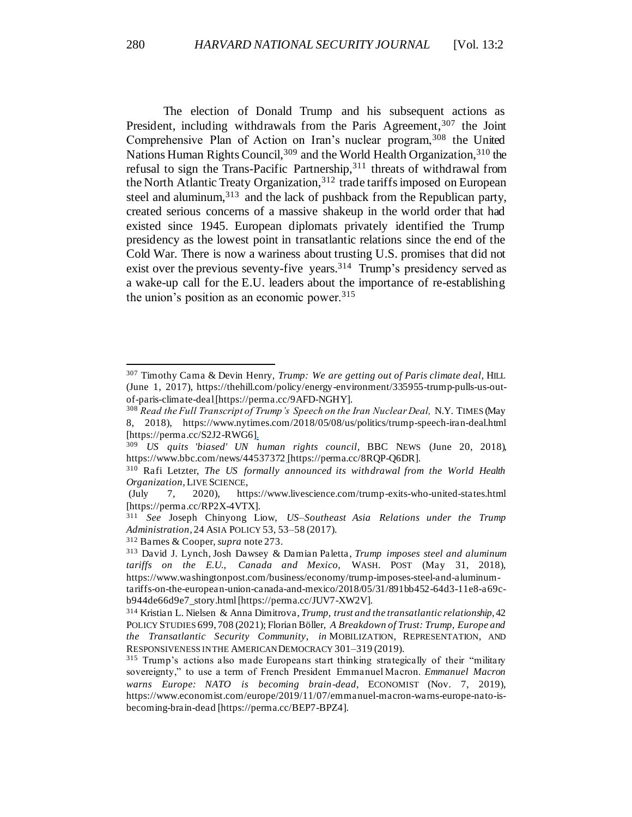The election of Donald Trump and his subsequent actions as President, including withdrawals from the Paris Agreement,<sup>307</sup> the Joint Comprehensive Plan of Action on Iran's nuclear program, 308 the United Nations Human Rights Council,<sup>309</sup> and the World Health Organization,<sup>310</sup> the refusal to sign the Trans-Pacific Partnership,<sup>311</sup> threats of withdrawal from the North Atlantic Treaty Organization,<sup>312</sup> trade tariffs imposed on European steel and aluminum,<sup>313</sup> and the lack of pushback from the Republican party, created serious concerns of a massive shakeup in the world order that had existed since 1945. European diplomats privately identified the Trump presidency as the lowest point in transatlantic relations since the end of the Cold War. There is now a wariness about trusting U.S. promises that did not exist over the previous seventy-five years.<sup>314</sup> Trump's presidency served as a wake-up call for the E.U. leaders about the importance of re-establishing the union's position as an economic power.  $315$ 

<sup>307</sup> Timothy Cama & Devin Henry, *Trump: We are getting out of Paris climate deal,* HILL (June 1, 2017), https://thehill.com/policy/energy-environment/335955-trump-pulls-us-outof-paris-climate-deal[https://perma.cc/9AFD-NGHY].

<sup>308</sup> *Read the Full Transcript of Trump's Speech on the Iran Nuclear Deal,* N.Y. TIMES (May 8, 2018), https://www.nytimes.com/2018/05/08/us/politics/trump-speech-iran-deal.html [https://perma.cc/S2J2-RWG6].

<sup>309</sup> *US quits 'biased' UN human rights council,* BBC NEWS (June 20, 2018), https://www.bbc.com/news/44537372 [https://perma.cc/8RQP-Q6DR].

<sup>310</sup> Rafi Letzter, *The US formally announced its withdrawal from the World Health Organization,* LIVE SCIENCE,

<sup>(</sup>July 7, 2020), https://www.livescience.com/trump-exits-who-united-states.html [https://perma.cc/RP2X-4VTX].

<sup>311</sup> *See* Joseph Chinyong Liow, *US–Southeast Asia Relations under the Trump Administration*, 24 ASIA POLICY 53, 53–58 (2017).

<sup>312</sup> Barnes & Cooper*, supra* not[e 273.](#page-49-0)

<sup>313</sup> David J. Lynch, Josh Dawsey & Damian Paletta*, Trump imposes steel and aluminum tariffs on the E.U., Canada and Mexico,* WASH. POST (May 31, 2018), https://www.washingtonpost.com/business/economy/trump-imposes-steel-and-aluminumtariffs-on-the-european-union-canada-and-mexico/2018/05/31/891bb452-64d3-11e8-a69cb944de66d9e7\_story.html[https://perma.cc/JUV7-XW2V].

<sup>314</sup> Kristian L. Nielsen & Anna Dimitrova, *Trump, trust and the transatlantic relationship*, 42 POLICY STUDIES 699, 708 (2021); Florian Böller, *A Breakdown of Trust: Trump, Europe and the Transatlantic Security Community*, *in* MOBILIZATION, REPRESENTATION, AND RESPONSIVENESS IN THE AMERICAN DEMOCRACY 301–319 (2019).

<sup>315</sup> Trump's actions also made Europeans start thinking strategically of their "military sovereignty," to use a term of French President Emmanuel Macron. *Emmanuel Macron warns Europe: NATO is becoming brain-dead,* ECONOMIST (Nov. 7, 2019), https://www.economist.com/europe/2019/11/07/emmanuel-macron-warns-europe-nato-isbecoming-brain-dead [https://perma.cc/BEP7-BPZ4].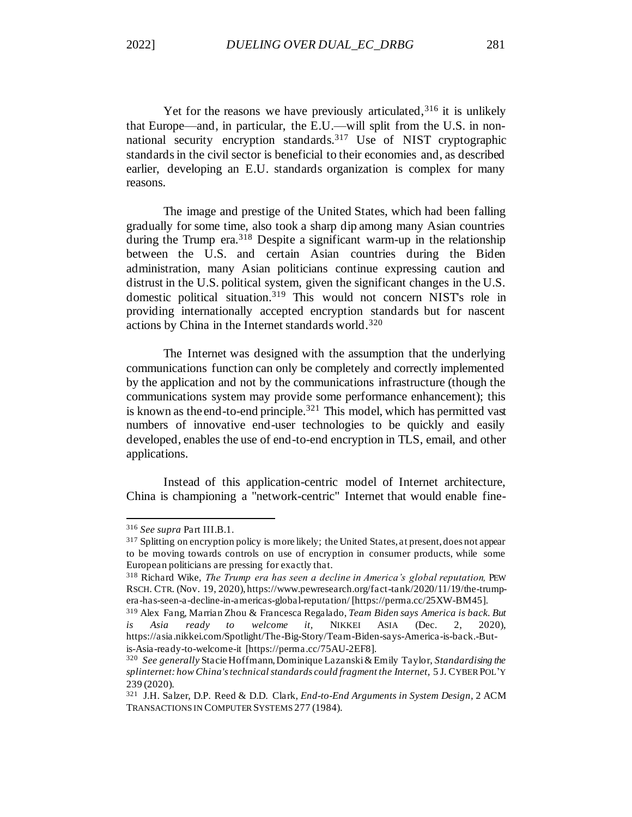Yet for the reasons we have previously articulated,  $316$  it is unlikely that Europe—and, in particular, the E.U.—will split from the U.S. in nonnational security encryption standards.<sup>317</sup> Use of NIST cryptographic standards in the civil sector is beneficial to their economies and, as described earlier, developing an E.U. standards organization is complex for many reasons.

The image and prestige of the United States, which had been falling gradually for some time, also took a sharp dip among many Asian countries during the Trump era.<sup>318</sup> Despite a significant warm-up in the relationship between the U.S. and certain Asian countries during the Biden administration, many Asian politicians continue expressing caution and distrust in the U.S. political system, given the significant changes in the U.S. domestic political situation.<sup>319</sup> This would not concern NIST's role in providing internationally accepted encryption standards but for nascent actions by China in the Internet standards world.<sup>320</sup>

The Internet was designed with the assumption that the underlying communications function can only be completely and correctly implemented by the application and not by the communications infrastructure (though the communications system may provide some performance enhancement); this is known as the end-to-end principle.<sup>321</sup> This model, which has permitted vast numbers of innovative end-user technologies to be quickly and easily developed, enables the use of end-to-end encryption in TLS, email, and other applications.

Instead of this application-centric model of Internet architecture, China is championing a "network-centric" Internet that would enable fine-

<sup>316</sup> *See supra* Part III.B.1.

<sup>&</sup>lt;sup>317</sup> Splitting on encryption policy is more likely; the United States, at present, does not appear to be moving towards controls on use of encryption in consumer products, while some European politicians are pressing for exactly that.

<sup>&</sup>lt;sup>318</sup> Richard Wike, *The Trump era has seen a decline in America's global reputation*, PEW RSCH. CTR. (Nov. 19, 2020), https://www.pewresearch.org/fact-tank/2020/11/19/the-trumpera-has-seen-a-decline-in-americas-global-reputation/ [https://perma.cc/25XW-BM45].

<sup>319</sup> Alex Fang, Marrian Zhou & Francesca Regalado, *Team Biden says America is back. But is Asia ready to welcome it,* NIKKEI ASIA (Dec. 2, 2020), https://asia.nikkei.com/Spotlight/The-Big-Story/Team-Biden-says-America-is-back.-Butis-Asia-ready-to-welcome-it [https://perma.cc/75AU-2EF8].

<sup>320</sup> *See generally* Stacie Hoffmann, Dominique Lazanski & Emily Taylor, *Standardising the splinternet: how China's technical standards could fragment the Internet,* 5 J. CYBER POL'Y 239 (2020).

<sup>321</sup> J.H. Salzer, D.P. Reed & D.D. Clark, *End-to-End Arguments in System Design,* 2 ACM TRANSACTIONS IN COMPUTER SYSTEMS 277 (1984).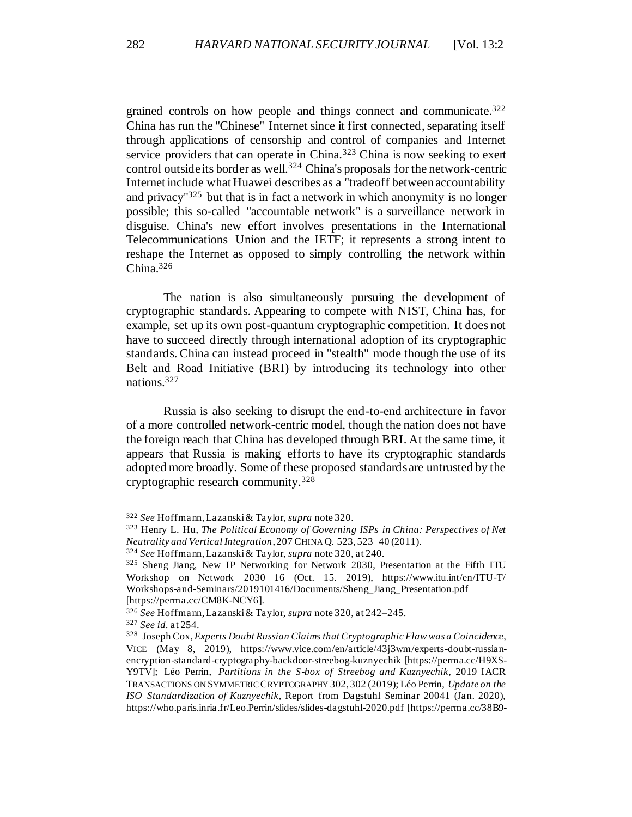grained controls on how people and things connect and communicate.<sup>322</sup> China has run the "Chinese" Internet since it first connected, separating itself through applications of censorship and control of companies and Internet service providers that can operate in China.<sup>323</sup> China is now seeking to exert control outside its border as well.<sup>324</sup> China's proposals for the network-centric Internet include what Huawei describes as a "tradeoff between accountability and privacy"<sup>325</sup> but that is in fact a network in which anonymity is no longer possible; this so-called "accountable network" is a surveillance network in disguise. China's new effort involves presentations in the International Telecommunications Union and the IETF; it represents a strong intent to reshape the Internet as opposed to simply controlling the network within China.<sup>326</sup>

The nation is also simultaneously pursuing the development of cryptographic standards. Appearing to compete with NIST, China has, for example, set up its own post-quantum cryptographic competition. It does not have to succeed directly through international adoption of its cryptographic standards. China can instead proceed in "stealth" mode though the use of its Belt and Road Initiative (BRI) by introducing its technology into other nations.<sup>327</sup>

Russia is also seeking to disrupt the end-to-end architecture in favor of a more controlled network-centric model, though the nation does not have the foreign reach that China has developed through BRI. At the same time, it appears that Russia is making efforts to have its cryptographic standards adopted more broadly. Some of these proposed standards are untrusted by the cryptographic research community.<sup>328</sup>

<sup>322</sup> *See* Hoffmann, Lazanski & Taylor, *supra* note 320.

<sup>323</sup> Henry L. Hu, *The Political Economy of Governing ISPs in China: Perspectives of Net Neutrality and Vertical Integration*, 207 CHINA Q. 523, 523–40 (2011).

<sup>324</sup> *See* Hoffmann, Lazanski & Taylor, *supra* note 320, at 240.

<sup>325</sup> Sheng Jiang, New IP Networking for Network 2030, Presentation at the Fifth ITU Workshop on Network 2030 16 (Oct. 15. 2019), https://www.itu.int/en/ITU-T/ Workshops-and-Seminars/2019101416/Documents/Sheng\_Jiang\_Presentation.pdf [https://perma.cc/CM8K-NCY6].

<sup>326</sup> *See* Hoffmann, Lazanski & Taylor, *supra* note 320, at 242–245.

<sup>327</sup> *See id.* at 254.

<sup>328</sup> Joseph Cox, *Experts Doubt Russian Claims that Cryptographic Flaw was a Coincidence*, VICE (May 8, 2019), https://www.vice.com/en/article/43j3wm/experts-doubt-russianencryption-standard-cryptography-backdoor-streebog-kuznyechik [https://perma.cc/H9XS-Y9TV]; Léo Perrin, *Partitions in the S-box of Streebog and Kuznyechik*, 2019 IACR TRANSACTIONS ON SYMMETRIC CRYPTOGRAPHY 302, 302 (2019); Léo Perrin, *Update on the ISO Standardization of Kuznyechik*, Report from Dagstuhl Seminar 20041 (Jan. 2020), https://who.paris.inria.fr/Leo.Perrin/slides/slides-dagstuhl-2020.pdf [https://perma.cc/38B9-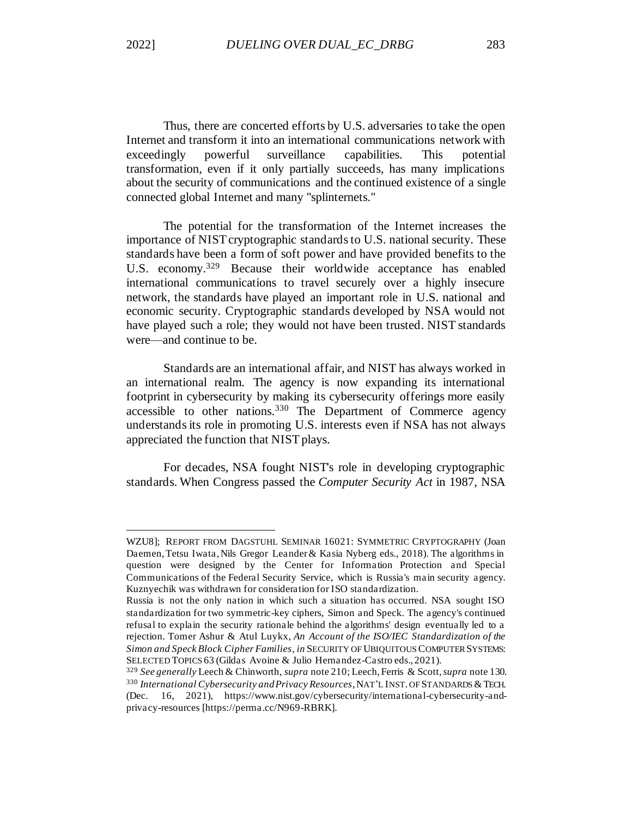Thus, there are concerted efforts by U.S. adversaries to take the open Internet and transform it into an international communications network with exceedingly powerful surveillance capabilities. This potential transformation, even if it only partially succeeds, has many implications about the security of communications and the continued existence of a single connected global Internet and many "splinternets."

The potential for the transformation of the Internet increases the importance of NIST cryptographic standards to U.S. national security. These standards have been a form of soft power and have provided benefits to the U.S. economy.<sup>329</sup> Because their worldwide acceptance has enabled international communications to travel securely over a highly insecure network, the standards have played an important role in U.S. national and economic security. Cryptographic standards developed by NSA would not have played such a role; they would not have been trusted. NIST standards were—and continue to be.

Standards are an international affair, and NIST has always worked in an international realm. The agency is now expanding its international footprint in cybersecurity by making its cybersecurity offerings more easily accessible to other nations.<sup>330</sup> The Department of Commerce agency understands its role in promoting U.S. interests even if NSA has not always appreciated the function that NIST plays.

For decades, NSA fought NIST's role in developing cryptographic standards. When Congress passed the *Computer Security Act* in 1987, NSA

WZU8]; REPORT FROM DAGSTUHL SEMINAR 16021: SYMMETRIC CRYPTOGRAPHY (Joan Daemen, Tetsu Iwata, Nils Gregor Leander & Kasia Nyberg eds., 2018). The algorithms in question were designed by the Center for Information Protection and Special Communications of the Federal Security Service, which is Russia's main security agency. Kuznyechik was withdrawn for consideration for ISO standardization.

Russia is not the only nation in which such a situation has occurred. NSA sought ISO standardization for two symmetric-key ciphers, Simon and Speck. The agency's continued refusal to explain the security rationale behind the algorithms' design eventually led to a rejection. Tomer Ashur & Atul Luykx, *An Account of the ISO/IEC Standardization of the Simon and Speck Block Cipher Families, in* SECURITY OF UBIQUITOUS COMPUTER SYSTEMS: SELECTED TOPICS 63 (Gildas Avoine & Julio Hernandez-Castro eds., 2021).

<sup>329</sup> *See generally* Leech & Chinworth, *supra* note 210; Leech, Ferris & Scott,*supra* note 130. <sup>330</sup> *International Cybersecurity and Privacy Resources*, NAT'L INST. OF STANDARDS &TECH. (Dec. 16, 2021), https://www.nist.gov/cybersecurity/international-cybersecurity-andprivacy-resources [https://perma.cc/N969-RBRK].